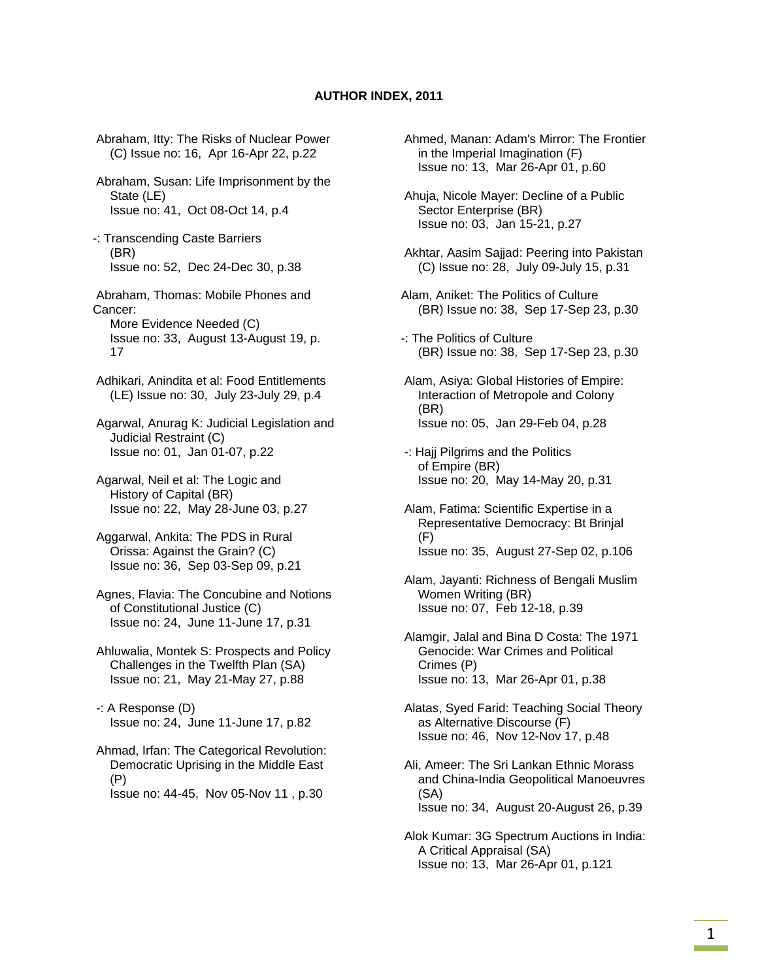## **AUTHOR INDEX, 2011**

 Abraham, Itty: The Risks of Nuclear Power (C) Issue no: 16, Apr 16-Apr 22, p.22 Abraham, Susan: Life Imprisonment by the State (LE) Issue no: 41, Oct 08-Oct 14, p.4 -: Transcending Caste Barriers (BR) Issue no: 52, Dec 24-Dec 30, p.38 Abraham, Thomas: Mobile Phones and Cancer: More Evidence Needed (C) Issue no: 33, August 13-August 19, p. 17 Adhikari, Anindita et al: Food Entitlements (LE) Issue no: 30, July 23-July 29, p.4 Agarwal, Anurag K: Judicial Legislation and Judicial Restraint (C) Issue no: 01, Jan 01-07, p.22 Agarwal, Neil et al: The Logic and History of Capital (BR) Issue no: 22, May 28-June 03, p.27 Aggarwal, Ankita: The PDS in Rural Orissa: Against the Grain? (C) Issue no: 36, Sep 03-Sep 09, p.21 Agnes, Flavia: The Concubine and Notions of Constitutional Justice (C) Issue no: 24, June 11-June 17, p.31 Ahluwalia, Montek S: Prospects and Policy Challenges in the Twelfth Plan (SA) Issue no: 21, May 21-May 27, p.88 -: A Response (D) Issue no: 24, June 11-June 17, p.82 Ahmad, Irfan: The Categorical Revolution:

 Democratic Uprising in the Middle East (P) Issue no: 44-45, Nov 05-Nov 11 , p.30

 Ahmed, Manan: Adam's Mirror: The Frontier in the Imperial Imagination (F) Issue no: 13, Mar 26-Apr 01, p.60

 Ahuja, Nicole Mayer: Decline of a Public Sector Enterprise (BR) Issue no: 03, Jan 15-21, p.27

- Akhtar, Aasim Sajjad: Peering into Pakistan (C) Issue no: 28, July 09-July 15, p.31
- Alam, Aniket: The Politics of Culture (BR) Issue no: 38, Sep 17-Sep 23, p.30
- -: The Politics of Culture (BR) Issue no: 38, Sep 17-Sep 23, p.30
- Alam, Asiya: Global Histories of Empire: Interaction of Metropole and Colony (BR) Issue no: 05, Jan 29-Feb 04, p.28
- -: Hajj Pilgrims and the Politics of Empire (BR) Issue no: 20, May 14-May 20, p.31
- Alam, Fatima: Scientific Expertise in a Representative Democracy: Bt Brinjal (F) Issue no: 35, August 27-Sep 02, p.106
- Alam, Jayanti: Richness of Bengali Muslim Women Writing (BR) Issue no: 07, Feb 12-18, p.39
- Alamgir, Jalal and Bina D Costa: The 1971 Genocide: War Crimes and Political Crimes (P) Issue no: 13, Mar 26-Apr 01, p.38

 Alatas, Syed Farid: Teaching Social Theory as Alternative Discourse (F) Issue no: 46, Nov 12-Nov 17, p.48

 Ali, Ameer: The Sri Lankan Ethnic Morass and China-India Geopolitical Manoeuvres (SA) Issue no: 34, August 20-August 26, p.39

 Alok Kumar: 3G Spectrum Auctions in India: A Critical Appraisal (SA) Issue no: 13, Mar 26-Apr 01, p.121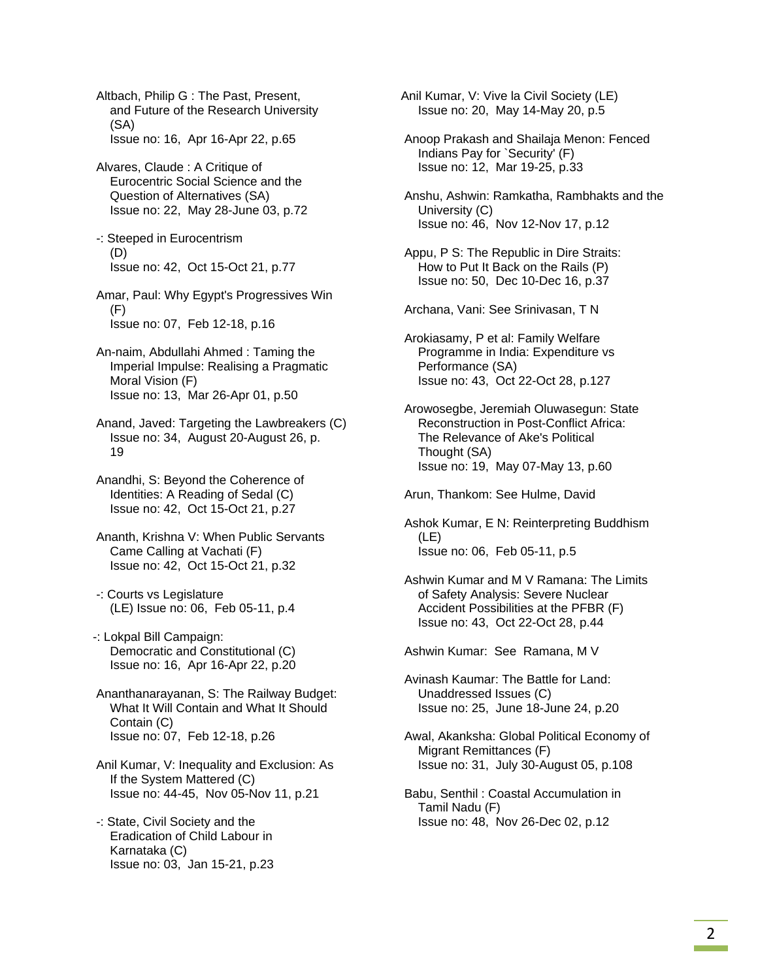Altbach, Philip G : The Past, Present, and Future of the Research University (SA) Issue no: 16, Apr 16-Apr 22, p.65

- Alvares, Claude : A Critique of Eurocentric Social Science and the Question of Alternatives (SA) Issue no: 22, May 28-June 03, p.72
- -: Steeped in Eurocentrism (D) Issue no: 42, Oct 15-Oct 21, p.77

 Amar, Paul: Why Egypt's Progressives Win (F) Issue no: 07, Feb 12-18, p.16

- An-naim, Abdullahi Ahmed : Taming the Imperial Impulse: Realising a Pragmatic Moral Vision (F) Issue no: 13, Mar 26-Apr 01, p.50
- Anand, Javed: Targeting the Lawbreakers (C) Issue no: 34, August 20-August 26, p. 19
- Anandhi, S: Beyond the Coherence of Identities: A Reading of Sedal (C) Issue no: 42, Oct 15-Oct 21, p.27
- Ananth, Krishna V: When Public Servants Came Calling at Vachati (F) Issue no: 42, Oct 15-Oct 21, p.32
- -: Courts vs Legislature (LE) Issue no: 06, Feb 05-11, p.4
- -: Lokpal Bill Campaign: Democratic and Constitutional (C) Issue no: 16, Apr 16-Apr 22, p.20
- Ananthanarayanan, S: The Railway Budget: What It Will Contain and What It Should Contain (C) Issue no: 07, Feb 12-18, p.26
- Anil Kumar, V: Inequality and Exclusion: As If the System Mattered (C) Issue no: 44-45, Nov 05-Nov 11, p.21
- -: State, Civil Society and the Eradication of Child Labour in Karnataka (C) Issue no: 03, Jan 15-21, p.23

Anil Kumar, V: Vive la Civil Society (LE) Issue no: 20, May 14-May 20, p.5

- Anoop Prakash and Shailaja Menon: Fenced Indians Pay for `Security' (F) Issue no: 12, Mar 19-25, p.33
- Anshu, Ashwin: Ramkatha, Rambhakts and the University (C) Issue no: 46, Nov 12-Nov 17, p.12
- Appu, P S: The Republic in Dire Straits: How to Put It Back on the Rails (P) Issue no: 50, Dec 10-Dec 16, p.37

Archana, Vani: See Srinivasan, T N

- Arokiasamy, P et al: Family Welfare Programme in India: Expenditure vs Performance (SA) Issue no: 43, Oct 22-Oct 28, p.127
- Arowosegbe, Jeremiah Oluwasegun: State Reconstruction in Post-Conflict Africa: The Relevance of Ake's Political Thought (SA) Issue no: 19, May 07-May 13, p.60

Arun, Thankom: See Hulme, David

- Ashok Kumar, E N: Reinterpreting Buddhism (LE) Issue no: 06, Feb 05-11, p.5
- Ashwin Kumar and M V Ramana: The Limits of Safety Analysis: Severe Nuclear Accident Possibilities at the PFBR (F) Issue no: 43, Oct 22-Oct 28, p.44

Ashwin Kumar: See Ramana, M V

- Avinash Kaumar: The Battle for Land: Unaddressed Issues (C) Issue no: 25, June 18-June 24, p.20
- Awal, Akanksha: Global Political Economy of Migrant Remittances (F) Issue no: 31, July 30-August 05, p.108
- Babu, Senthil : Coastal Accumulation in Tamil Nadu (F) Issue no: 48, Nov 26-Dec 02, p.12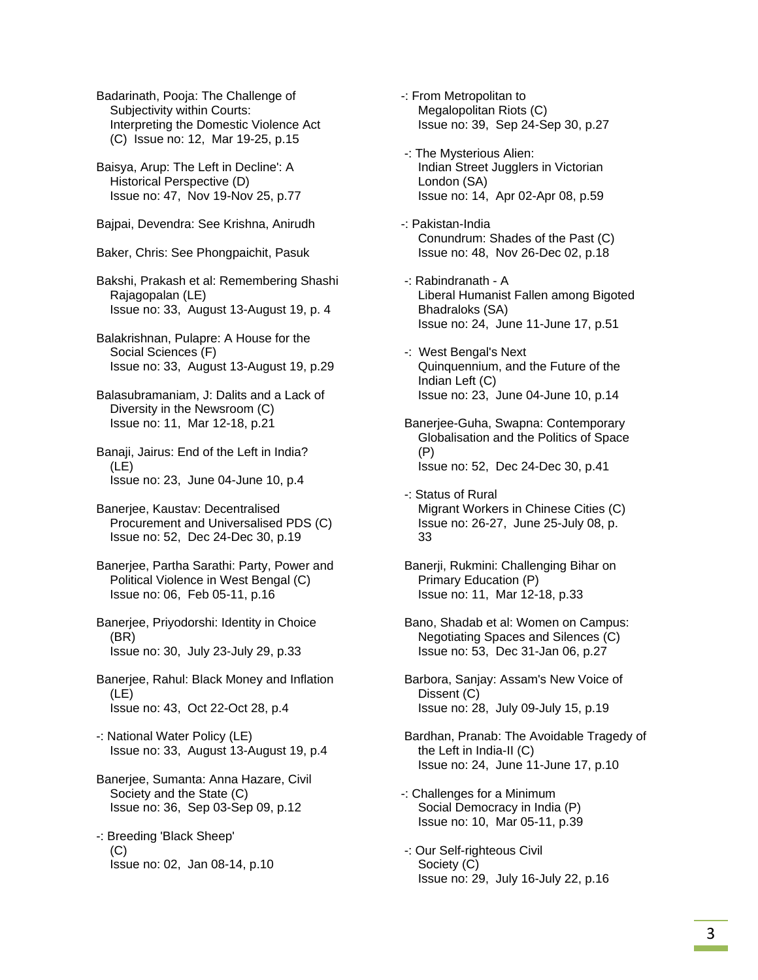Badarinath, Pooja: The Challenge of Subjectivity within Courts: Interpreting the Domestic Violence Act (C) Issue no: 12, Mar 19-25, p.15

 Baisya, Arup: The Left in Decline': A Historical Perspective (D) Issue no: 47, Nov 19-Nov 25, p.77

Bajpai, Devendra: See Krishna, Anirudh

Baker, Chris: See Phongpaichit, Pasuk

 Bakshi, Prakash et al: Remembering Shashi Rajagopalan (LE) Issue no: 33, August 13-August 19, p. 4

- Balakrishnan, Pulapre: A House for the Social Sciences (F) Issue no: 33, August 13-August 19, p.29
- Balasubramaniam, J: Dalits and a Lack of Diversity in the Newsroom (C) Issue no: 11, Mar 12-18, p.21
- Banaji, Jairus: End of the Left in India? (LE) Issue no: 23, June 04-June 10, p.4
- Banerjee, Kaustav: Decentralised Procurement and Universalised PDS (C) Issue no: 52, Dec 24-Dec 30, p.19
- Banerjee, Partha Sarathi: Party, Power and Political Violence in West Bengal (C) Issue no: 06, Feb 05-11, p.16
- Banerjee, Priyodorshi: Identity in Choice (BR) Issue no: 30, July 23-July 29, p.33
- Banerjee, Rahul: Black Money and Inflation (LE) Issue no: 43, Oct 22-Oct 28, p.4
- -: National Water Policy (LE) Issue no: 33, August 13-August 19, p.4
- Banerjee, Sumanta: Anna Hazare, Civil Society and the State (C) Issue no: 36, Sep 03-Sep 09, p.12
- -: Breeding 'Black Sheep' (C) Issue no: 02, Jan 08-14, p.10
- -: From Metropolitan to Megalopolitan Riots (C) Issue no: 39, Sep 24-Sep 30, p.27
- -: The Mysterious Alien: Indian Street Jugglers in Victorian London (SA) Issue no: 14, Apr 02-Apr 08, p.59
- -: Pakistan-India Conundrum: Shades of the Past (C) Issue no: 48, Nov 26-Dec 02, p.18
- -: Rabindranath A Liberal Humanist Fallen among Bigoted Bhadraloks (SA) Issue no: 24, June 11-June 17, p.51
- -: West Bengal's Next Quinquennium, and the Future of the Indian Left (C) Issue no: 23, June 04-June 10, p.14
- Banerjee-Guha, Swapna: Contemporary Globalisation and the Politics of Space (P) Issue no: 52, Dec 24-Dec 30, p.41
- -: Status of Rural Migrant Workers in Chinese Cities (C) Issue no: 26-27, June 25-July 08, p. 33
- Banerji, Rukmini: Challenging Bihar on Primary Education (P) Issue no: 11, Mar 12-18, p.33
- Bano, Shadab et al: Women on Campus: Negotiating Spaces and Silences (C) Issue no: 53, Dec 31-Jan 06, p.27
- Barbora, Sanjay: Assam's New Voice of Dissent (C) Issue no: 28, July 09-July 15, p.19
- Bardhan, Pranab: The Avoidable Tragedy of the Left in India-II (C) Issue no: 24, June 11-June 17, p.10
- -: Challenges for a Minimum Social Democracy in India (P) Issue no: 10, Mar 05-11, p.39
- -: Our Self-righteous Civil Society (C) Issue no: 29, July 16-July 22, p.16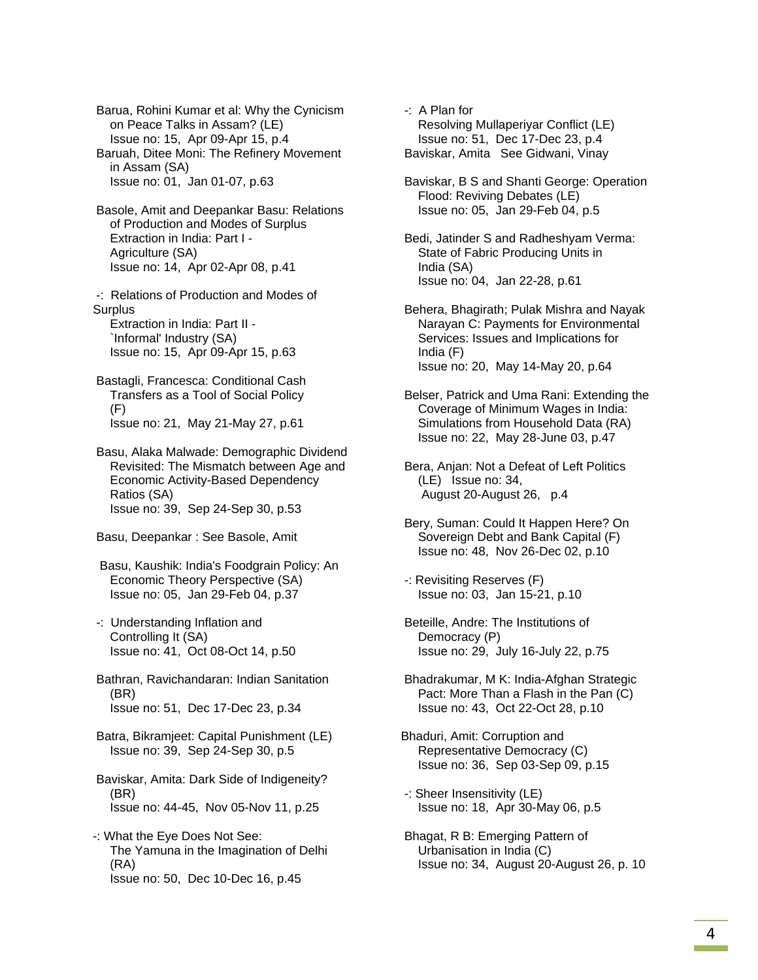Barua, Rohini Kumar et al: Why the Cynicism on Peace Talks in Assam? (LE) Issue no: 15, Apr 09-Apr 15, p.4 Baruah, Ditee Moni: The Refinery Movement in Assam (SA) Issue no: 01, Jan 01-07, p.63

 Basole, Amit and Deepankar Basu: Relations of Production and Modes of Surplus Extraction in India: Part I - Agriculture (SA) Issue no: 14, Apr 02-Apr 08, p.41

 -: Relations of Production and Modes of **Surplus** 

 Extraction in India: Part II - `Informal' Industry (SA) Issue no: 15, Apr 09-Apr 15, p.63

- Bastagli, Francesca: Conditional Cash Transfers as a Tool of Social Policy (F) Issue no: 21, May 21-May 27, p.61
- Basu, Alaka Malwade: Demographic Dividend Revisited: The Mismatch between Age and Economic Activity-Based Dependency Ratios (SA) Issue no: 39, Sep 24-Sep 30, p.53
- Basu, Deepankar : See Basole, Amit
- Basu, Kaushik: India's Foodgrain Policy: An Economic Theory Perspective (SA) Issue no: 05, Jan 29-Feb 04, p.37
- -: Understanding Inflation and Controlling It (SA) Issue no: 41, Oct 08-Oct 14, p.50
- Bathran, Ravichandaran: Indian Sanitation (BR) Issue no: 51, Dec 17-Dec 23, p.34
- Batra, Bikramjeet: Capital Punishment (LE) Issue no: 39, Sep 24-Sep 30, p.5
- Baviskar, Amita: Dark Side of Indigeneity? (BR) Issue no: 44-45, Nov 05-Nov 11, p.25
- -: What the Eye Does Not See: The Yamuna in the Imagination of Delhi (RA) Issue no: 50, Dec 10-Dec 16, p.45
- -: A Plan for Resolving Mullaperiyar Conflict (LE) Issue no: 51, Dec 17-Dec 23, p.4 Baviskar, Amita See Gidwani, Vinay
- Baviskar, B S and Shanti George: Operation Flood: Reviving Debates (LE) Issue no: 05, Jan 29-Feb 04, p.5
- Bedi, Jatinder S and Radheshyam Verma: State of Fabric Producing Units in India (SA) Issue no: 04, Jan 22-28, p.61
- Behera, Bhagirath; Pulak Mishra and Nayak Narayan C: Payments for Environmental Services: Issues and Implications for India (F) Issue no: 20, May 14-May 20, p.64
- Belser, Patrick and Uma Rani: Extending the Coverage of Minimum Wages in India: Simulations from Household Data (RA) Issue no: 22, May 28-June 03, p.47
- Bera, Anjan: Not a Defeat of Left Politics (LE) Issue no: 34, August 20-August 26, p.4
- Bery, Suman: Could It Happen Here? On Sovereign Debt and Bank Capital (F) Issue no: 48, Nov 26-Dec 02, p.10
- -: Revisiting Reserves (F) Issue no: 03, Jan 15-21, p.10
- Beteille, Andre: The Institutions of Democracy (P) Issue no: 29, July 16-July 22, p.75
- Bhadrakumar, M K: India-Afghan Strategic Pact: More Than a Flash in the Pan (C) Issue no: 43, Oct 22-Oct 28, p.10
- Bhaduri, Amit: Corruption and Representative Democracy (C) Issue no: 36, Sep 03-Sep 09, p.15
- -: Sheer Insensitivity (LE) Issue no: 18, Apr 30-May 06, p.5
- Bhagat, R B: Emerging Pattern of Urbanisation in India (C) Issue no: 34, August 20-August 26, p. 10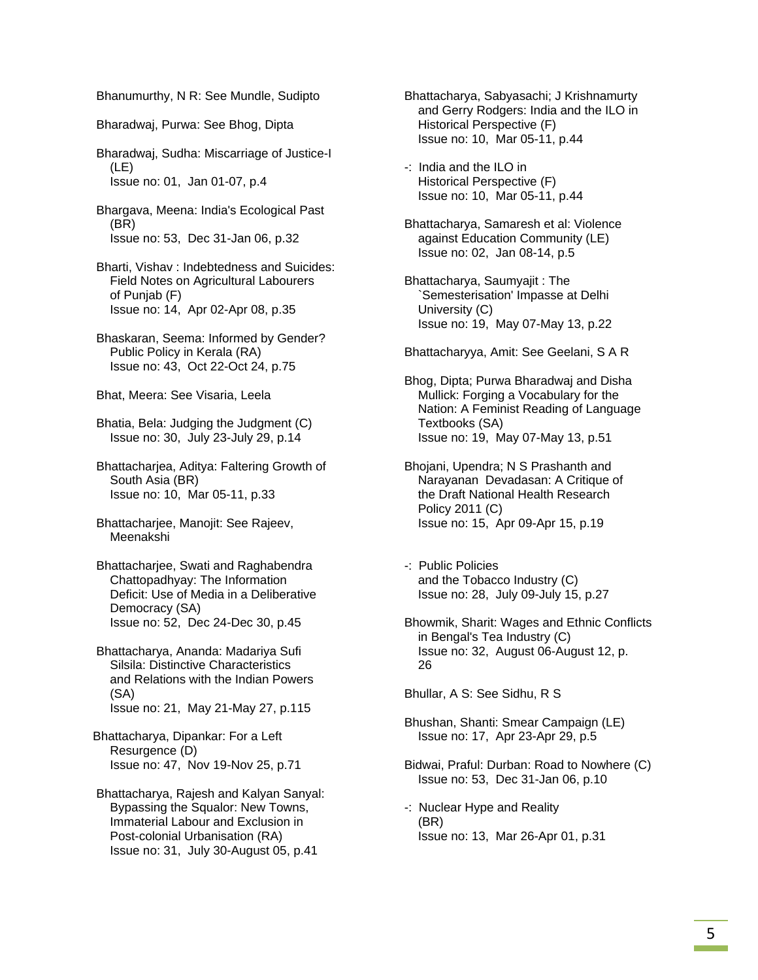Bhanumurthy, N R: See Mundle, Sudipto

Bharadwaj, Purwa: See Bhog, Dipta

 Bharadwaj, Sudha: Miscarriage of Justice-I (LE) Issue no: 01, Jan 01-07, p.4

 Bhargava, Meena: India's Ecological Past (BR) Issue no: 53, Dec 31-Jan 06, p.32

 Bharti, Vishav : Indebtedness and Suicides: Field Notes on Agricultural Labourers of Punjab (F) Issue no: 14, Apr 02-Apr 08, p.35

 Bhaskaran, Seema: Informed by Gender? Public Policy in Kerala (RA) Issue no: 43, Oct 22-Oct 24, p.75

Bhat, Meera: See Visaria, Leela

 Bhatia, Bela: Judging the Judgment (C) Issue no: 30, July 23-July 29, p.14

 Bhattacharjea, Aditya: Faltering Growth of South Asia (BR) Issue no: 10, Mar 05-11, p.33

 Bhattacharjee, Manojit: See Rajeev, Meenakshi

 Bhattacharjee, Swati and Raghabendra Chattopadhyay: The Information Deficit: Use of Media in a Deliberative Democracy (SA) Issue no: 52, Dec 24-Dec 30, p.45

 Bhattacharya, Ananda: Madariya Sufi Silsila: Distinctive Characteristics and Relations with the Indian Powers (SA) Issue no: 21, May 21-May 27, p.115

Bhattacharya, Dipankar: For a Left Resurgence (D) Issue no: 47, Nov 19-Nov 25, p.71

 Bhattacharya, Rajesh and Kalyan Sanyal: Bypassing the Squalor: New Towns, Immaterial Labour and Exclusion in Post-colonial Urbanisation (RA) Issue no: 31, July 30-August 05, p.41

 Bhattacharya, Sabyasachi; J Krishnamurty and Gerry Rodgers: India and the ILO in Historical Perspective (F) Issue no: 10, Mar 05-11, p.44

 -: India and the ILO in Historical Perspective (F) Issue no: 10, Mar 05-11, p.44

 Bhattacharya, Samaresh et al: Violence against Education Community (LE) Issue no: 02, Jan 08-14, p.5

 Bhattacharya, Saumyajit : The `Semesterisation' Impasse at Delhi University (C) Issue no: 19, May 07-May 13, p.22

Bhattacharyya, Amit: See Geelani, S A R

 Bhog, Dipta; Purwa Bharadwaj and Disha Mullick: Forging a Vocabulary for the Nation: A Feminist Reading of Language Textbooks (SA) Issue no: 19, May 07-May 13, p.51

 Bhojani, Upendra; N S Prashanth and Narayanan Devadasan: A Critique of the Draft National Health Research Policy 2011 (C) Issue no: 15, Apr 09-Apr 15, p.19

 -: Public Policies and the Tobacco Industry (C) Issue no: 28, July 09-July 15, p.27

 Bhowmik, Sharit: Wages and Ethnic Conflicts in Bengal's Tea Industry (C) Issue no: 32, August 06-August 12, p. 26

Bhullar, A S: See Sidhu, R S

- Bhushan, Shanti: Smear Campaign (LE) Issue no: 17, Apr 23-Apr 29, p.5
- Bidwai, Praful: Durban: Road to Nowhere (C) Issue no: 53, Dec 31-Jan 06, p.10
- -: Nuclear Hype and Reality (BR) Issue no: 13, Mar 26-Apr 01, p.31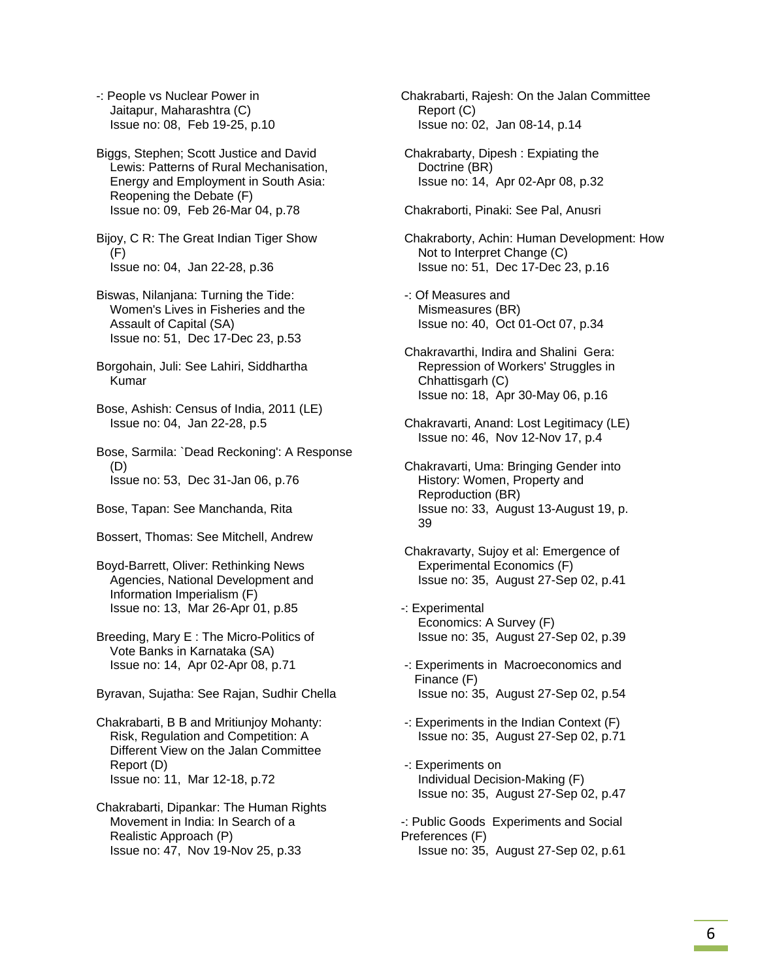-: People vs Nuclear Power in Jaitapur, Maharashtra (C) Issue no: 08, Feb 19-25, p.10

 Biggs, Stephen; Scott Justice and David Lewis: Patterns of Rural Mechanisation, Energy and Employment in South Asia: Reopening the Debate (F) Issue no: 09, Feb 26-Mar 04, p.78

 Bijoy, C R: The Great Indian Tiger Show (F) Issue no: 04, Jan 22-28, p.36

 Biswas, Nilanjana: Turning the Tide: Women's Lives in Fisheries and the Assault of Capital (SA) Issue no: 51, Dec 17-Dec 23, p.53

 Borgohain, Juli: See Lahiri, Siddhartha Kumar

 Bose, Ashish: Census of India, 2011 (LE) Issue no: 04, Jan 22-28, p.5

 Bose, Sarmila: `Dead Reckoning': A Response (D) Issue no: 53, Dec 31-Jan 06, p.76

Bose, Tapan: See Manchanda, Rita

Bossert, Thomas: See Mitchell, Andrew

 Boyd-Barrett, Oliver: Rethinking News Agencies, National Development and Information Imperialism (F) Issue no: 13, Mar 26-Apr 01, p.85

 Breeding, Mary E : The Micro-Politics of Vote Banks in Karnataka (SA) Issue no: 14, Apr 02-Apr 08, p.71

Byravan, Sujatha: See Rajan, Sudhir Chella

 Chakrabarti, B B and Mritiunjoy Mohanty: Risk, Regulation and Competition: A Different View on the Jalan Committee Report (D) Issue no: 11, Mar 12-18, p.72

 Chakrabarti, Dipankar: The Human Rights Movement in India: In Search of a Realistic Approach (P) Issue no: 47, Nov 19-Nov 25, p.33

Chakrabarti, Rajesh: On the Jalan Committee Report (C) Issue no: 02, Jan 08-14, p.14

 Chakrabarty, Dipesh : Expiating the Doctrine (BR) Issue no: 14, Apr 02-Apr 08, p.32

Chakraborti, Pinaki: See Pal, Anusri

 Chakraborty, Achin: Human Development: How Not to Interpret Change (C) Issue no: 51, Dec 17-Dec 23, p.16

- -: Of Measures and Mismeasures (BR) Issue no: 40, Oct 01-Oct 07, p.34
- Chakravarthi, Indira and Shalini Gera: Repression of Workers' Struggles in Chhattisgarh (C) Issue no: 18, Apr 30-May 06, p.16
- Chakravarti, Anand: Lost Legitimacy (LE) Issue no: 46, Nov 12-Nov 17, p.4

 Chakravarti, Uma: Bringing Gender into History: Women, Property and Reproduction (BR) Issue no: 33, August 13-August 19, p. 39

 Chakravarty, Sujoy et al: Emergence of Experimental Economics (F) Issue no: 35, August 27-Sep 02, p.41

-: Experimental Economics: A Survey (F) Issue no: 35, August 27-Sep 02, p.39

- -: Experiments in Macroeconomics and Finance (F) Issue no: 35, August 27-Sep 02, p.54
- -: Experiments in the Indian Context (F) Issue no: 35, August 27-Sep 02, p.71
- -: Experiments on Individual Decision-Making (F) Issue no: 35, August 27-Sep 02, p.47
- -: Public Goods Experiments and Social Preferences (F) Issue no: 35, August 27-Sep 02, p.61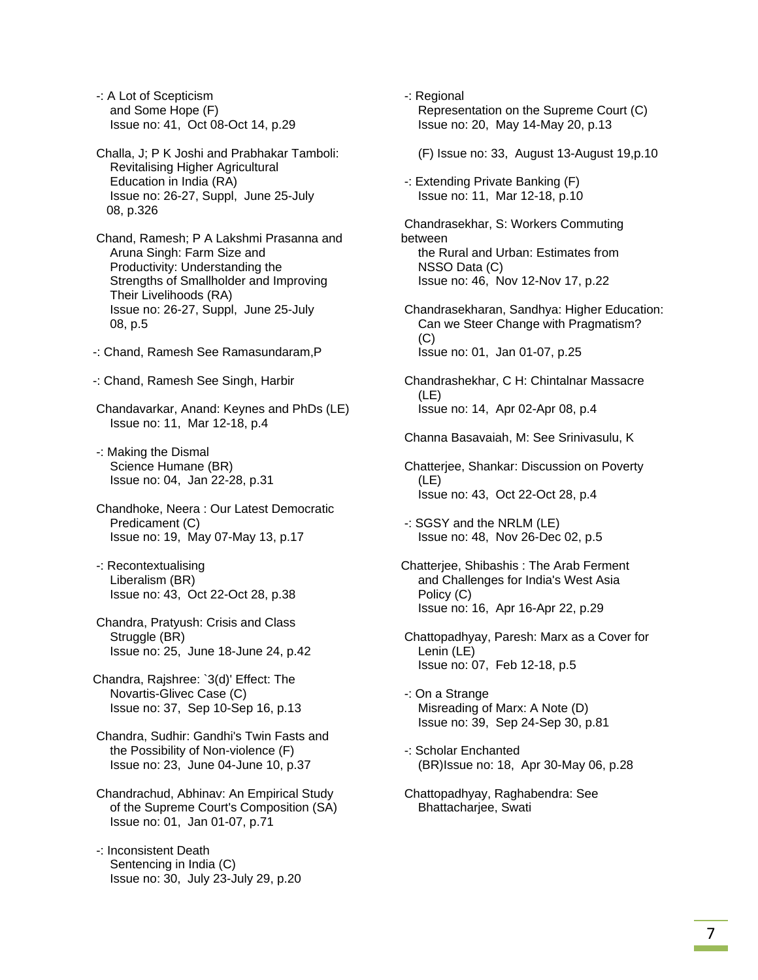-: A Lot of Scepticism and Some Hope (F) Issue no: 41, Oct 08-Oct 14, p.29

- Challa, J; P K Joshi and Prabhakar Tamboli: Revitalising Higher Agricultural Education in India (RA) Issue no: 26-27, Suppl, June 25-July 08, p.326
- Chand, Ramesh; P A Lakshmi Prasanna and Aruna Singh: Farm Size and Productivity: Understanding the Strengths of Smallholder and Improving Their Livelihoods (RA) Issue no: 26-27, Suppl, June 25-July 08, p.5
- -: Chand, Ramesh See Ramasundaram,P
- -: Chand, Ramesh See Singh, Harbir
- Chandavarkar, Anand: Keynes and PhDs (LE) Issue no: 11, Mar 12-18, p.4
- -: Making the Dismal Science Humane (BR) Issue no: 04, Jan 22-28, p.31
- Chandhoke, Neera : Our Latest Democratic Predicament (C) Issue no: 19, May 07-May 13, p.17
- -: Recontextualising Liberalism (BR) Issue no: 43, Oct 22-Oct 28, p.38
- Chandra, Pratyush: Crisis and Class Struggle (BR) Issue no: 25, June 18-June 24, p.42
- Chandra, Rajshree: `3(d)' Effect: The Novartis-Glivec Case (C) Issue no: 37, Sep 10-Sep 16, p.13
- Chandra, Sudhir: Gandhi's Twin Fasts and the Possibility of Non-violence (F) Issue no: 23, June 04-June 10, p.37
- Chandrachud, Abhinav: An Empirical Study of the Supreme Court's Composition (SA) Issue no: 01, Jan 01-07, p.71
- -: Inconsistent Death Sentencing in India (C) Issue no: 30, July 23-July 29, p.20

 -: Regional Representation on the Supreme Court (C) Issue no: 20, May 14-May 20, p.13

(F) Issue no: 33, August 13-August 19,p.10

 -: Extending Private Banking (F) Issue no: 11, Mar 12-18, p.10

 Chandrasekhar, S: Workers Commuting between the Rural and Urban: Estimates from NSSO Data (C) Issue no: 46, Nov 12-Nov 17, p.22

 Chandrasekharan, Sandhya: Higher Education: Can we Steer Change with Pragmatism? (C) Issue no: 01, Jan 01-07, p.25

 Chandrashekhar, C H: Chintalnar Massacre (LE) Issue no: 14, Apr 02-Apr 08, p.4

- Channa Basavaiah, M: See Srinivasulu, K
- Chatterjee, Shankar: Discussion on Poverty (LE) Issue no: 43, Oct 22-Oct 28, p.4
- -: SGSY and the NRLM (LE) Issue no: 48, Nov 26-Dec 02, p.5
- Chatterjee, Shibashis : The Arab Ferment and Challenges for India's West Asia Policy (C) Issue no: 16, Apr 16-Apr 22, p.29
- Chattopadhyay, Paresh: Marx as a Cover for Lenin (LE) Issue no: 07, Feb 12-18, p.5
- -: On a Strange Misreading of Marx: A Note (D) Issue no: 39, Sep 24-Sep 30, p.81
- -: Scholar Enchanted (BR)Issue no: 18, Apr 30-May 06, p.28
- Chattopadhyay, Raghabendra: See Bhattacharjee, Swati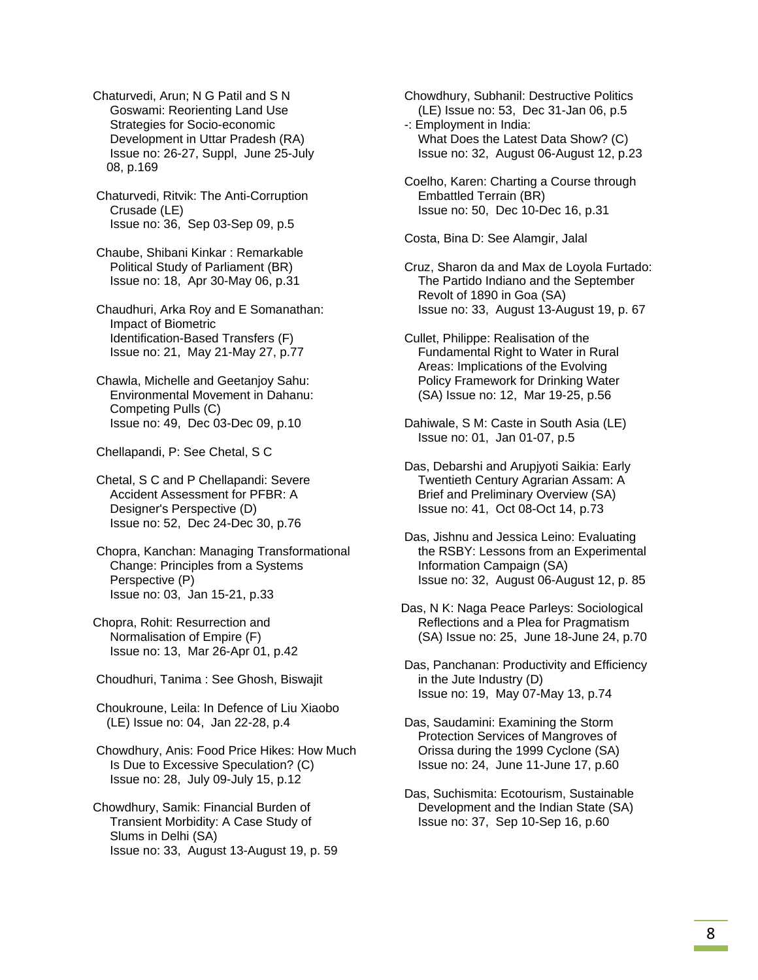- Chaturvedi, Arun; N G Patil and S N Goswami: Reorienting Land Use Strategies for Socio-economic Development in Uttar Pradesh (RA) Issue no: 26-27, Suppl, June 25-July 08, p.169
- Chaturvedi, Ritvik: The Anti-Corruption Crusade (LE) Issue no: 36, Sep 03-Sep 09, p.5

 Chaube, Shibani Kinkar : Remarkable Political Study of Parliament (BR) Issue no: 18, Apr 30-May 06, p.31

 Chaudhuri, Arka Roy and E Somanathan: Impact of Biometric Identification-Based Transfers (F) Issue no: 21, May 21-May 27, p.77

 Chawla, Michelle and Geetanjoy Sahu: Environmental Movement in Dahanu: Competing Pulls (C) Issue no: 49, Dec 03-Dec 09, p.10

Chellapandi, P: See Chetal, S C

 Chetal, S C and P Chellapandi: Severe Accident Assessment for PFBR: A Designer's Perspective (D) Issue no: 52, Dec 24-Dec 30, p.76

 Chopra, Kanchan: Managing Transformational Change: Principles from a Systems Perspective (P) Issue no: 03, Jan 15-21, p.33

Chopra, Rohit: Resurrection and Normalisation of Empire (F) Issue no: 13, Mar 26-Apr 01, p.42

Choudhuri, Tanima : See Ghosh, Biswajit

 Choukroune, Leila: In Defence of Liu Xiaobo (LE) Issue no: 04, Jan 22-28, p.4

 Chowdhury, Anis: Food Price Hikes: How Much Is Due to Excessive Speculation? (C) Issue no: 28, July 09-July 15, p.12

Chowdhury, Samik: Financial Burden of Transient Morbidity: A Case Study of Slums in Delhi (SA) Issue no: 33, August 13-August 19, p. 59  Chowdhury, Subhanil: Destructive Politics (LE) Issue no: 53, Dec 31-Jan 06, p.5 -: Employment in India:

- What Does the Latest Data Show? (C) Issue no: 32, August 06-August 12, p.23
- Coelho, Karen: Charting a Course through Embattled Terrain (BR) Issue no: 50, Dec 10-Dec 16, p.31

Costa, Bina D: See Alamgir, Jalal

- Cruz, Sharon da and Max de Loyola Furtado: The Partido Indiano and the September Revolt of 1890 in Goa (SA) Issue no: 33, August 13-August 19, p. 67
- Cullet, Philippe: Realisation of the Fundamental Right to Water in Rural Areas: Implications of the Evolving Policy Framework for Drinking Water (SA) Issue no: 12, Mar 19-25, p.56
- Dahiwale, S M: Caste in South Asia (LE) Issue no: 01, Jan 01-07, p.5
- Das, Debarshi and Arupjyoti Saikia: Early Twentieth Century Agrarian Assam: A Brief and Preliminary Overview (SA) Issue no: 41, Oct 08-Oct 14, p.73
- Das, Jishnu and Jessica Leino: Evaluating the RSBY: Lessons from an Experimental Information Campaign (SA) Issue no: 32, August 06-August 12, p. 85
- Das, N K: Naga Peace Parleys: Sociological Reflections and a Plea for Pragmatism (SA) Issue no: 25, June 18-June 24, p.70

 Das, Panchanan: Productivity and Efficiency in the Jute Industry (D) Issue no: 19, May 07-May 13, p.74

- Das, Saudamini: Examining the Storm Protection Services of Mangroves of Orissa during the 1999 Cyclone (SA) Issue no: 24, June 11-June 17, p.60
- Das, Suchismita: Ecotourism, Sustainable Development and the Indian State (SA) Issue no: 37, Sep 10-Sep 16, p.60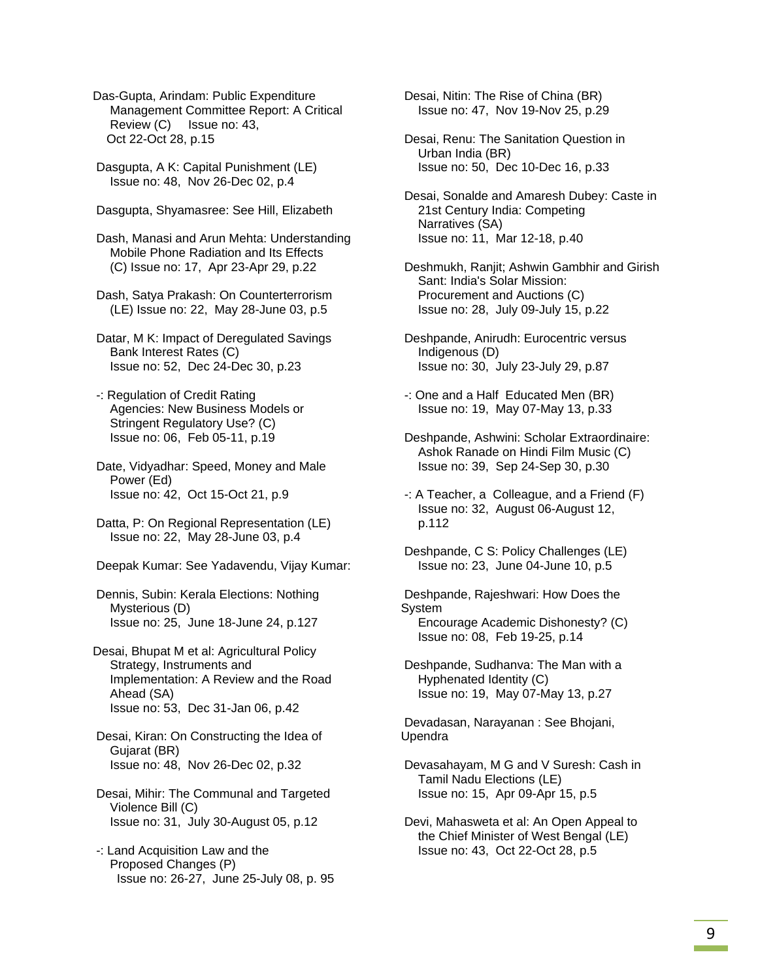Das-Gupta, Arindam: Public Expenditure Management Committee Report: A Critical Review (C) Issue no: 43, Oct 22-Oct 28, p.15

 Dasgupta, A K: Capital Punishment (LE) Issue no: 48, Nov 26-Dec 02, p.4

Dasgupta, Shyamasree: See Hill, Elizabeth

 Dash, Manasi and Arun Mehta: Understanding Mobile Phone Radiation and Its Effects (C) Issue no: 17, Apr 23-Apr 29, p.22

 Dash, Satya Prakash: On Counterterrorism (LE) Issue no: 22, May 28-June 03, p.5

 Datar, M K: Impact of Deregulated Savings Bank Interest Rates (C) Issue no: 52, Dec 24-Dec 30, p.23

 -: Regulation of Credit Rating Agencies: New Business Models or Stringent Regulatory Use? (C) Issue no: 06, Feb 05-11, p.19

 Date, Vidyadhar: Speed, Money and Male Power (Ed) Issue no: 42, Oct 15-Oct 21, p.9

 Datta, P: On Regional Representation (LE) Issue no: 22, May 28-June 03, p.4

Deepak Kumar: See Yadavendu, Vijay Kumar:

 Dennis, Subin: Kerala Elections: Nothing Mysterious (D) Issue no: 25, June 18-June 24, p.127

Desai, Bhupat M et al: Agricultural Policy Strategy, Instruments and Implementation: A Review and the Road Ahead (SA) Issue no: 53, Dec 31-Jan 06, p.42

 Desai, Kiran: On Constructing the Idea of Gujarat (BR) Issue no: 48, Nov 26-Dec 02, p.32

 Desai, Mihir: The Communal and Targeted Violence Bill (C) Issue no: 31, July 30-August 05, p.12

 -: Land Acquisition Law and the Proposed Changes (P) Issue no: 26-27, June 25-July 08, p. 95  Desai, Nitin: The Rise of China (BR) Issue no: 47, Nov 19-Nov 25, p.29

 Desai, Renu: The Sanitation Question in Urban India (BR) Issue no: 50, Dec 10-Dec 16, p.33

 Desai, Sonalde and Amaresh Dubey: Caste in 21st Century India: Competing Narratives (SA) Issue no: 11, Mar 12-18, p.40

 Deshmukh, Ranjit; Ashwin Gambhir and Girish Sant: India's Solar Mission: Procurement and Auctions (C) Issue no: 28, July 09-July 15, p.22

 Deshpande, Anirudh: Eurocentric versus Indigenous (D) Issue no: 30, July 23-July 29, p.87

 -: One and a Half Educated Men (BR) Issue no: 19, May 07-May 13, p.33

 Deshpande, Ashwini: Scholar Extraordinaire: Ashok Ranade on Hindi Film Music (C) Issue no: 39, Sep 24-Sep 30, p.30

 -: A Teacher, a Colleague, and a Friend (F) Issue no: 32, August 06-August 12, p.112

 Deshpande, C S: Policy Challenges (LE) Issue no: 23, June 04-June 10, p.5

 Deshpande, Rajeshwari: How Does the System Encourage Academic Dishonesty? (C) Issue no: 08, Feb 19-25, p.14

 Deshpande, Sudhanva: The Man with a Hyphenated Identity (C) Issue no: 19, May 07-May 13, p.27

 Devadasan, Narayanan : See Bhojani, Upendra

 Devasahayam, M G and V Suresh: Cash in Tamil Nadu Elections (LE) Issue no: 15, Apr 09-Apr 15, p.5

 Devi, Mahasweta et al: An Open Appeal to the Chief Minister of West Bengal (LE) Issue no: 43, Oct 22-Oct 28, p.5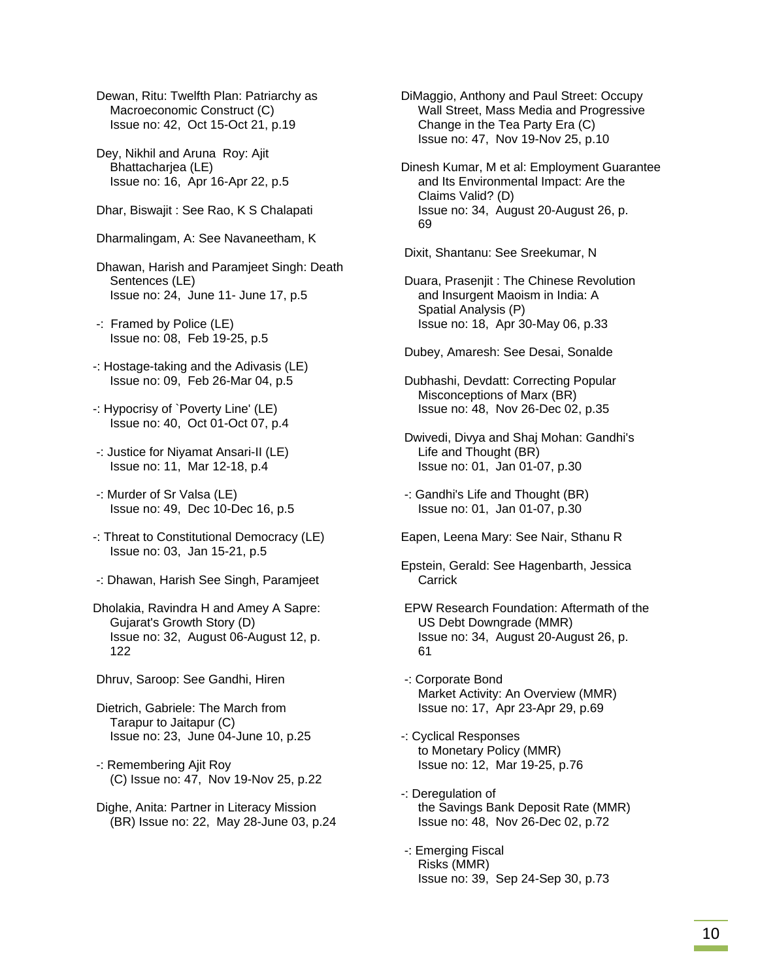Dewan, Ritu: Twelfth Plan: Patriarchy as Macroeconomic Construct (C) Issue no: 42, Oct 15-Oct 21, p.19

 Dey, Nikhil and Aruna Roy: Ajit Bhattacharjea (LE) Issue no: 16, Apr 16-Apr 22, p.5

Dhar, Biswajit : See Rao, K S Chalapati

Dharmalingam, A: See Navaneetham, K

 Dhawan, Harish and Paramjeet Singh: Death Sentences (LE) Issue no: 24, June 11- June 17, p.5

 -: Framed by Police (LE) Issue no: 08, Feb 19-25, p.5

-: Hostage-taking and the Adivasis (LE) Issue no: 09, Feb 26-Mar 04, p.5

- -: Hypocrisy of `Poverty Line' (LE) Issue no: 40, Oct 01-Oct 07, p.4
- -: Justice for Niyamat Ansari-II (LE) Issue no: 11, Mar 12-18, p.4

 -: Murder of Sr Valsa (LE) Issue no: 49, Dec 10-Dec 16, p.5

- -: Threat to Constitutional Democracy (LE) Issue no: 03, Jan 15-21, p.5
- -: Dhawan, Harish See Singh, Paramjeet

Dholakia, Ravindra H and Amey A Sapre: Gujarat's Growth Story (D) Issue no: 32, August 06-August 12, p. 122

Dhruv, Saroop: See Gandhi, Hiren

 Dietrich, Gabriele: The March from Tarapur to Jaitapur (C) Issue no: 23, June 04-June 10, p.25

 -: Remembering Ajit Roy (C) Issue no: 47, Nov 19-Nov 25, p.22

 Dighe, Anita: Partner in Literacy Mission (BR) Issue no: 22, May 28-June 03, p.24 DiMaggio, Anthony and Paul Street: Occupy Wall Street, Mass Media and Progressive Change in the Tea Party Era (C) Issue no: 47, Nov 19-Nov 25, p.10

Dinesh Kumar, M et al: Employment Guarantee and Its Environmental Impact: Are the Claims Valid? (D) Issue no: 34, August 20-August 26, p. 69

Dixit, Shantanu: See Sreekumar, N

- Duara, Prasenjit : The Chinese Revolution and Insurgent Maoism in India: A Spatial Analysis (P) Issue no: 18, Apr 30-May 06, p.33
- Dubey, Amaresh: See Desai, Sonalde

 Dubhashi, Devdatt: Correcting Popular Misconceptions of Marx (BR) Issue no: 48, Nov 26-Dec 02, p.35

 Dwivedi, Divya and Shaj Mohan: Gandhi's Life and Thought (BR) Issue no: 01, Jan 01-07, p.30

 -: Gandhi's Life and Thought (BR) Issue no: 01, Jan 01-07, p.30

Eapen, Leena Mary: See Nair, Sthanu R

- Epstein, Gerald: See Hagenbarth, Jessica **Carrick**
- EPW Research Foundation: Aftermath of the US Debt Downgrade (MMR) Issue no: 34, August 20-August 26, p. 61

 -: Corporate Bond Market Activity: An Overview (MMR) Issue no: 17, Apr 23-Apr 29, p.69

- -: Cyclical Responses to Monetary Policy (MMR) Issue no: 12, Mar 19-25, p.76
- -: Deregulation of the Savings Bank Deposit Rate (MMR) Issue no: 48, Nov 26-Dec 02, p.72
- -: Emerging Fiscal Risks (MMR) Issue no: 39, Sep 24-Sep 30, p.73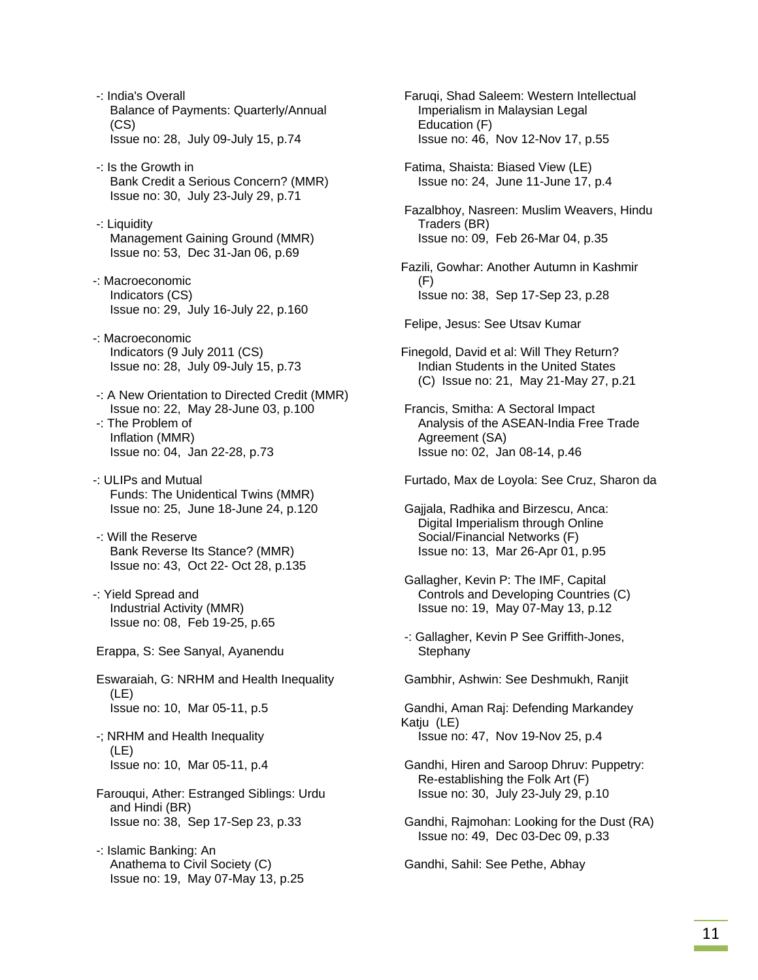-: India's Overall Balance of Payments: Quarterly/Annual (CS) Issue no: 28, July 09-July 15, p.74

- -: Is the Growth in Bank Credit a Serious Concern? (MMR) Issue no: 30, July 23-July 29, p.71
- -: Liquidity Management Gaining Ground (MMR) Issue no: 53, Dec 31-Jan 06, p.69
- -: Macroeconomic Indicators (CS) Issue no: 29, July 16-July 22, p.160
- -: Macroeconomic Indicators (9 July 2011 (CS) Issue no: 28, July 09-July 15, p.73
- -: A New Orientation to Directed Credit (MMR) Issue no: 22, May 28-June 03, p.100
- -: The Problem of Inflation (MMR) Issue no: 04, Jan 22-28, p.73
- -: ULIPs and Mutual Funds: The Unidentical Twins (MMR) Issue no: 25, June 18-June 24, p.120
- -: Will the Reserve Bank Reverse Its Stance? (MMR) Issue no: 43, Oct 22- Oct 28, p.135
- -: Yield Spread and Industrial Activity (MMR) Issue no: 08, Feb 19-25, p.65
- Erappa, S: See Sanyal, Ayanendu
- Eswaraiah, G: NRHM and Health Inequality (LE) Issue no: 10, Mar 05-11, p.5
- -; NRHM and Health Inequality (LE) Issue no: 10, Mar 05-11, p.4
- Farouqui, Ather: Estranged Siblings: Urdu and Hindi (BR) Issue no: 38, Sep 17-Sep 23, p.33
- -: Islamic Banking: An Anathema to Civil Society (C) Issue no: 19, May 07-May 13, p.25

 Faruqi, Shad Saleem: Western Intellectual Imperialism in Malaysian Legal Education (F) Issue no: 46, Nov 12-Nov 17, p.55

 Fatima, Shaista: Biased View (LE) Issue no: 24, June 11-June 17, p.4

 Fazalbhoy, Nasreen: Muslim Weavers, Hindu Traders (BR) Issue no: 09, Feb 26-Mar 04, p.35

Fazili, Gowhar: Another Autumn in Kashmir (F) Issue no: 38, Sep 17-Sep 23, p.28

Felipe, Jesus: See Utsav Kumar

- Finegold, David et al: Will They Return? Indian Students in the United States (C) Issue no: 21, May 21-May 27, p.21
- Francis, Smitha: A Sectoral Impact Analysis of the ASEAN-India Free Trade Agreement (SA) Issue no: 02, Jan 08-14, p.46
- Furtado, Max de Loyola: See Cruz, Sharon da
- Gajjala, Radhika and Birzescu, Anca: Digital Imperialism through Online Social/Financial Networks (F) Issue no: 13, Mar 26-Apr 01, p.95
- Gallagher, Kevin P: The IMF, Capital Controls and Developing Countries (C) Issue no: 19, May 07-May 13, p.12
- -: Gallagher, Kevin P See Griffith-Jones, **Stephany**

Gambhir, Ashwin: See Deshmukh, Ranjit

 Gandhi, Aman Raj: Defending Markandey Katju (LE) Issue no: 47, Nov 19-Nov 25, p.4

- Gandhi, Hiren and Saroop Dhruv: Puppetry: Re-establishing the Folk Art (F) Issue no: 30, July 23-July 29, p.10
- Gandhi, Rajmohan: Looking for the Dust (RA) Issue no: 49, Dec 03-Dec 09, p.33

Gandhi, Sahil: See Pethe, Abhay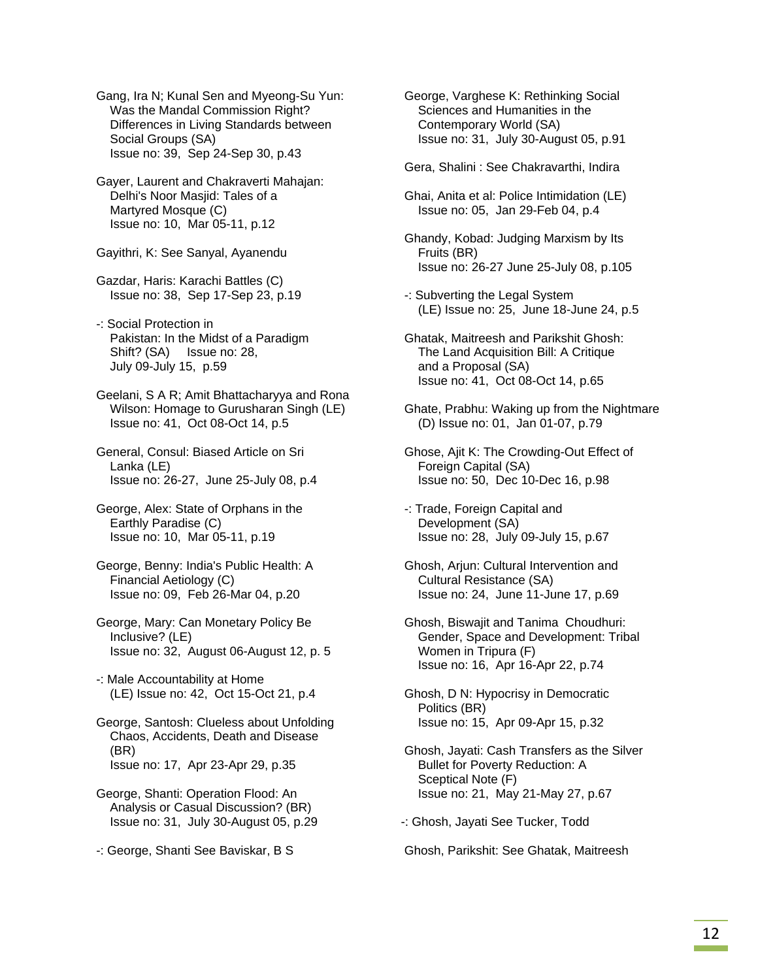Gang, Ira N; Kunal Sen and Myeong-Su Yun: Was the Mandal Commission Right? Differences in Living Standards between Social Groups (SA) Issue no: 39, Sep 24-Sep 30, p.43

 Gayer, Laurent and Chakraverti Mahajan: Delhi's Noor Masjid: Tales of a Martyred Mosque (C) Issue no: 10, Mar 05-11, p.12

Gayithri, K: See Sanyal, Ayanendu

 Gazdar, Haris: Karachi Battles (C) Issue no: 38, Sep 17-Sep 23, p.19

 -: Social Protection in Pakistan: In the Midst of a Paradigm Shift? (SA) Issue no: 28, July 09-July 15, p.59

 Geelani, S A R; Amit Bhattacharyya and Rona Wilson: Homage to Gurusharan Singh (LE) Issue no: 41, Oct 08-Oct 14, p.5

 General, Consul: Biased Article on Sri Lanka (LE) Issue no: 26-27, June 25-July 08, p.4

- George, Alex: State of Orphans in the Earthly Paradise (C) Issue no: 10, Mar 05-11, p.19
- George, Benny: India's Public Health: A Financial Aetiology (C) Issue no: 09, Feb 26-Mar 04, p.20
- George, Mary: Can Monetary Policy Be Inclusive? (LE) Issue no: 32, August 06-August 12, p. 5
- -: Male Accountability at Home (LE) Issue no: 42, Oct 15-Oct 21, p.4

 George, Santosh: Clueless about Unfolding Chaos, Accidents, Death and Disease (BR) Issue no: 17, Apr 23-Apr 29, p.35

 George, Shanti: Operation Flood: An Analysis or Casual Discussion? (BR) Issue no: 31, July 30-August 05, p.29

-: George, Shanti See Baviskar, B S

 George, Varghese K: Rethinking Social Sciences and Humanities in the Contemporary World (SA) Issue no: 31, July 30-August 05, p.91

Gera, Shalini : See Chakravarthi, Indira

 Ghai, Anita et al: Police Intimidation (LE) Issue no: 05, Jan 29-Feb 04, p.4

- Ghandy, Kobad: Judging Marxism by Its Fruits (BR) Issue no: 26-27 June 25-July 08, p.105
- -: Subverting the Legal System (LE) Issue no: 25, June 18-June 24, p.5
- Ghatak, Maitreesh and Parikshit Ghosh: The Land Acquisition Bill: A Critique and a Proposal (SA) Issue no: 41, Oct 08-Oct 14, p.65
- Ghate, Prabhu: Waking up from the Nightmare (D) Issue no: 01, Jan 01-07, p.79

 Ghose, Ajit K: The Crowding-Out Effect of Foreign Capital (SA) Issue no: 50, Dec 10-Dec 16, p.98

- -: Trade, Foreign Capital and Development (SA) Issue no: 28, July 09-July 15, p.67
- Ghosh, Arjun: Cultural Intervention and Cultural Resistance (SA) Issue no: 24, June 11-June 17, p.69
- Ghosh, Biswajit and Tanima Choudhuri: Gender, Space and Development: Tribal Women in Tripura (F) Issue no: 16, Apr 16-Apr 22, p.74

 Ghosh, D N: Hypocrisy in Democratic Politics (BR) Issue no: 15, Apr 09-Apr 15, p.32

 Ghosh, Jayati: Cash Transfers as the Silver Bullet for Poverty Reduction: A Sceptical Note (F) Issue no: 21, May 21-May 27, p.67

-: Ghosh, Jayati See Tucker, Todd

Ghosh, Parikshit: See Ghatak, Maitreesh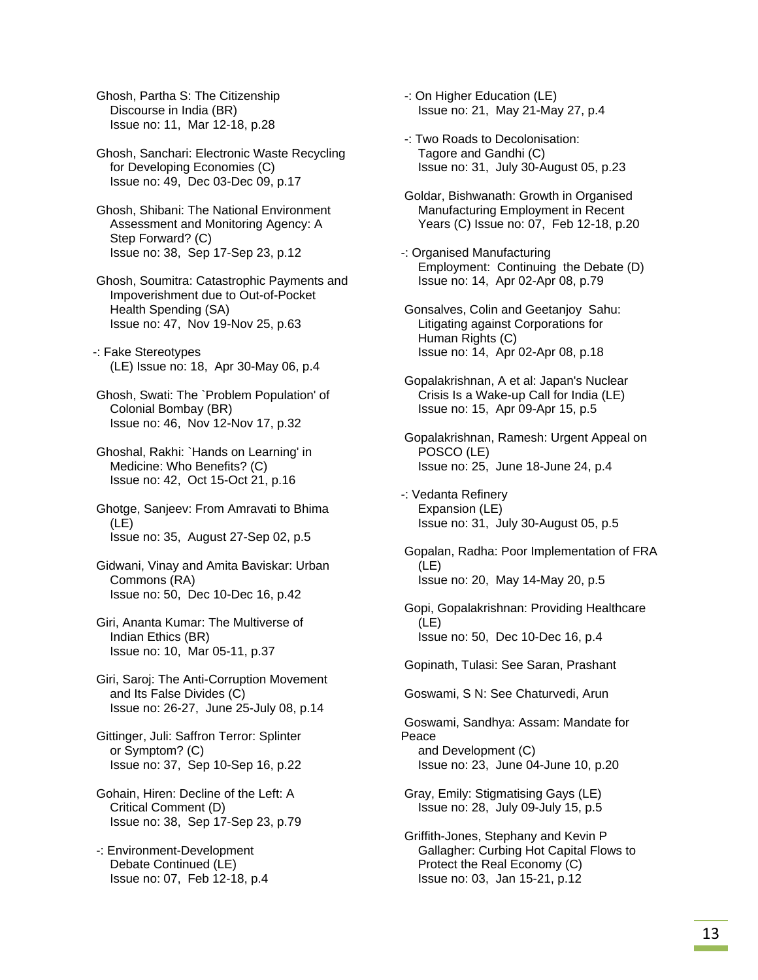Ghosh, Partha S: The Citizenship Discourse in India (BR) Issue no: 11, Mar 12-18, p.28

 Ghosh, Sanchari: Electronic Waste Recycling for Developing Economies (C) Issue no: 49, Dec 03-Dec 09, p.17

 Ghosh, Shibani: The National Environment Assessment and Monitoring Agency: A Step Forward? (C) Issue no: 38, Sep 17-Sep 23, p.12

 Ghosh, Soumitra: Catastrophic Payments and Impoverishment due to Out-of-Pocket Health Spending (SA) Issue no: 47, Nov 19-Nov 25, p.63

-: Fake Stereotypes (LE) Issue no: 18, Apr 30-May 06, p.4

 Ghosh, Swati: The `Problem Population' of Colonial Bombay (BR) Issue no: 46, Nov 12-Nov 17, p.32

 Ghoshal, Rakhi: `Hands on Learning' in Medicine: Who Benefits? (C) Issue no: 42, Oct 15-Oct 21, p.16

 Ghotge, Sanjeev: From Amravati to Bhima (LE) Issue no: 35, August 27-Sep 02, p.5

 Gidwani, Vinay and Amita Baviskar: Urban Commons (RA) Issue no: 50, Dec 10-Dec 16, p.42

 Giri, Ananta Kumar: The Multiverse of Indian Ethics (BR) Issue no: 10, Mar 05-11, p.37

 Giri, Saroj: The Anti-Corruption Movement and Its False Divides (C) Issue no: 26-27, June 25-July 08, p.14

- Gittinger, Juli: Saffron Terror: Splinter or Symptom? (C) Issue no: 37, Sep 10-Sep 16, p.22
- Gohain, Hiren: Decline of the Left: A Critical Comment (D) Issue no: 38, Sep 17-Sep 23, p.79

 -: Environment-Development Debate Continued (LE) Issue no: 07, Feb 12-18, p.4  -: On Higher Education (LE) Issue no: 21, May 21-May 27, p.4

- -: Two Roads to Decolonisation: Tagore and Gandhi (C) Issue no: 31, July 30-August 05, p.23
- Goldar, Bishwanath: Growth in Organised Manufacturing Employment in Recent Years (C) Issue no: 07, Feb 12-18, p.20
- -: Organised Manufacturing Employment: Continuing the Debate (D) Issue no: 14, Apr 02-Apr 08, p.79
- Gonsalves, Colin and Geetanjoy Sahu: Litigating against Corporations for Human Rights (C) Issue no: 14, Apr 02-Apr 08, p.18
- Gopalakrishnan, A et al: Japan's Nuclear Crisis Is a Wake-up Call for India (LE) Issue no: 15, Apr 09-Apr 15, p.5

 Gopalakrishnan, Ramesh: Urgent Appeal on POSCO (LE) Issue no: 25, June 18-June 24, p.4

-: Vedanta Refinery Expansion (LE) Issue no: 31, July 30-August 05, p.5

 Gopalan, Radha: Poor Implementation of FRA (LE) Issue no: 20, May 14-May 20, p.5

 Gopi, Gopalakrishnan: Providing Healthcare (LE) Issue no: 50, Dec 10-Dec 16, p.4

Gopinath, Tulasi: See Saran, Prashant

Goswami, S N: See Chaturvedi, Arun

 Goswami, Sandhya: Assam: Mandate for Peace and Development (C) Issue no: 23, June 04-June 10, p.20

 Gray, Emily: Stigmatising Gays (LE) Issue no: 28, July 09-July 15, p.5

 Griffith-Jones, Stephany and Kevin P Gallagher: Curbing Hot Capital Flows to Protect the Real Economy (C) Issue no: 03, Jan 15-21, p.12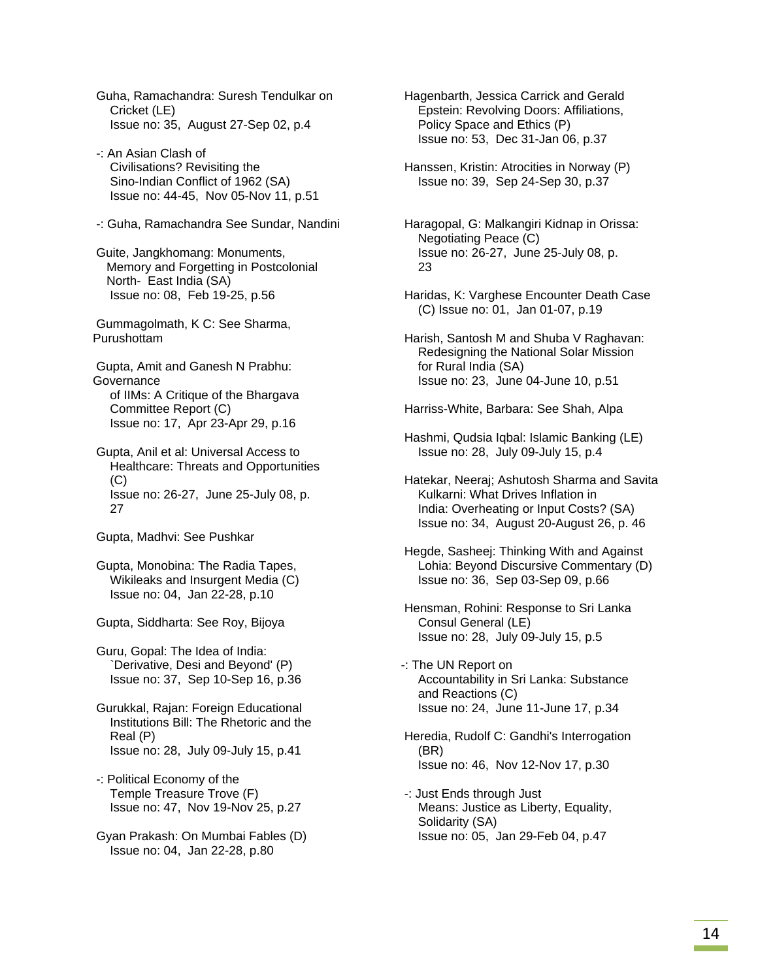Guha, Ramachandra: Suresh Tendulkar on Cricket (LE) Issue no: 35, August 27-Sep 02, p.4

- -: An Asian Clash of Civilisations? Revisiting the Sino-Indian Conflict of 1962 (SA) Issue no: 44-45, Nov 05-Nov 11, p.51
- -: Guha, Ramachandra See Sundar, Nandini

 Guite, Jangkhomang: Monuments, Memory and Forgetting in Postcolonial North- East India (SA) Issue no: 08, Feb 19-25, p.56

 Gummagolmath, K C: See Sharma, Purushottam

 Gupta, Amit and Ganesh N Prabhu: **Governance**  of IIMs: A Critique of the Bhargava Committee Report (C) Issue no: 17, Apr 23-Apr 29, p.16

 Gupta, Anil et al: Universal Access to Healthcare: Threats and Opportunities  $(C)$  Issue no: 26-27, June 25-July 08, p. 27

Gupta, Madhvi: See Pushkar

 Gupta, Monobina: The Radia Tapes, Wikileaks and Insurgent Media (C) Issue no: 04, Jan 22-28, p.10

Gupta, Siddharta: See Roy, Bijoya

 Guru, Gopal: The Idea of India: `Derivative, Desi and Beyond' (P) Issue no: 37, Sep 10-Sep 16, p.36

 Gurukkal, Rajan: Foreign Educational Institutions Bill: The Rhetoric and the Real (P) Issue no: 28, July 09-July 15, p.41

 -: Political Economy of the Temple Treasure Trove (F) Issue no: 47, Nov 19-Nov 25, p.27

 Gyan Prakash: On Mumbai Fables (D) Issue no: 04, Jan 22-28, p.80

 Hagenbarth, Jessica Carrick and Gerald Epstein: Revolving Doors: Affiliations, Policy Space and Ethics (P) Issue no: 53, Dec 31-Jan 06, p.37

 Hanssen, Kristin: Atrocities in Norway (P) Issue no: 39, Sep 24-Sep 30, p.37

 Haragopal, G: Malkangiri Kidnap in Orissa: Negotiating Peace (C) Issue no: 26-27, June 25-July 08, p. 23

 Haridas, K: Varghese Encounter Death Case (C) Issue no: 01, Jan 01-07, p.19

 Harish, Santosh M and Shuba V Raghavan: Redesigning the National Solar Mission for Rural India (SA) Issue no: 23, June 04-June 10, p.51

Harriss-White, Barbara: See Shah, Alpa

 Hashmi, Qudsia Iqbal: Islamic Banking (LE) Issue no: 28, July 09-July 15, p.4

 Hatekar, Neeraj; Ashutosh Sharma and Savita Kulkarni: What Drives Inflation in India: Overheating or Input Costs? (SA) Issue no: 34, August 20-August 26, p. 46

- Hegde, Sasheej: Thinking With and Against Lohia: Beyond Discursive Commentary (D) Issue no: 36, Sep 03-Sep 09, p.66
- Hensman, Rohini: Response to Sri Lanka Consul General (LE) Issue no: 28, July 09-July 15, p.5

-: The UN Report on Accountability in Sri Lanka: Substance and Reactions (C) Issue no: 24, June 11-June 17, p.34

 Heredia, Rudolf C: Gandhi's Interrogation (BR) Issue no: 46, Nov 12-Nov 17, p.30

 -: Just Ends through Just Means: Justice as Liberty, Equality, Solidarity (SA) Issue no: 05, Jan 29-Feb 04, p.47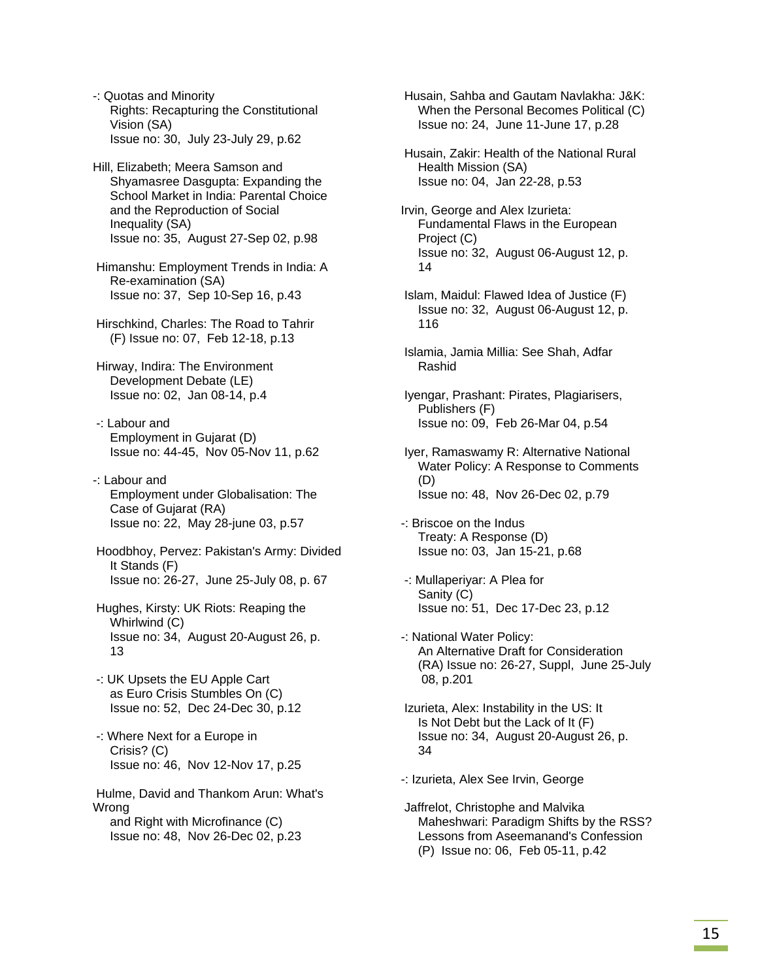-: Quotas and Minority Rights: Recapturing the Constitutional Vision (SA) Issue no: 30, July 23-July 29, p.62

- Hill, Elizabeth; Meera Samson and Shyamasree Dasgupta: Expanding the School Market in India: Parental Choice and the Reproduction of Social Inequality (SA) Issue no: 35, August 27-Sep 02, p.98
- Himanshu: Employment Trends in India: A Re-examination (SA) Issue no: 37, Sep 10-Sep 16, p.43
- Hirschkind, Charles: The Road to Tahrir (F) Issue no: 07, Feb 12-18, p.13
- Hirway, Indira: The Environment Development Debate (LE) Issue no: 02, Jan 08-14, p.4
- -: Labour and Employment in Gujarat (D) Issue no: 44-45, Nov 05-Nov 11, p.62
- -: Labour and Employment under Globalisation: The Case of Gujarat (RA) Issue no: 22, May 28-june 03, p.57
- Hoodbhoy, Pervez: Pakistan's Army: Divided It Stands (F) Issue no: 26-27, June 25-July 08, p. 67
- Hughes, Kirsty: UK Riots: Reaping the Whirlwind (C) Issue no: 34, August 20-August 26, p. 13
- -: UK Upsets the EU Apple Cart as Euro Crisis Stumbles On (C) Issue no: 52, Dec 24-Dec 30, p.12
- -: Where Next for a Europe in Crisis? (C) Issue no: 46, Nov 12-Nov 17, p.25

 Hulme, David and Thankom Arun: What's Wrong and Right with Microfinance (C) Issue no: 48, Nov 26-Dec 02, p.23

 Husain, Sahba and Gautam Navlakha: J&K: When the Personal Becomes Political (C) Issue no: 24, June 11-June 17, p.28

 Husain, Zakir: Health of the National Rural Health Mission (SA) Issue no: 04, Jan 22-28, p.53

- Irvin, George and Alex Izurieta: Fundamental Flaws in the European Project (C) Issue no: 32, August 06-August 12, p. 14
- Islam, Maidul: Flawed Idea of Justice (F) Issue no: 32, August 06-August 12, p. 116
- Islamia, Jamia Millia: See Shah, Adfar Rashid
- Iyengar, Prashant: Pirates, Plagiarisers, Publishers (F) Issue no: 09, Feb 26-Mar 04, p.54
- Iyer, Ramaswamy R: Alternative National Water Policy: A Response to Comments (D) Issue no: 48, Nov 26-Dec 02, p.79
- -: Briscoe on the Indus Treaty: A Response (D) Issue no: 03, Jan 15-21, p.68
- -: Mullaperiyar: A Plea for Sanity (C) Issue no: 51, Dec 17-Dec 23, p.12
- -: National Water Policy: An Alternative Draft for Consideration (RA) Issue no: 26-27, Suppl, June 25-July 08, p.201
- Izurieta, Alex: Instability in the US: It Is Not Debt but the Lack of It (F) Issue no: 34, August 20-August 26, p. 34
- -: Izurieta, Alex See Irvin, George
- Jaffrelot, Christophe and Malvika Maheshwari: Paradigm Shifts by the RSS? Lessons from Aseemanand's Confession (P) Issue no: 06, Feb 05-11, p.42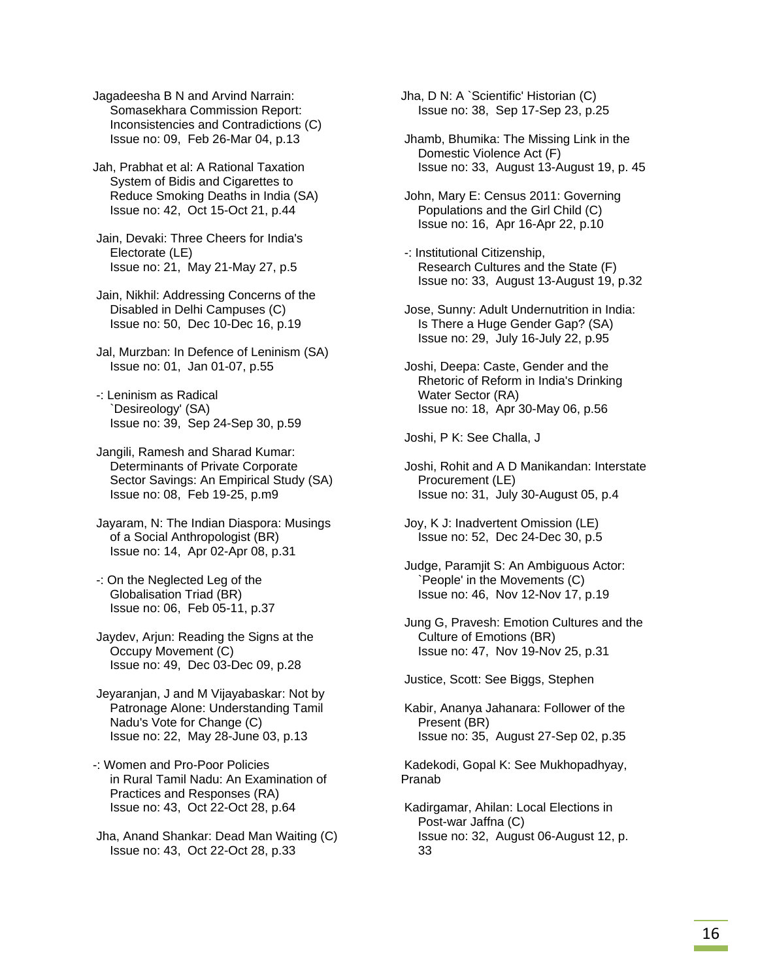Jagadeesha B N and Arvind Narrain: Somasekhara Commission Report: Inconsistencies and Contradictions (C) Issue no: 09, Feb 26-Mar 04, p.13

Jah, Prabhat et al: A Rational Taxation System of Bidis and Cigarettes to Reduce Smoking Deaths in India (SA) Issue no: 42, Oct 15-Oct 21, p.44

 Jain, Devaki: Three Cheers for India's Electorate (LE) Issue no: 21, May 21-May 27, p.5

 Jain, Nikhil: Addressing Concerns of the Disabled in Delhi Campuses (C) Issue no: 50, Dec 10-Dec 16, p.19

 Jal, Murzban: In Defence of Leninism (SA) Issue no: 01, Jan 01-07, p.55

 -: Leninism as Radical `Desireology' (SA) Issue no: 39, Sep 24-Sep 30, p.59

 Jangili, Ramesh and Sharad Kumar: Determinants of Private Corporate Sector Savings: An Empirical Study (SA) Issue no: 08, Feb 19-25, p.m9

 Jayaram, N: The Indian Diaspora: Musings of a Social Anthropologist (BR) Issue no: 14, Apr 02-Apr 08, p.31

 -: On the Neglected Leg of the Globalisation Triad (BR) Issue no: 06, Feb 05-11, p.37

 Jaydev, Arjun: Reading the Signs at the Occupy Movement (C) Issue no: 49, Dec 03-Dec 09, p.28

 Jeyaranjan, J and M Vijayabaskar: Not by Patronage Alone: Understanding Tamil Nadu's Vote for Change (C) Issue no: 22, May 28-June 03, p.13

-: Women and Pro-Poor Policies in Rural Tamil Nadu: An Examination of Practices and Responses (RA) Issue no: 43, Oct 22-Oct 28, p.64

 Jha, Anand Shankar: Dead Man Waiting (C) Issue no: 43, Oct 22-Oct 28, p.33

Jha, D N: A `Scientific' Historian (C) Issue no: 38, Sep 17-Sep 23, p.25

 Jhamb, Bhumika: The Missing Link in the Domestic Violence Act (F) Issue no: 33, August 13-August 19, p. 45

 John, Mary E: Census 2011: Governing Populations and the Girl Child (C) Issue no: 16, Apr 16-Apr 22, p.10

 -: Institutional Citizenship, Research Cultures and the State (F) Issue no: 33, August 13-August 19, p.32

 Jose, Sunny: Adult Undernutrition in India: Is There a Huge Gender Gap? (SA) Issue no: 29, July 16-July 22, p.95

 Joshi, Deepa: Caste, Gender and the Rhetoric of Reform in India's Drinking Water Sector (RA) Issue no: 18, Apr 30-May 06, p.56

Joshi, P K: See Challa, J

 Joshi, Rohit and A D Manikandan: Interstate Procurement (LE) Issue no: 31, July 30-August 05, p.4

 Joy, K J: Inadvertent Omission (LE) Issue no: 52, Dec 24-Dec 30, p.5

 Judge, Paramjit S: An Ambiguous Actor: `People' in the Movements (C) Issue no: 46, Nov 12-Nov 17, p.19

 Jung G, Pravesh: Emotion Cultures and the Culture of Emotions (BR) Issue no: 47, Nov 19-Nov 25, p.31

Justice, Scott: See Biggs, Stephen

 Kabir, Ananya Jahanara: Follower of the Present (BR) Issue no: 35, August 27-Sep 02, p.35

 Kadekodi, Gopal K: See Mukhopadhyay, Pranab

 Kadirgamar, Ahilan: Local Elections in Post-war Jaffna (C) Issue no: 32, August 06-August 12, p. 33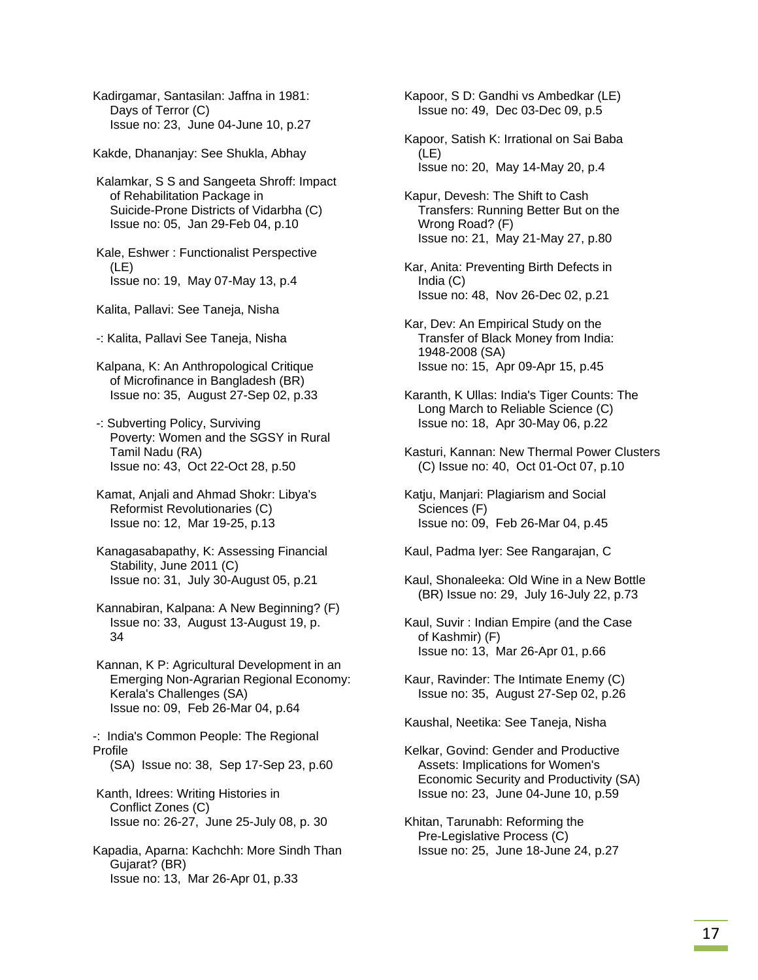Kadirgamar, Santasilan: Jaffna in 1981: Days of Terror (C) Issue no: 23, June 04-June 10, p.27

Kakde, Dhananjay: See Shukla, Abhay

 Kalamkar, S S and Sangeeta Shroff: Impact of Rehabilitation Package in Suicide-Prone Districts of Vidarbha (C) Issue no: 05, Jan 29-Feb 04, p.10

 Kale, Eshwer : Functionalist Perspective (LE) Issue no: 19, May 07-May 13, p.4

Kalita, Pallavi: See Taneja, Nisha

-: Kalita, Pallavi See Taneja, Nisha

 Kalpana, K: An Anthropological Critique of Microfinance in Bangladesh (BR) Issue no: 35, August 27-Sep 02, p.33

 -: Subverting Policy, Surviving Poverty: Women and the SGSY in Rural Tamil Nadu (RA) Issue no: 43, Oct 22-Oct 28, p.50

 Kamat, Anjali and Ahmad Shokr: Libya's Reformist Revolutionaries (C) Issue no: 12, Mar 19-25, p.13

 Kanagasabapathy, K: Assessing Financial Stability, June 2011 (C) Issue no: 31, July 30-August 05, p.21

 Kannabiran, Kalpana: A New Beginning? (F) Issue no: 33, August 13-August 19, p. 34

 Kannan, K P: Agricultural Development in an Emerging Non-Agrarian Regional Economy: Kerala's Challenges (SA) Issue no: 09, Feb 26-Mar 04, p.64

-: India's Common People: The Regional Profile (SA) Issue no: 38, Sep 17-Sep 23, p.60

 Kanth, Idrees: Writing Histories in Conflict Zones (C) Issue no: 26-27, June 25-July 08, p. 30

Kapadia, Aparna: Kachchh: More Sindh Than Gujarat? (BR) Issue no: 13, Mar 26-Apr 01, p.33

 Kapoor, S D: Gandhi vs Ambedkar (LE) Issue no: 49, Dec 03-Dec 09, p.5

 Kapoor, Satish K: Irrational on Sai Baba (LE) Issue no: 20, May 14-May 20, p.4

 Kapur, Devesh: The Shift to Cash Transfers: Running Better But on the Wrong Road? (F) Issue no: 21, May 21-May 27, p.80

 Kar, Anita: Preventing Birth Defects in India (C) Issue no: 48, Nov 26-Dec 02, p.21

 Kar, Dev: An Empirical Study on the Transfer of Black Money from India: 1948-2008 (SA) Issue no: 15, Apr 09-Apr 15, p.45

 Karanth, K Ullas: India's Tiger Counts: The Long March to Reliable Science (C) Issue no: 18, Apr 30-May 06, p.22

 Kasturi, Kannan: New Thermal Power Clusters (C) Issue no: 40, Oct 01-Oct 07, p.10

 Katju, Manjari: Plagiarism and Social Sciences (F) Issue no: 09, Feb 26-Mar 04, p.45

Kaul, Padma Iyer: See Rangarajan, C

 Kaul, Shonaleeka: Old Wine in a New Bottle (BR) Issue no: 29, July 16-July 22, p.73

 Kaul, Suvir : Indian Empire (and the Case of Kashmir) (F) Issue no: 13, Mar 26-Apr 01, p.66

 Kaur, Ravinder: The Intimate Enemy (C) Issue no: 35, August 27-Sep 02, p.26

Kaushal, Neetika: See Taneja, Nisha

 Kelkar, Govind: Gender and Productive Assets: Implications for Women's Economic Security and Productivity (SA) Issue no: 23, June 04-June 10, p.59

 Khitan, Tarunabh: Reforming the Pre-Legislative Process (C) Issue no: 25, June 18-June 24, p.27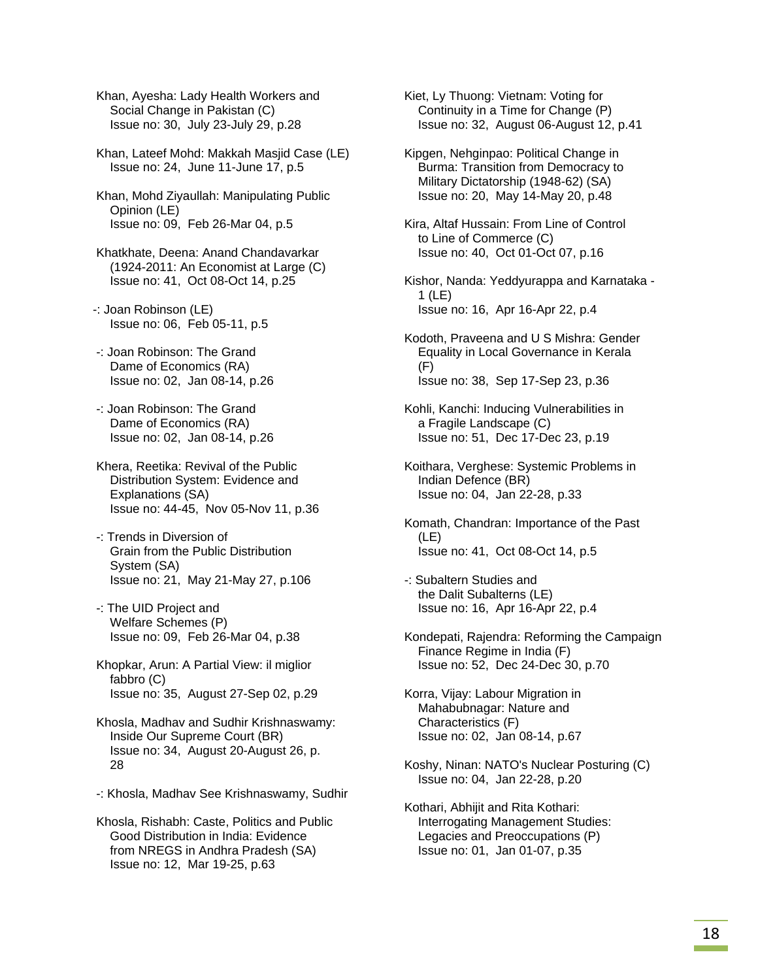Khan, Ayesha: Lady Health Workers and Social Change in Pakistan (C) Issue no: 30, July 23-July 29, p.28

 Khan, Lateef Mohd: Makkah Masjid Case (LE) Issue no: 24, June 11-June 17, p.5

 Khan, Mohd Ziyaullah: Manipulating Public Opinion (LE) Issue no: 09, Feb 26-Mar 04, p.5

 Khatkhate, Deena: Anand Chandavarkar (1924-2011: An Economist at Large (C) Issue no: 41, Oct 08-Oct 14, p.25

-: Joan Robinson (LE) Issue no: 06, Feb 05-11, p.5

 -: Joan Robinson: The Grand Dame of Economics (RA) Issue no: 02, Jan 08-14, p.26

 -: Joan Robinson: The Grand Dame of Economics (RA) Issue no: 02, Jan 08-14, p.26

 Khera, Reetika: Revival of the Public Distribution System: Evidence and Explanations (SA) Issue no: 44-45, Nov 05-Nov 11, p.36

 -: Trends in Diversion of Grain from the Public Distribution System (SA) Issue no: 21, May 21-May 27, p.106

 -: The UID Project and Welfare Schemes (P) Issue no: 09, Feb 26-Mar 04, p.38

 Khopkar, Arun: A Partial View: il miglior fabbro (C) Issue no: 35, August 27-Sep 02, p.29

 Khosla, Madhav and Sudhir Krishnaswamy: Inside Our Supreme Court (BR) Issue no: 34, August 20-August 26, p. 28

-: Khosla, Madhav See Krishnaswamy, Sudhir

 Khosla, Rishabh: Caste, Politics and Public Good Distribution in India: Evidence from NREGS in Andhra Pradesh (SA) Issue no: 12, Mar 19-25, p.63

 Kiet, Ly Thuong: Vietnam: Voting for Continuity in a Time for Change (P) Issue no: 32, August 06-August 12, p.41

 Kipgen, Nehginpao: Political Change in Burma: Transition from Democracy to Military Dictatorship (1948-62) (SA) Issue no: 20, May 14-May 20, p.48

 Kira, Altaf Hussain: From Line of Control to Line of Commerce (C) Issue no: 40, Oct 01-Oct 07, p.16

 Kishor, Nanda: Yeddyurappa and Karnataka - 1 (LE) Issue no: 16, Apr 16-Apr 22, p.4

 Kodoth, Praveena and U S Mishra: Gender Equality in Local Governance in Kerala (F) Issue no: 38, Sep 17-Sep 23, p.36

 Kohli, Kanchi: Inducing Vulnerabilities in a Fragile Landscape (C) Issue no: 51, Dec 17-Dec 23, p.19

 Koithara, Verghese: Systemic Problems in Indian Defence (BR) Issue no: 04, Jan 22-28, p.33

 Komath, Chandran: Importance of the Past (LE) Issue no: 41, Oct 08-Oct 14, p.5

 -: Subaltern Studies and the Dalit Subalterns (LE) Issue no: 16, Apr 16-Apr 22, p.4

 Kondepati, Rajendra: Reforming the Campaign Finance Regime in India (F) Issue no: 52, Dec 24-Dec 30, p.70

 Korra, Vijay: Labour Migration in Mahabubnagar: Nature and Characteristics (F) Issue no: 02, Jan 08-14, p.67

 Koshy, Ninan: NATO's Nuclear Posturing (C) Issue no: 04, Jan 22-28, p.20

 Kothari, Abhijit and Rita Kothari: Interrogating Management Studies: Legacies and Preoccupations (P) Issue no: 01, Jan 01-07, p.35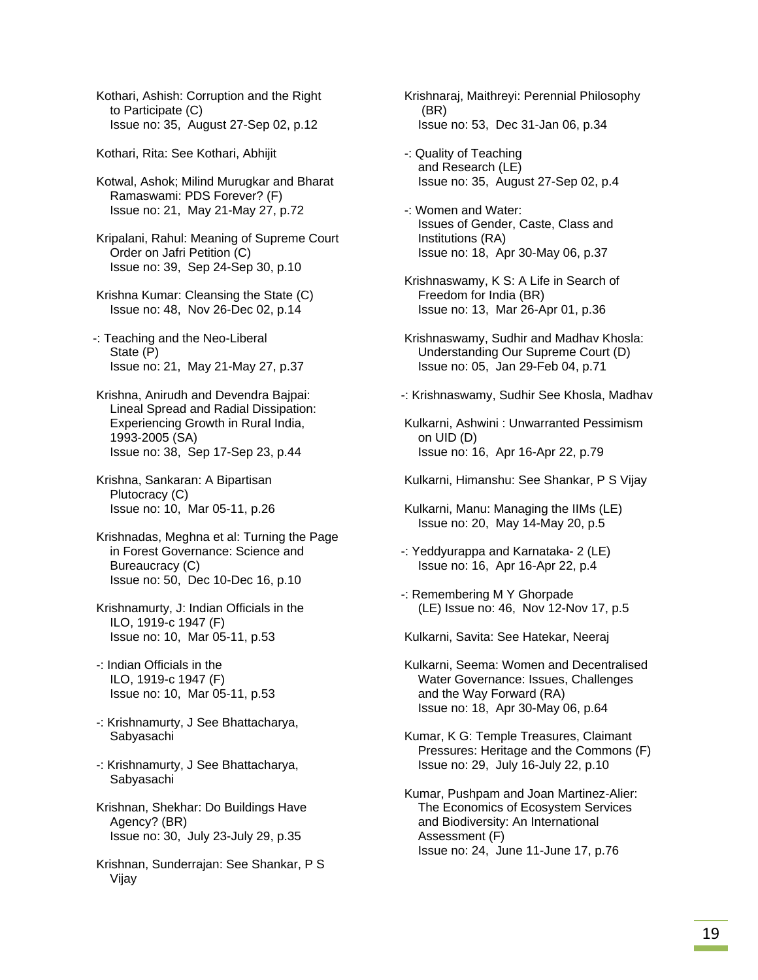Kothari, Ashish: Corruption and the Right to Participate (C) Issue no: 35, August 27-Sep 02, p.12

Kothari, Rita: See Kothari, Abhijit

 Kotwal, Ashok; Milind Murugkar and Bharat Ramaswami: PDS Forever? (F) Issue no: 21, May 21-May 27, p.72

 Kripalani, Rahul: Meaning of Supreme Court Order on Jafri Petition (C) Issue no: 39, Sep 24-Sep 30, p.10

- Krishna Kumar: Cleansing the State (C) Issue no: 48, Nov 26-Dec 02, p.14
- -: Teaching and the Neo-Liberal State (P) Issue no: 21, May 21-May 27, p.37
- Krishna, Anirudh and Devendra Bajpai: Lineal Spread and Radial Dissipation: Experiencing Growth in Rural India, 1993-2005 (SA) Issue no: 38, Sep 17-Sep 23, p.44
- Krishna, Sankaran: A Bipartisan Plutocracy (C) Issue no: 10, Mar 05-11, p.26
- Krishnadas, Meghna et al: Turning the Page in Forest Governance: Science and Bureaucracy (C) Issue no: 50, Dec 10-Dec 16, p.10
- Krishnamurty, J: Indian Officials in the ILO, 1919-c 1947 (F) Issue no: 10, Mar 05-11, p.53
- -: Indian Officials in the ILO, 1919-c 1947 (F) Issue no: 10, Mar 05-11, p.53
- -: Krishnamurty, J See Bhattacharya, Sabyasachi
- -: Krishnamurty, J See Bhattacharya, Sabyasachi
- Krishnan, Shekhar: Do Buildings Have Agency? (BR) Issue no: 30, July 23-July 29, p.35
- Krishnan, Sunderrajan: See Shankar, P S Vijay
- Krishnaraj, Maithreyi: Perennial Philosophy (BR) Issue no: 53, Dec 31-Jan 06, p.34
- -: Quality of Teaching and Research (LE) Issue no: 35, August 27-Sep 02, p.4
- -: Women and Water: Issues of Gender, Caste, Class and Institutions (RA) Issue no: 18, Apr 30-May 06, p.37
- Krishnaswamy, K S: A Life in Search of Freedom for India (BR) Issue no: 13, Mar 26-Apr 01, p.36
- Krishnaswamy, Sudhir and Madhav Khosla: Understanding Our Supreme Court (D) Issue no: 05, Jan 29-Feb 04, p.71
- -: Krishnaswamy, Sudhir See Khosla, Madhav
- Kulkarni, Ashwini : Unwarranted Pessimism on UID (D) Issue no: 16, Apr 16-Apr 22, p.79
- Kulkarni, Himanshu: See Shankar, P S Vijay
- Kulkarni, Manu: Managing the IIMs (LE) Issue no: 20, May 14-May 20, p.5
- -: Yeddyurappa and Karnataka- 2 (LE) Issue no: 16, Apr 16-Apr 22, p.4
- -: Remembering M Y Ghorpade (LE) Issue no: 46, Nov 12-Nov 17, p.5

Kulkarni, Savita: See Hatekar, Neeraj

- Kulkarni, Seema: Women and Decentralised Water Governance: Issues, Challenges and the Way Forward (RA) Issue no: 18, Apr 30-May 06, p.64
- Kumar, K G: Temple Treasures, Claimant Pressures: Heritage and the Commons (F) Issue no: 29, July 16-July 22, p.10
- Kumar, Pushpam and Joan Martinez-Alier: The Economics of Ecosystem Services and Biodiversity: An International Assessment (F) Issue no: 24, June 11-June 17, p.76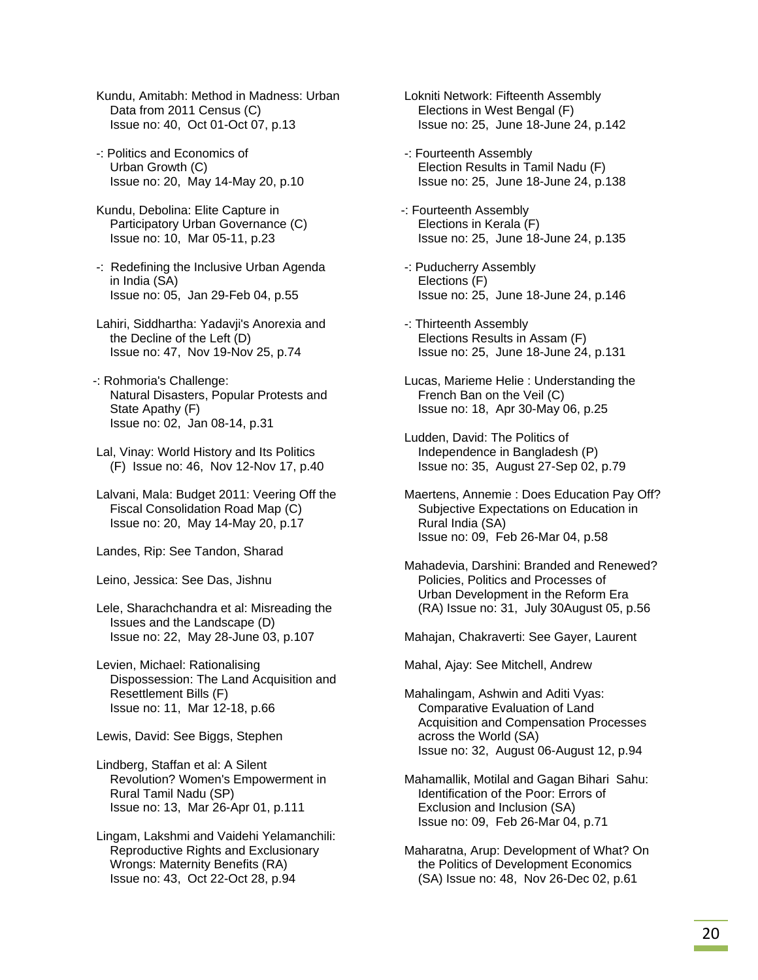- Kundu, Amitabh: Method in Madness: Urban Data from 2011 Census (C) Issue no: 40, Oct 01-Oct 07, p.13
- -: Politics and Economics of Urban Growth (C) Issue no: 20, May 14-May 20, p.10
- Kundu, Debolina: Elite Capture in Participatory Urban Governance (C) Issue no: 10, Mar 05-11, p.23
- -: Redefining the Inclusive Urban Agenda in India (SA) Issue no: 05, Jan 29-Feb 04, p.55
- Lahiri, Siddhartha: Yadavji's Anorexia and the Decline of the Left (D) Issue no: 47, Nov 19-Nov 25, p.74
- -: Rohmoria's Challenge: Natural Disasters, Popular Protests and State Apathy (F) Issue no: 02, Jan 08-14, p.31
- Lal, Vinay: World History and Its Politics (F) Issue no: 46, Nov 12-Nov 17, p.40
- Lalvani, Mala: Budget 2011: Veering Off the Fiscal Consolidation Road Map (C) Issue no: 20, May 14-May 20, p.17
- Landes, Rip: See Tandon, Sharad
- Leino, Jessica: See Das, Jishnu
- Lele, Sharachchandra et al: Misreading the Issues and the Landscape (D) Issue no: 22, May 28-June 03, p.107
- Levien, Michael: Rationalising Dispossession: The Land Acquisition and Resettlement Bills (F) Issue no: 11, Mar 12-18, p.66
- Lewis, David: See Biggs, Stephen
- Lindberg, Staffan et al: A Silent Revolution? Women's Empowerment in Rural Tamil Nadu (SP) Issue no: 13, Mar 26-Apr 01, p.111
- Lingam, Lakshmi and Vaidehi Yelamanchili: Reproductive Rights and Exclusionary Wrongs: Maternity Benefits (RA) Issue no: 43, Oct 22-Oct 28, p.94
- Lokniti Network: Fifteenth Assembly Elections in West Bengal (F) Issue no: 25, June 18-June 24, p.142
- -: Fourteenth Assembly Election Results in Tamil Nadu (F) Issue no: 25, June 18-June 24, p.138
- -: Fourteenth Assembly Elections in Kerala (F) Issue no: 25, June 18-June 24, p.135
- -: Puducherry Assembly Elections (F) Issue no: 25, June 18-June 24, p.146
- -: Thirteenth Assembly Elections Results in Assam (F) Issue no: 25, June 18-June 24, p.131
- Lucas, Marieme Helie : Understanding the French Ban on the Veil (C) Issue no: 18, Apr 30-May 06, p.25
- Ludden, David: The Politics of Independence in Bangladesh (P) Issue no: 35, August 27-Sep 02, p.79
- Maertens, Annemie : Does Education Pay Off? Subjective Expectations on Education in Rural India (SA) Issue no: 09, Feb 26-Mar 04, p.58
- Mahadevia, Darshini: Branded and Renewed? Policies, Politics and Processes of Urban Development in the Reform Era (RA) Issue no: 31, July 30August 05, p.56
- Mahajan, Chakraverti: See Gayer, Laurent

Mahal, Ajay: See Mitchell, Andrew

- Mahalingam, Ashwin and Aditi Vyas: Comparative Evaluation of Land Acquisition and Compensation Processes across the World (SA) Issue no: 32, August 06-August 12, p.94
- Mahamallik, Motilal and Gagan Bihari Sahu: Identification of the Poor: Errors of Exclusion and Inclusion (SA) Issue no: 09, Feb 26-Mar 04, p.71
- Maharatna, Arup: Development of What? On the Politics of Development Economics (SA) Issue no: 48, Nov 26-Dec 02, p.61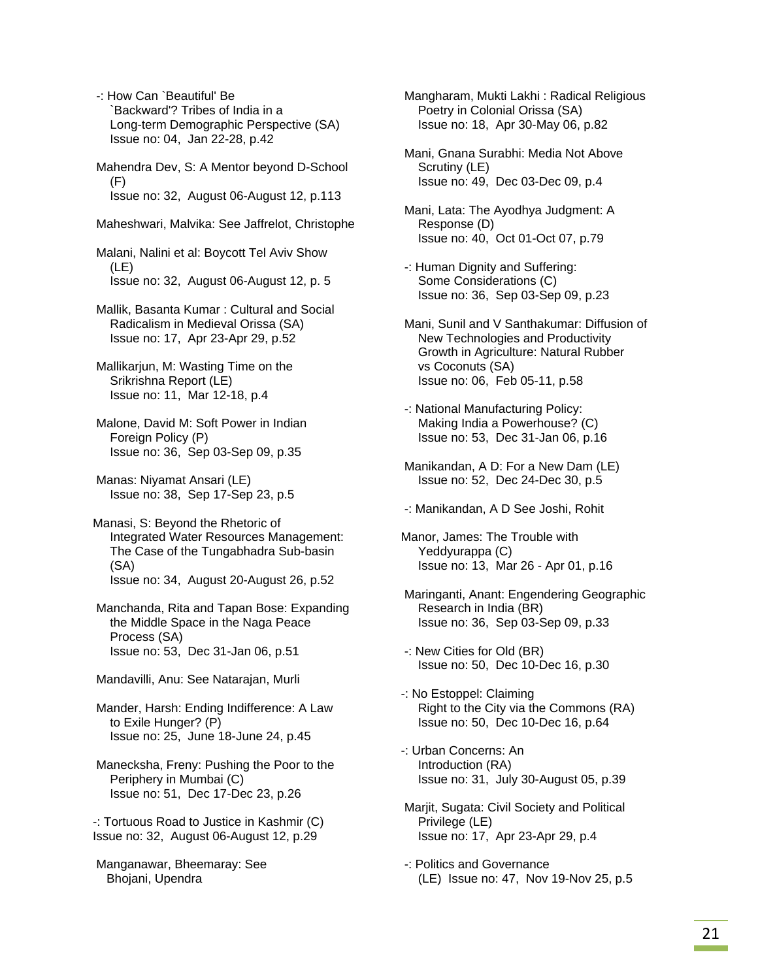-: How Can `Beautiful' Be `Backward'? Tribes of India in a Long-term Demographic Perspective (SA) Issue no: 04, Jan 22-28, p.42

 Mahendra Dev, S: A Mentor beyond D-School (F) Issue no: 32, August 06-August 12, p.113

Maheshwari, Malvika: See Jaffrelot, Christophe

 Malani, Nalini et al: Boycott Tel Aviv Show (LE) Issue no: 32, August 06-August 12, p. 5

- Mallik, Basanta Kumar : Cultural and Social Radicalism in Medieval Orissa (SA) Issue no: 17, Apr 23-Apr 29, p.52
- Mallikarjun, M: Wasting Time on the Srikrishna Report (LE) Issue no: 11, Mar 12-18, p.4
- Malone, David M: Soft Power in Indian Foreign Policy (P) Issue no: 36, Sep 03-Sep 09, p.35
- Manas: Niyamat Ansari (LE) Issue no: 38, Sep 17-Sep 23, p.5
- Manasi, S: Beyond the Rhetoric of Integrated Water Resources Management: The Case of the Tungabhadra Sub-basin (SA) Issue no: 34, August 20-August 26, p.52
- Manchanda, Rita and Tapan Bose: Expanding the Middle Space in the Naga Peace Process (SA) Issue no: 53, Dec 31-Jan 06, p.51
- Mandavilli, Anu: See Natarajan, Murli

 Mander, Harsh: Ending Indifference: A Law to Exile Hunger? (P) Issue no: 25, June 18-June 24, p.45

 Manecksha, Freny: Pushing the Poor to the Periphery in Mumbai (C) Issue no: 51, Dec 17-Dec 23, p.26

-: Tortuous Road to Justice in Kashmir (C) Issue no: 32, August 06-August 12, p.29

 Manganawar, Bheemaray: See Bhojani, Upendra

- Mangharam, Mukti Lakhi : Radical Religious Poetry in Colonial Orissa (SA) Issue no: 18, Apr 30-May 06, p.82
- Mani, Gnana Surabhi: Media Not Above Scrutiny (LE) Issue no: 49, Dec 03-Dec 09, p.4
- Mani, Lata: The Ayodhya Judgment: A Response (D) Issue no: 40, Oct 01-Oct 07, p.79
- -: Human Dignity and Suffering: Some Considerations (C) Issue no: 36, Sep 03-Sep 09, p.23
- Mani, Sunil and V Santhakumar: Diffusion of New Technologies and Productivity Growth in Agriculture: Natural Rubber vs Coconuts (SA) Issue no: 06, Feb 05-11, p.58
- -: National Manufacturing Policy: Making India a Powerhouse? (C) Issue no: 53, Dec 31-Jan 06, p.16
- Manikandan, A D: For a New Dam (LE) Issue no: 52, Dec 24-Dec 30, p.5
- -: Manikandan, A D See Joshi, Rohit
- Manor, James: The Trouble with Yeddyurappa (C) Issue no: 13, Mar 26 - Apr 01, p.16
- Maringanti, Anant: Engendering Geographic Research in India (BR) Issue no: 36, Sep 03-Sep 09, p.33
- -: New Cities for Old (BR) Issue no: 50, Dec 10-Dec 16, p.30
- -: No Estoppel: Claiming Right to the City via the Commons (RA) Issue no: 50, Dec 10-Dec 16, p.64
- -: Urban Concerns: An Introduction (RA) Issue no: 31, July 30-August 05, p.39
- Marjit, Sugata: Civil Society and Political Privilege (LE) Issue no: 17, Apr 23-Apr 29, p.4
- -: Politics and Governance (LE) Issue no: 47, Nov 19-Nov 25, p.5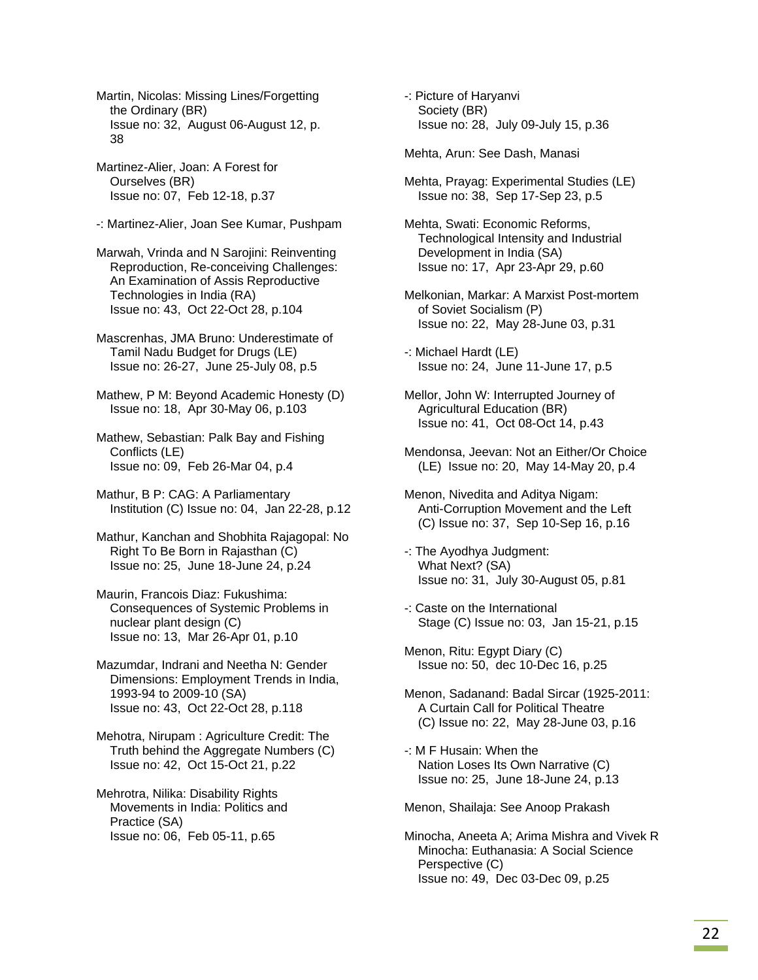Martin, Nicolas: Missing Lines/Forgetting the Ordinary (BR) Issue no: 32, August 06-August 12, p. 38

 Martinez-Alier, Joan: A Forest for Ourselves (BR) Issue no: 07, Feb 12-18, p.37

-: Martinez-Alier, Joan See Kumar, Pushpam

 Marwah, Vrinda and N Sarojini: Reinventing Reproduction, Re-conceiving Challenges: An Examination of Assis Reproductive Technologies in India (RA) Issue no: 43, Oct 22-Oct 28, p.104

 Mascrenhas, JMA Bruno: Underestimate of Tamil Nadu Budget for Drugs (LE) Issue no: 26-27, June 25-July 08, p.5

 Mathew, P M: Beyond Academic Honesty (D) Issue no: 18, Apr 30-May 06, p.103

 Mathew, Sebastian: Palk Bay and Fishing Conflicts (LE) Issue no: 09, Feb 26-Mar 04, p.4

 Mathur, B P: CAG: A Parliamentary Institution (C) Issue no: 04, Jan 22-28, p.12

 Mathur, Kanchan and Shobhita Rajagopal: No Right To Be Born in Rajasthan (C) Issue no: 25, June 18-June 24, p.24

 Maurin, Francois Diaz: Fukushima: Consequences of Systemic Problems in nuclear plant design (C) Issue no: 13, Mar 26-Apr 01, p.10

 Mazumdar, Indrani and Neetha N: Gender Dimensions: Employment Trends in India, 1993-94 to 2009-10 (SA) Issue no: 43, Oct 22-Oct 28, p.118

 Mehotra, Nirupam : Agriculture Credit: The Truth behind the Aggregate Numbers (C) Issue no: 42, Oct 15-Oct 21, p.22

 Mehrotra, Nilika: Disability Rights Movements in India: Politics and Practice (SA) Issue no: 06, Feb 05-11, p.65

 -: Picture of Haryanvi Society (BR) Issue no: 28, July 09-July 15, p.36

Mehta, Arun: See Dash, Manasi

- Mehta, Prayag: Experimental Studies (LE) Issue no: 38, Sep 17-Sep 23, p.5
- Mehta, Swati: Economic Reforms, Technological Intensity and Industrial Development in India (SA) Issue no: 17, Apr 23-Apr 29, p.60
- Melkonian, Markar: A Marxist Post-mortem of Soviet Socialism (P) Issue no: 22, May 28-June 03, p.31
- -: Michael Hardt (LE) Issue no: 24, June 11-June 17, p.5
- Mellor, John W: Interrupted Journey of Agricultural Education (BR) Issue no: 41, Oct 08-Oct 14, p.43
- Mendonsa, Jeevan: Not an Either/Or Choice (LE) Issue no: 20, May 14-May 20, p.4
- Menon, Nivedita and Aditya Nigam: Anti-Corruption Movement and the Left (C) Issue no: 37, Sep 10-Sep 16, p.16
- -: The Ayodhya Judgment: What Next? (SA) Issue no: 31, July 30-August 05, p.81
- -: Caste on the International Stage (C) Issue no: 03, Jan 15-21, p.15

 Menon, Ritu: Egypt Diary (C) Issue no: 50, dec 10-Dec 16, p.25

- Menon, Sadanand: Badal Sircar (1925-2011: A Curtain Call for Political Theatre (C) Issue no: 22, May 28-June 03, p.16
- -: M F Husain: When the Nation Loses Its Own Narrative (C) Issue no: 25, June 18-June 24, p.13

Menon, Shailaja: See Anoop Prakash

 Minocha, Aneeta A; Arima Mishra and Vivek R Minocha: Euthanasia: A Social Science Perspective (C) Issue no: 49, Dec 03-Dec 09, p.25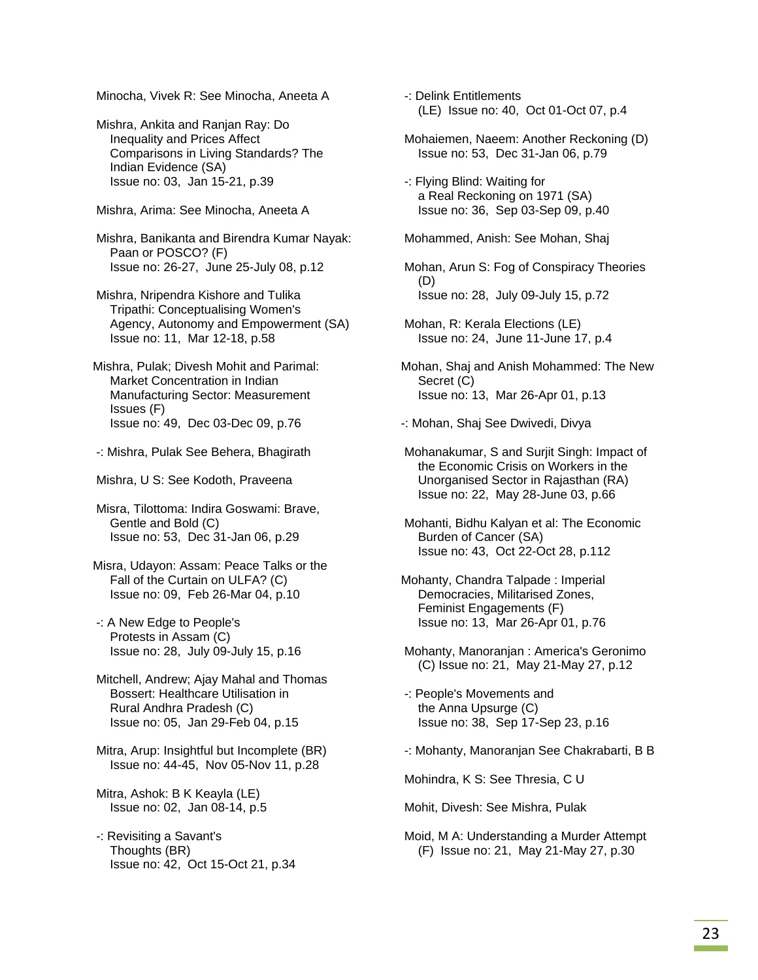Minocha, Vivek R: See Minocha, Aneeta A

 Mishra, Ankita and Ranjan Ray: Do Inequality and Prices Affect Comparisons in Living Standards? The Indian Evidence (SA) Issue no: 03, Jan 15-21, p.39

Mishra, Arima: See Minocha, Aneeta A

 Mishra, Banikanta and Birendra Kumar Nayak: Paan or POSCO? (F) Issue no: 26-27, June 25-July 08, p.12

 Mishra, Nripendra Kishore and Tulika Tripathi: Conceptualising Women's Agency, Autonomy and Empowerment (SA) Issue no: 11, Mar 12-18, p.58

Mishra, Pulak; Divesh Mohit and Parimal: Market Concentration in Indian Manufacturing Sector: Measurement Issues (F) Issue no: 49, Dec 03-Dec 09, p.76

-: Mishra, Pulak See Behera, Bhagirath

Mishra, U S: See Kodoth, Praveena

 Misra, Tilottoma: Indira Goswami: Brave, Gentle and Bold (C) Issue no: 53, Dec 31-Jan 06, p.29

Misra, Udayon: Assam: Peace Talks or the Fall of the Curtain on ULFA? (C) Issue no: 09, Feb 26-Mar 04, p.10

 -: A New Edge to People's Protests in Assam (C) Issue no: 28, July 09-July 15, p.16

 Mitchell, Andrew; Ajay Mahal and Thomas Bossert: Healthcare Utilisation in Rural Andhra Pradesh (C) Issue no: 05, Jan 29-Feb 04, p.15

 Mitra, Arup: Insightful but Incomplete (BR) Issue no: 44-45, Nov 05-Nov 11, p.28

 Mitra, Ashok: B K Keayla (LE) Issue no: 02, Jan 08-14, p.5

 -: Revisiting a Savant's Thoughts (BR) Issue no: 42, Oct 15-Oct 21, p.34  -: Delink Entitlements (LE) Issue no: 40, Oct 01-Oct 07, p.4

 Mohaiemen, Naeem: Another Reckoning (D) Issue no: 53, Dec 31-Jan 06, p.79

 -: Flying Blind: Waiting for a Real Reckoning on 1971 (SA) Issue no: 36, Sep 03-Sep 09, p.40

Mohammed, Anish: See Mohan, Shaj

 Mohan, Arun S: Fog of Conspiracy Theories (D) Issue no: 28, July 09-July 15, p.72

 Mohan, R: Kerala Elections (LE) Issue no: 24, June 11-June 17, p.4

Mohan, Shaj and Anish Mohammed: The New Secret (C) Issue no: 13, Mar 26-Apr 01, p.13

-: Mohan, Shaj See Dwivedi, Divya

 Mohanakumar, S and Surjit Singh: Impact of the Economic Crisis on Workers in the Unorganised Sector in Rajasthan (RA) Issue no: 22, May 28-June 03, p.66

 Mohanti, Bidhu Kalyan et al: The Economic Burden of Cancer (SA) Issue no: 43, Oct 22-Oct 28, p.112

Mohanty, Chandra Talpade : Imperial Democracies, Militarised Zones, Feminist Engagements (F) Issue no: 13, Mar 26-Apr 01, p.76

 Mohanty, Manoranjan : America's Geronimo (C) Issue no: 21, May 21-May 27, p.12

 -: People's Movements and the Anna Upsurge (C) Issue no: 38, Sep 17-Sep 23, p.16

-: Mohanty, Manoranjan See Chakrabarti, B B

Mohindra, K S: See Thresia, C U

Mohit, Divesh: See Mishra, Pulak

 Moid, M A: Understanding a Murder Attempt (F) Issue no: 21, May 21-May 27, p.30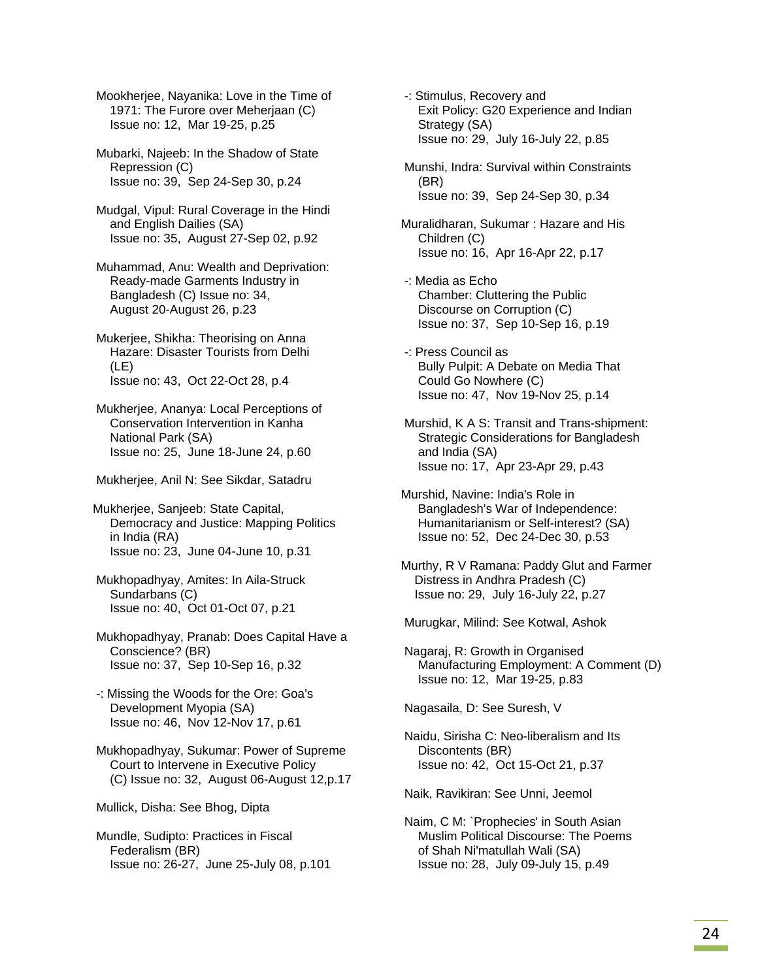Mookherjee, Nayanika: Love in the Time of 1971: The Furore over Meherjaan (C) Issue no: 12, Mar 19-25, p.25

 Mubarki, Najeeb: In the Shadow of State Repression (C) Issue no: 39, Sep 24-Sep 30, p.24

 Mudgal, Vipul: Rural Coverage in the Hindi and English Dailies (SA) Issue no: 35, August 27-Sep 02, p.92

 Muhammad, Anu: Wealth and Deprivation: Ready-made Garments Industry in Bangladesh (C) Issue no: 34, August 20-August 26, p.23

 Mukerjee, Shikha: Theorising on Anna Hazare: Disaster Tourists from Delhi (LE) Issue no: 43, Oct 22-Oct 28, p.4

 Mukherjee, Ananya: Local Perceptions of Conservation Intervention in Kanha National Park (SA) Issue no: 25, June 18-June 24, p.60

Mukherjee, Anil N: See Sikdar, Satadru

Mukherjee, Sanjeeb: State Capital, Democracy and Justice: Mapping Politics in India (RA) Issue no: 23, June 04-June 10, p.31

 Mukhopadhyay, Amites: In Aila-Struck Sundarbans (C) Issue no: 40, Oct 01-Oct 07, p.21

 Mukhopadhyay, Pranab: Does Capital Have a Conscience? (BR) Issue no: 37, Sep 10-Sep 16, p.32

 -: Missing the Woods for the Ore: Goa's Development Myopia (SA) Issue no: 46, Nov 12-Nov 17, p.61

 Mukhopadhyay, Sukumar: Power of Supreme Court to Intervene in Executive Policy (C) Issue no: 32, August 06-August 12,p.17

Mullick, Disha: See Bhog, Dipta

 Mundle, Sudipto: Practices in Fiscal Federalism (BR) Issue no: 26-27, June 25-July 08, p.101  -: Stimulus, Recovery and Exit Policy: G20 Experience and Indian Strategy (SA) Issue no: 29, July 16-July 22, p.85

 Munshi, Indra: Survival within Constraints (BR) Issue no: 39, Sep 24-Sep 30, p.34

Muralidharan, Sukumar : Hazare and His Children (C) Issue no: 16, Apr 16-Apr 22, p.17

 -: Media as Echo Chamber: Cluttering the Public Discourse on Corruption (C) Issue no: 37, Sep 10-Sep 16, p.19

 -: Press Council as Bully Pulpit: A Debate on Media That Could Go Nowhere (C) Issue no: 47, Nov 19-Nov 25, p.14

 Murshid, K A S: Transit and Trans-shipment: Strategic Considerations for Bangladesh and India (SA) Issue no: 17, Apr 23-Apr 29, p.43

Murshid, Navine: India's Role in Bangladesh's War of Independence: Humanitarianism or Self-interest? (SA) Issue no: 52, Dec 24-Dec 30, p.53

Murthy, R V Ramana: Paddy Glut and Farmer Distress in Andhra Pradesh (C) Issue no: 29, July 16-July 22, p.27

Murugkar, Milind: See Kotwal, Ashok

 Nagaraj, R: Growth in Organised Manufacturing Employment: A Comment (D) Issue no: 12, Mar 19-25, p.83

Nagasaila, D: See Suresh, V

 Naidu, Sirisha C: Neo-liberalism and Its Discontents (BR) Issue no: 42, Oct 15-Oct 21, p.37

Naik, Ravikiran: See Unni, Jeemol

 Naim, C M: `Prophecies' in South Asian Muslim Political Discourse: The Poems of Shah Ni'matullah Wali (SA) Issue no: 28, July 09-July 15, p.49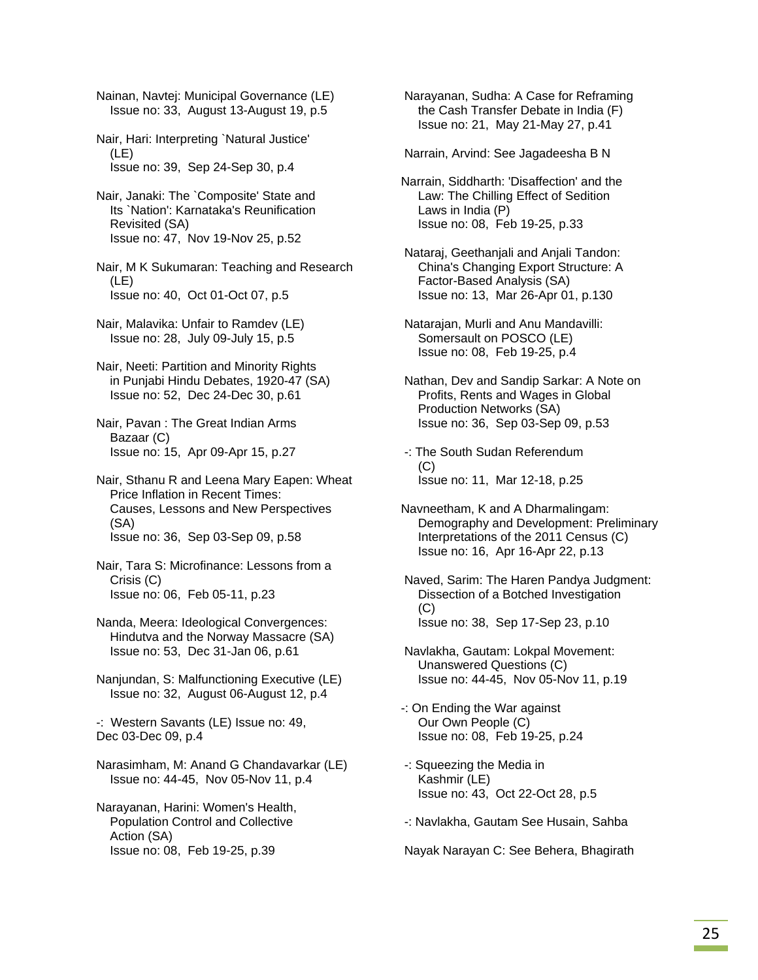Nainan, Navtej: Municipal Governance (LE) Issue no: 33, August 13-August 19, p.5

- Nair, Hari: Interpreting `Natural Justice' (LE) Issue no: 39, Sep 24-Sep 30, p.4
- Nair, Janaki: The `Composite' State and Its `Nation': Karnataka's Reunification Revisited (SA) Issue no: 47, Nov 19-Nov 25, p.52

 Nair, M K Sukumaran: Teaching and Research (LE) Issue no: 40, Oct 01-Oct 07, p.5

- Nair, Malavika: Unfair to Ramdev (LE) Issue no: 28, July 09-July 15, p.5
- Nair, Neeti: Partition and Minority Rights in Punjabi Hindu Debates, 1920-47 (SA) Issue no: 52, Dec 24-Dec 30, p.61
- Nair, Pavan : The Great Indian Arms Bazaar (C) Issue no: 15, Apr 09-Apr 15, p.27
- Nair, Sthanu R and Leena Mary Eapen: Wheat Price Inflation in Recent Times: Causes, Lessons and New Perspectives (SA) Issue no: 36, Sep 03-Sep 09, p.58

 Nair, Tara S: Microfinance: Lessons from a Crisis (C) Issue no: 06, Feb 05-11, p.23

- Nanda, Meera: Ideological Convergences: Hindutva and the Norway Massacre (SA) Issue no: 53, Dec 31-Jan 06, p.61
- Nanjundan, S: Malfunctioning Executive (LE) Issue no: 32, August 06-August 12, p.4
- -: Western Savants (LE) Issue no: 49, Dec 03-Dec 09, p.4
- Narasimham, M: Anand G Chandavarkar (LE) Issue no: 44-45, Nov 05-Nov 11, p.4

 Narayanan, Harini: Women's Health, Population Control and Collective Action (SA) Issue no: 08, Feb 19-25, p.39

 Narayanan, Sudha: A Case for Reframing the Cash Transfer Debate in India (F) Issue no: 21, May 21-May 27, p.41

Narrain, Arvind: See Jagadeesha B N

- Narrain, Siddharth: 'Disaffection' and the Law: The Chilling Effect of Sedition Laws in India (P) Issue no: 08, Feb 19-25, p.33
- Nataraj, Geethanjali and Anjali Tandon: China's Changing Export Structure: A Factor-Based Analysis (SA) Issue no: 13, Mar 26-Apr 01, p.130
- Natarajan, Murli and Anu Mandavilli: Somersault on POSCO (LE) Issue no: 08, Feb 19-25, p.4
- Nathan, Dev and Sandip Sarkar: A Note on Profits, Rents and Wages in Global Production Networks (SA) Issue no: 36, Sep 03-Sep 09, p.53
- -: The South Sudan Referendum  $(C)$ Issue no: 11, Mar 12-18, p.25
- Navneetham, K and A Dharmalingam: Demography and Development: Preliminary Interpretations of the 2011 Census (C) Issue no: 16, Apr 16-Apr 22, p.13
- Naved, Sarim: The Haren Pandya Judgment: Dissection of a Botched Investigation (C) Issue no: 38, Sep 17-Sep 23, p.10
- Navlakha, Gautam: Lokpal Movement: Unanswered Questions (C) Issue no: 44-45, Nov 05-Nov 11, p.19
- -: On Ending the War against Our Own People (C) Issue no: 08, Feb 19-25, p.24
- -: Squeezing the Media in Kashmir (LE) Issue no: 43, Oct 22-Oct 28, p.5
- -: Navlakha, Gautam See Husain, Sahba

Nayak Narayan C: See Behera, Bhagirath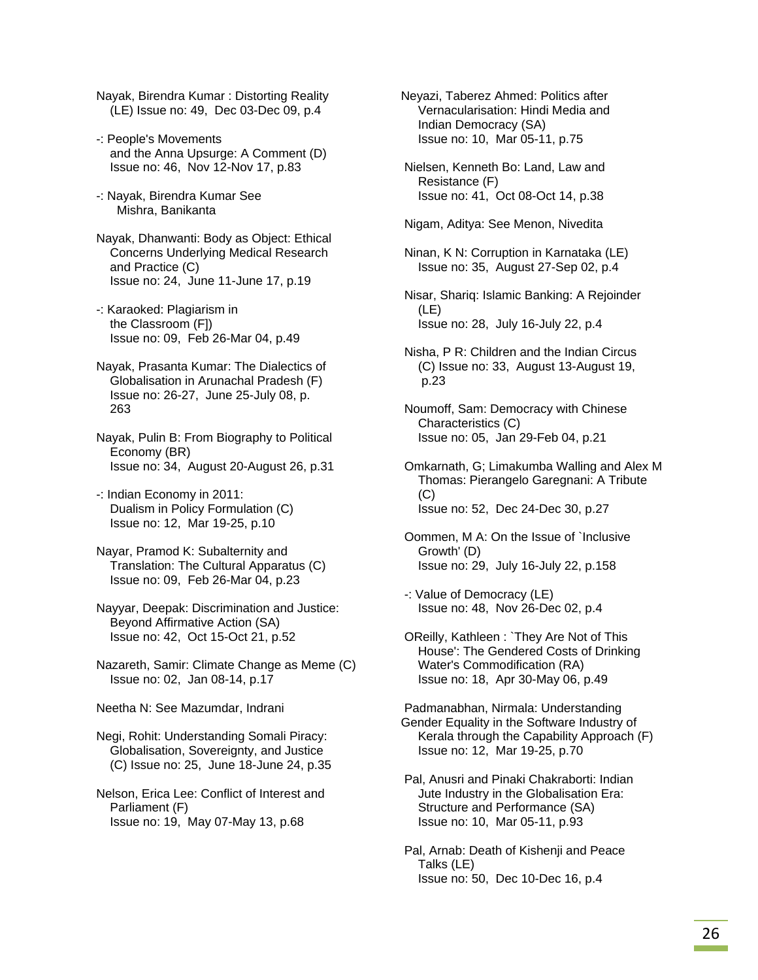- Nayak, Birendra Kumar : Distorting Reality (LE) Issue no: 49, Dec 03-Dec 09, p.4
- -: People's Movements and the Anna Upsurge: A Comment (D) Issue no: 46, Nov 12-Nov 17, p.83
- -: Nayak, Birendra Kumar See Mishra, Banikanta

 Nayak, Dhanwanti: Body as Object: Ethical Concerns Underlying Medical Research and Practice (C) Issue no: 24, June 11-June 17, p.19

- -: Karaoked: Plagiarism in the Classroom (F]) Issue no: 09, Feb 26-Mar 04, p.49
- Nayak, Prasanta Kumar: The Dialectics of Globalisation in Arunachal Pradesh (F) Issue no: 26-27, June 25-July 08, p. 263
- Nayak, Pulin B: From Biography to Political Economy (BR) Issue no: 34, August 20-August 26, p.31
- -: Indian Economy in 2011: Dualism in Policy Formulation (C) Issue no: 12, Mar 19-25, p.10
- Nayar, Pramod K: Subalternity and Translation: The Cultural Apparatus (C) Issue no: 09, Feb 26-Mar 04, p.23
- Nayyar, Deepak: Discrimination and Justice: Beyond Affirmative Action (SA) Issue no: 42, Oct 15-Oct 21, p.52
- Nazareth, Samir: Climate Change as Meme (C) Issue no: 02, Jan 08-14, p.17
- Neetha N: See Mazumdar, Indrani
- Negi, Rohit: Understanding Somali Piracy: Globalisation, Sovereignty, and Justice (C) Issue no: 25, June 18-June 24, p.35
- Nelson, Erica Lee: Conflict of Interest and Parliament (F) Issue no: 19, May 07-May 13, p.68
- Neyazi, Taberez Ahmed: Politics after Vernacularisation: Hindi Media and Indian Democracy (SA) Issue no: 10, Mar 05-11, p.75
- Nielsen, Kenneth Bo: Land, Law and Resistance (F) Issue no: 41, Oct 08-Oct 14, p.38
- Nigam, Aditya: See Menon, Nivedita
- Ninan, K N: Corruption in Karnataka (LE) Issue no: 35, August 27-Sep 02, p.4
- Nisar, Shariq: Islamic Banking: A Rejoinder (LE) Issue no: 28, July 16-July 22, p.4
- Nisha, P R: Children and the Indian Circus (C) Issue no: 33, August 13-August 19, p.23
- Noumoff, Sam: Democracy with Chinese Characteristics (C) Issue no: 05, Jan 29-Feb 04, p.21
- Omkarnath, G; Limakumba Walling and Alex M Thomas: Pierangelo Garegnani: A Tribute (C) Issue no: 52, Dec 24-Dec 30, p.27
- Oommen, M A: On the Issue of `Inclusive Growth' (D) Issue no: 29, July 16-July 22, p.158
- -: Value of Democracy (LE) Issue no: 48, Nov 26-Dec 02, p.4
- OReilly, Kathleen : `They Are Not of This House': The Gendered Costs of Drinking Water's Commodification (RA) Issue no: 18, Apr 30-May 06, p.49
- Padmanabhan, Nirmala: Understanding Gender Equality in the Software Industry of Kerala through the Capability Approach (F) Issue no: 12, Mar 19-25, p.70
- Pal, Anusri and Pinaki Chakraborti: Indian Jute Industry in the Globalisation Era: Structure and Performance (SA) Issue no: 10, Mar 05-11, p.93
- Pal, Arnab: Death of Kishenji and Peace Talks (LE) Issue no: 50, Dec 10-Dec 16, p.4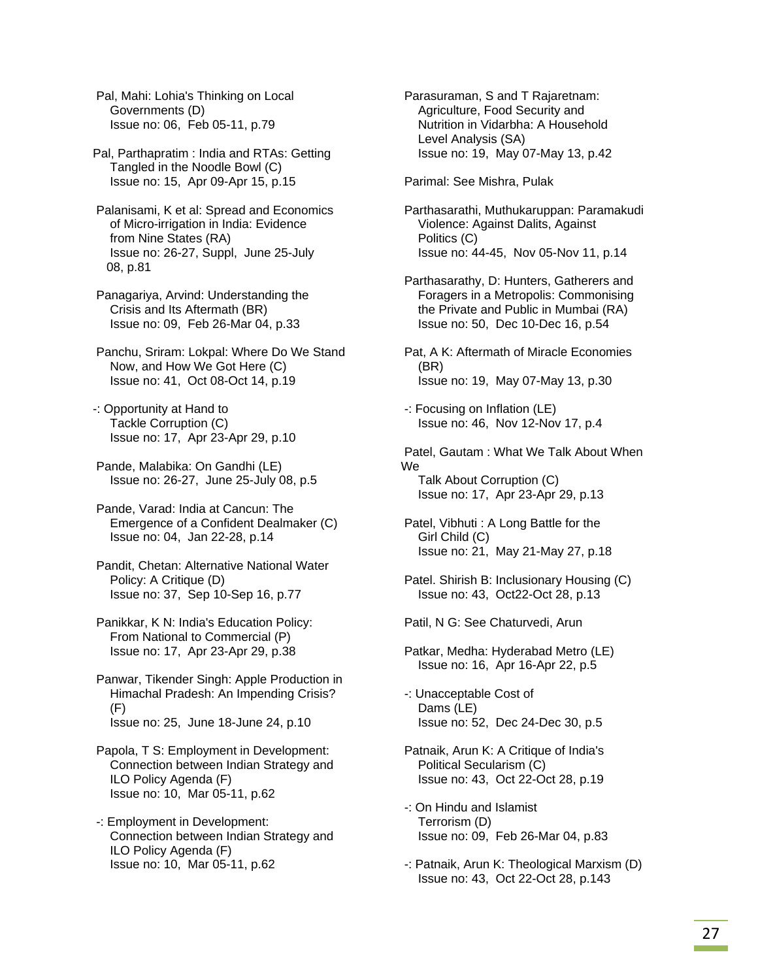Pal, Mahi: Lohia's Thinking on Local Governments (D) Issue no: 06, Feb 05-11, p.79

Pal, Parthapratim : India and RTAs: Getting Tangled in the Noodle Bowl (C) Issue no: 15, Apr 09-Apr 15, p.15

 Palanisami, K et al: Spread and Economics of Micro-irrigation in India: Evidence from Nine States (RA) Issue no: 26-27, Suppl, June 25-July 08, p.81

 Panagariya, Arvind: Understanding the Crisis and Its Aftermath (BR) Issue no: 09, Feb 26-Mar 04, p.33

 Panchu, Sriram: Lokpal: Where Do We Stand Now, and How We Got Here (C) Issue no: 41, Oct 08-Oct 14, p.19

-: Opportunity at Hand to Tackle Corruption (C) Issue no: 17, Apr 23-Apr 29, p.10

 Pande, Malabika: On Gandhi (LE) Issue no: 26-27, June 25-July 08, p.5

 Pande, Varad: India at Cancun: The Emergence of a Confident Dealmaker (C) Issue no: 04, Jan 22-28, p.14

 Pandit, Chetan: Alternative National Water Policy: A Critique (D) Issue no: 37, Sep 10-Sep 16, p.77

 Panikkar, K N: India's Education Policy: From National to Commercial (P) Issue no: 17, Apr 23-Apr 29, p.38

 Panwar, Tikender Singh: Apple Production in Himachal Pradesh: An Impending Crisis? (F) Issue no: 25, June 18-June 24, p.10

 Papola, T S: Employment in Development: Connection between Indian Strategy and ILO Policy Agenda (F) Issue no: 10, Mar 05-11, p.62

 -: Employment in Development: Connection between Indian Strategy and ILO Policy Agenda (F) Issue no: 10, Mar 05-11, p.62

 Parasuraman, S and T Rajaretnam: Agriculture, Food Security and Nutrition in Vidarbha: A Household Level Analysis (SA) Issue no: 19, May 07-May 13, p.42

Parimal: See Mishra, Pulak

 Parthasarathi, Muthukaruppan: Paramakudi Violence: Against Dalits, Against Politics (C) Issue no: 44-45, Nov 05-Nov 11, p.14

 Parthasarathy, D: Hunters, Gatherers and Foragers in a Metropolis: Commonising the Private and Public in Mumbai (RA) Issue no: 50, Dec 10-Dec 16, p.54

 Pat, A K: Aftermath of Miracle Economies (BR) Issue no: 19, May 07-May 13, p.30

 -: Focusing on Inflation (LE) Issue no: 46, Nov 12-Nov 17, p.4

 Patel, Gautam : What We Talk About When We Talk About Corruption (C) Issue no: 17, Apr 23-Apr 29, p.13

 Patel, Vibhuti : A Long Battle for the Girl Child (C) Issue no: 21, May 21-May 27, p.18

 Patel. Shirish B: Inclusionary Housing (C) Issue no: 43, Oct22-Oct 28, p.13

Patil, N G: See Chaturvedi, Arun

 Patkar, Medha: Hyderabad Metro (LE) Issue no: 16, Apr 16-Apr 22, p.5

 -: Unacceptable Cost of Dams (LE) Issue no: 52, Dec 24-Dec 30, p.5

 Patnaik, Arun K: A Critique of India's Political Secularism (C) Issue no: 43, Oct 22-Oct 28, p.19

 -: On Hindu and Islamist Terrorism (D) Issue no: 09, Feb 26-Mar 04, p.83

 -: Patnaik, Arun K: Theological Marxism (D) Issue no: 43, Oct 22-Oct 28, p.143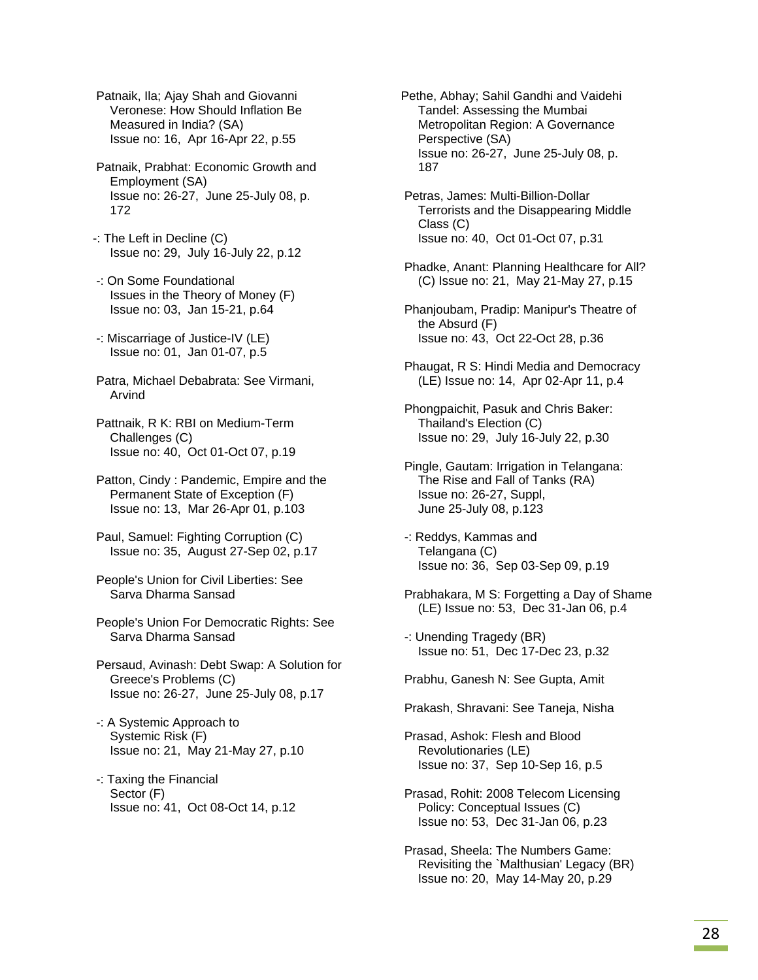Patnaik, Ila; Ajay Shah and Giovanni Veronese: How Should Inflation Be Measured in India? (SA) Issue no: 16, Apr 16-Apr 22, p.55

- Patnaik, Prabhat: Economic Growth and Employment (SA) Issue no: 26-27, June 25-July 08, p. 172
- -: The Left in Decline (C) Issue no: 29, July 16-July 22, p.12
- -: On Some Foundational Issues in the Theory of Money (F) Issue no: 03, Jan 15-21, p.64
- -: Miscarriage of Justice-IV (LE) Issue no: 01, Jan 01-07, p.5
- Patra, Michael Debabrata: See Virmani, Arvind
- Pattnaik, R K: RBI on Medium-Term Challenges (C) Issue no: 40, Oct 01-Oct 07, p.19
- Patton, Cindy : Pandemic, Empire and the Permanent State of Exception (F) Issue no: 13, Mar 26-Apr 01, p.103
- Paul, Samuel: Fighting Corruption (C) Issue no: 35, August 27-Sep 02, p.17
- People's Union for Civil Liberties: See Sarva Dharma Sansad
- People's Union For Democratic Rights: See Sarva Dharma Sansad
- Persaud, Avinash: Debt Swap: A Solution for Greece's Problems (C) Issue no: 26-27, June 25-July 08, p.17
- -: A Systemic Approach to Systemic Risk (F) Issue no: 21, May 21-May 27, p.10
- -: Taxing the Financial Sector (F) Issue no: 41, Oct 08-Oct 14, p.12
- Pethe, Abhay; Sahil Gandhi and Vaidehi Tandel: Assessing the Mumbai Metropolitan Region: A Governance Perspective (SA) Issue no: 26-27, June 25-July 08, p. 187
- Petras, James: Multi-Billion-Dollar Terrorists and the Disappearing Middle Class (C) Issue no: 40, Oct 01-Oct 07, p.31
- Phadke, Anant: Planning Healthcare for All? (C) Issue no: 21, May 21-May 27, p.15
- Phanjoubam, Pradip: Manipur's Theatre of the Absurd (F) Issue no: 43, Oct 22-Oct 28, p.36
- Phaugat, R S: Hindi Media and Democracy (LE) Issue no: 14, Apr 02-Apr 11, p.4
- Phongpaichit, Pasuk and Chris Baker: Thailand's Election (C) Issue no: 29, July 16-July 22, p.30
- Pingle, Gautam: Irrigation in Telangana: The Rise and Fall of Tanks (RA) Issue no: 26-27, Suppl, June 25-July 08, p.123
- -: Reddys, Kammas and Telangana (C) Issue no: 36, Sep 03-Sep 09, p.19
- Prabhakara, M S: Forgetting a Day of Shame (LE) Issue no: 53, Dec 31-Jan 06, p.4
- -: Unending Tragedy (BR) Issue no: 51, Dec 17-Dec 23, p.32
- Prabhu, Ganesh N: See Gupta, Amit
- Prakash, Shravani: See Taneja, Nisha
- Prasad, Ashok: Flesh and Blood Revolutionaries (LE) Issue no: 37, Sep 10-Sep 16, p.5
- Prasad, Rohit: 2008 Telecom Licensing Policy: Conceptual Issues (C) Issue no: 53, Dec 31-Jan 06, p.23
- Prasad, Sheela: The Numbers Game: Revisiting the `Malthusian' Legacy (BR) Issue no: 20, May 14-May 20, p.29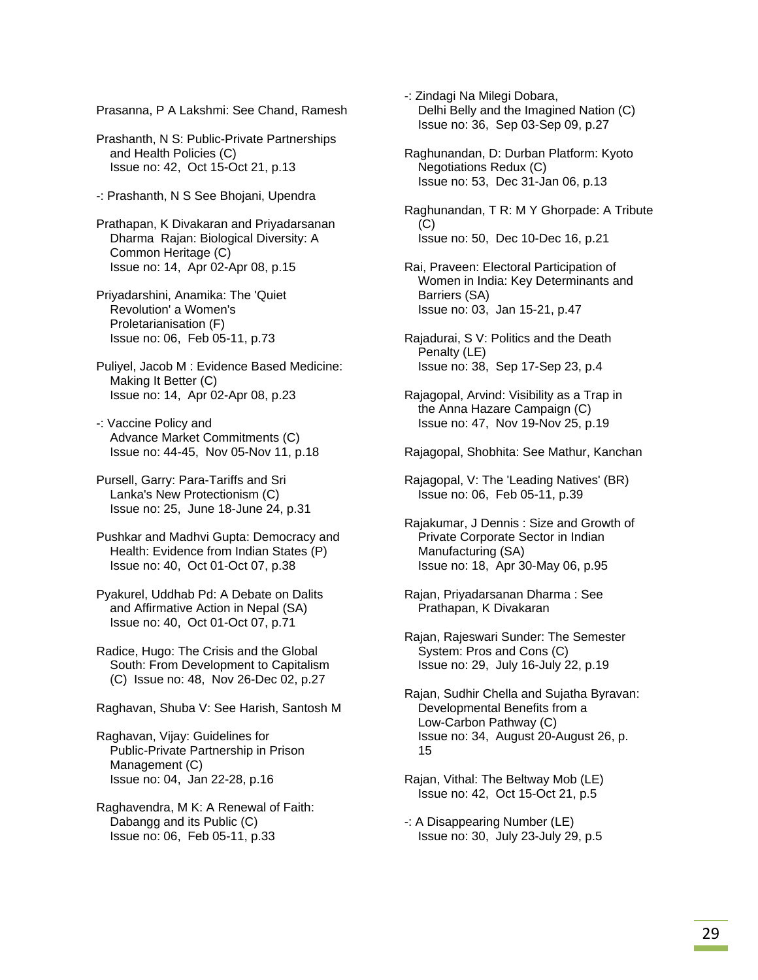Prasanna, P A Lakshmi: See Chand, Ramesh

 Prashanth, N S: Public-Private Partnerships and Health Policies (C) Issue no: 42, Oct 15-Oct 21, p.13

-: Prashanth, N S See Bhojani, Upendra

 Prathapan, K Divakaran and Priyadarsanan Dharma Rajan: Biological Diversity: A Common Heritage (C) Issue no: 14, Apr 02-Apr 08, p.15

 Priyadarshini, Anamika: The 'Quiet Revolution' a Women's Proletarianisation (F) Issue no: 06, Feb 05-11, p.73

 Puliyel, Jacob M : Evidence Based Medicine: Making It Better (C) Issue no: 14, Apr 02-Apr 08, p.23

 -: Vaccine Policy and Advance Market Commitments (C) Issue no: 44-45, Nov 05-Nov 11, p.18

 Pursell, Garry: Para-Tariffs and Sri Lanka's New Protectionism (C) Issue no: 25, June 18-June 24, p.31

 Pushkar and Madhvi Gupta: Democracy and Health: Evidence from Indian States (P) Issue no: 40, Oct 01-Oct 07, p.38

 Pyakurel, Uddhab Pd: A Debate on Dalits and Affirmative Action in Nepal (SA) Issue no: 40, Oct 01-Oct 07, p.71

 Radice, Hugo: The Crisis and the Global South: From Development to Capitalism (C) Issue no: 48, Nov 26-Dec 02, p.27

Raghavan, Shuba V: See Harish, Santosh M

 Raghavan, Vijay: Guidelines for Public-Private Partnership in Prison Management (C) Issue no: 04, Jan 22-28, p.16

 Raghavendra, M K: A Renewal of Faith: Dabangg and its Public (C) Issue no: 06, Feb 05-11, p.33

 -: Zindagi Na Milegi Dobara, Delhi Belly and the Imagined Nation (C) Issue no: 36, Sep 03-Sep 09, p.27

 Raghunandan, D: Durban Platform: Kyoto Negotiations Redux (C) Issue no: 53, Dec 31-Jan 06, p.13

 Raghunandan, T R: M Y Ghorpade: A Tribute  $(C)$ Issue no: 50, Dec 10-Dec 16, p.21

 Rai, Praveen: Electoral Participation of Women in India: Key Determinants and Barriers (SA) Issue no: 03, Jan 15-21, p.47

 Rajadurai, S V: Politics and the Death Penalty (LE) Issue no: 38, Sep 17-Sep 23, p.4

 Rajagopal, Arvind: Visibility as a Trap in the Anna Hazare Campaign (C) Issue no: 47, Nov 19-Nov 25, p.19

Rajagopal, Shobhita: See Mathur, Kanchan

 Rajagopal, V: The 'Leading Natives' (BR) Issue no: 06, Feb 05-11, p.39

 Rajakumar, J Dennis : Size and Growth of Private Corporate Sector in Indian Manufacturing (SA) Issue no: 18, Apr 30-May 06, p.95

 Rajan, Priyadarsanan Dharma : See Prathapan, K Divakaran

 Rajan, Rajeswari Sunder: The Semester System: Pros and Cons (C) Issue no: 29, July 16-July 22, p.19

 Rajan, Sudhir Chella and Sujatha Byravan: Developmental Benefits from a Low-Carbon Pathway (C) Issue no: 34, August 20-August 26, p. 15

 Rajan, Vithal: The Beltway Mob (LE) Issue no: 42, Oct 15-Oct 21, p.5

 -: A Disappearing Number (LE) Issue no: 30, July 23-July 29, p.5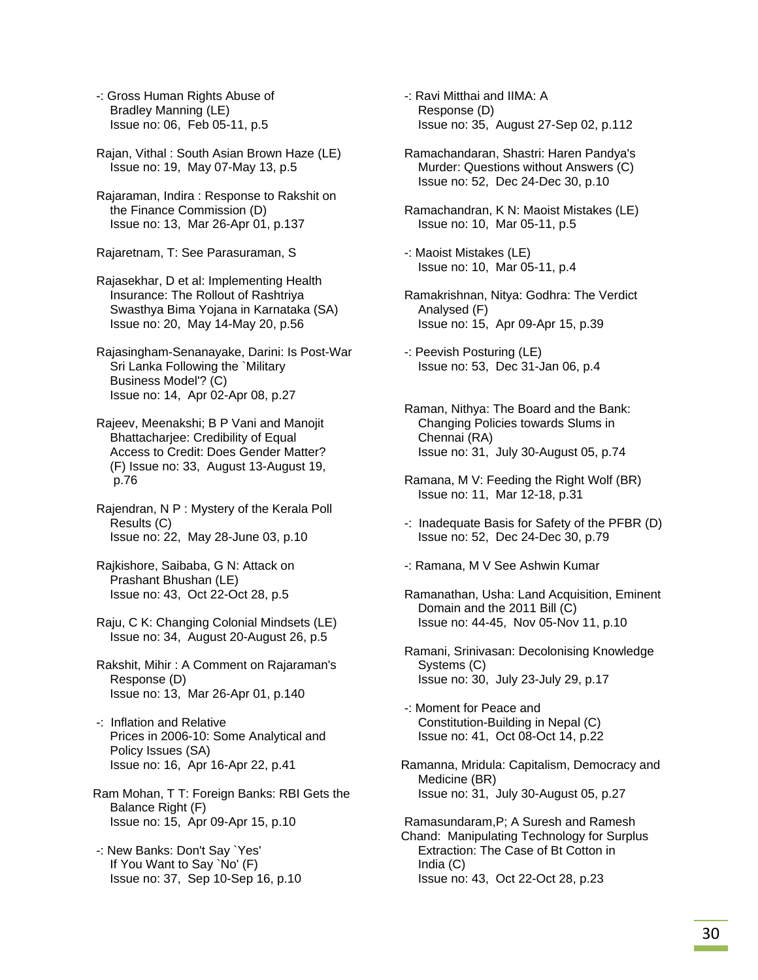-: Gross Human Rights Abuse of Bradley Manning (LE) Issue no: 06, Feb 05-11, p.5

 Rajan, Vithal : South Asian Brown Haze (LE) Issue no: 19, May 07-May 13, p.5

 Rajaraman, Indira : Response to Rakshit on the Finance Commission (D) Issue no: 13, Mar 26-Apr 01, p.137

Rajaretnam, T: See Parasuraman, S

 Rajasekhar, D et al: Implementing Health Insurance: The Rollout of Rashtriya Swasthya Bima Yojana in Karnataka (SA) Issue no: 20, May 14-May 20, p.56

 Rajasingham-Senanayake, Darini: Is Post-War Sri Lanka Following the `Military Business Model'? (C) Issue no: 14, Apr 02-Apr 08, p.27

 Rajeev, Meenakshi; B P Vani and Manojit Bhattacharjee: Credibility of Equal Access to Credit: Does Gender Matter? (F) Issue no: 33, August 13-August 19, p.76

 Rajendran, N P : Mystery of the Kerala Poll Results (C) Issue no: 22, May 28-June 03, p.10

 Rajkishore, Saibaba, G N: Attack on Prashant Bhushan (LE) Issue no: 43, Oct 22-Oct 28, p.5

 Raju, C K: Changing Colonial Mindsets (LE) Issue no: 34, August 20-August 26, p.5

 Rakshit, Mihir : A Comment on Rajaraman's Response (D) Issue no: 13, Mar 26-Apr 01, p.140

- -: Inflation and Relative Prices in 2006-10: Some Analytical and Policy Issues (SA) Issue no: 16, Apr 16-Apr 22, p.41
- Ram Mohan, T T: Foreign Banks: RBI Gets the Balance Right (F) Issue no: 15, Apr 09-Apr 15, p.10
- -: New Banks: Don't Say `Yes' If You Want to Say `No' (F) Issue no: 37, Sep 10-Sep 16, p.10

 -: Ravi Mitthai and IIMA: A Response (D) Issue no: 35, August 27-Sep 02, p.112

 Ramachandaran, Shastri: Haren Pandya's Murder: Questions without Answers (C) Issue no: 52, Dec 24-Dec 30, p.10

 Ramachandran, K N: Maoist Mistakes (LE) Issue no: 10, Mar 05-11, p.5

 -: Maoist Mistakes (LE) Issue no: 10, Mar 05-11, p.4

- Ramakrishnan, Nitya: Godhra: The Verdict Analysed (F) Issue no: 15, Apr 09-Apr 15, p.39
- -: Peevish Posturing (LE) Issue no: 53, Dec 31-Jan 06, p.4
- Raman, Nithya: The Board and the Bank: Changing Policies towards Slums in Chennai (RA) Issue no: 31, July 30-August 05, p.74
- Ramana, M V: Feeding the Right Wolf (BR) Issue no: 11, Mar 12-18, p.31
- -: Inadequate Basis for Safety of the PFBR (D) Issue no: 52, Dec 24-Dec 30, p.79

-: Ramana, M V See Ashwin Kumar

- Ramanathan, Usha: Land Acquisition, Eminent Domain and the 2011 Bill (C) Issue no: 44-45, Nov 05-Nov 11, p.10
- Ramani, Srinivasan: Decolonising Knowledge Systems (C) Issue no: 30, July 23-July 29, p.17

 -: Moment for Peace and Constitution-Building in Nepal (C) Issue no: 41, Oct 08-Oct 14, p.22

Ramanna, Mridula: Capitalism, Democracy and Medicine (BR) Issue no: 31, July 30-August 05, p.27

 Ramasundaram,P; A Suresh and Ramesh Chand: Manipulating Technology for Surplus Extraction: The Case of Bt Cotton in India (C) Issue no: 43, Oct 22-Oct 28, p.23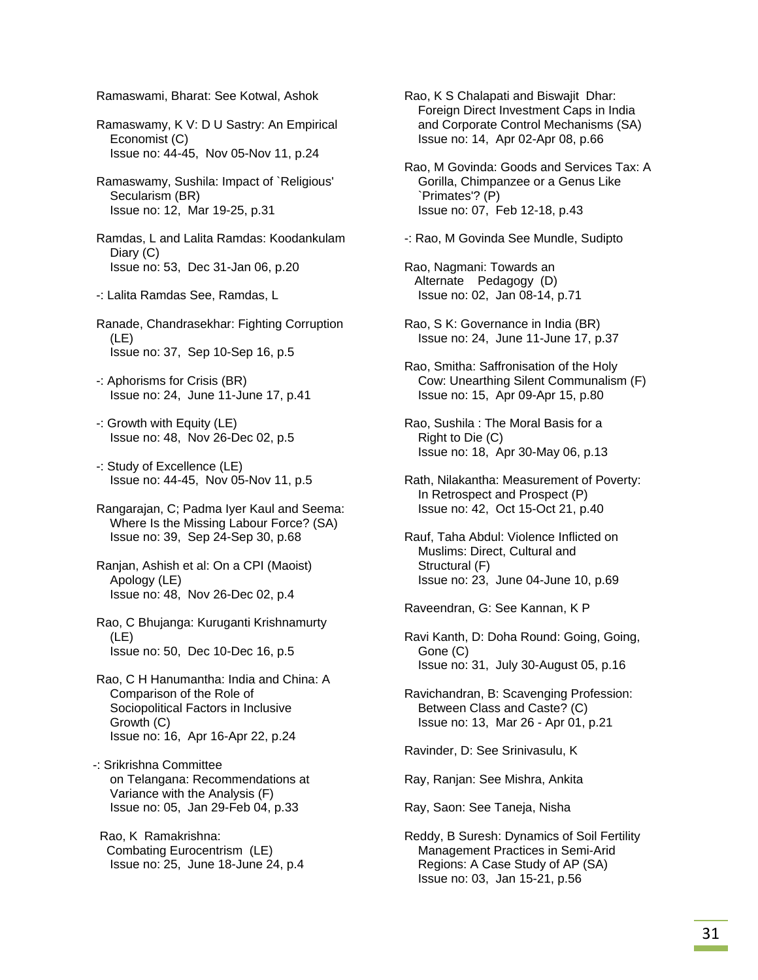Ramaswami, Bharat: See Kotwal, Ashok

 Ramaswamy, K V: D U Sastry: An Empirical Economist (C) Issue no: 44-45, Nov 05-Nov 11, p.24

 Ramaswamy, Sushila: Impact of `Religious' Secularism (BR) Issue no: 12, Mar 19-25, p.31

 Ramdas, L and Lalita Ramdas: Koodankulam Diary (C) Issue no: 53, Dec 31-Jan 06, p.20

-: Lalita Ramdas See, Ramdas, L

 Ranade, Chandrasekhar: Fighting Corruption (LE) Issue no: 37, Sep 10-Sep 16, p.5

 -: Aphorisms for Crisis (BR) Issue no: 24, June 11-June 17, p.41

 -: Growth with Equity (LE) Issue no: 48, Nov 26-Dec 02, p.5

 -: Study of Excellence (LE) Issue no: 44-45, Nov 05-Nov 11, p.5

 Rangarajan, C; Padma Iyer Kaul and Seema: Where Is the Missing Labour Force? (SA) Issue no: 39, Sep 24-Sep 30, p.68

 Ranjan, Ashish et al: On a CPI (Maoist) Apology (LE) Issue no: 48, Nov 26-Dec 02, p.4

 Rao, C Bhujanga: Kuruganti Krishnamurty (LE) Issue no: 50, Dec 10-Dec 16, p.5

 Rao, C H Hanumantha: India and China: A Comparison of the Role of Sociopolitical Factors in Inclusive Growth (C) Issue no: 16, Apr 16-Apr 22, p.24

-: Srikrishna Committee on Telangana: Recommendations at Variance with the Analysis (F) Issue no: 05, Jan 29-Feb 04, p.33

 Rao, K Ramakrishna: Combating Eurocentrism (LE) Issue no: 25, June 18-June 24, p.4  Rao, K S Chalapati and Biswajit Dhar: Foreign Direct Investment Caps in India and Corporate Control Mechanisms (SA) Issue no: 14, Apr 02-Apr 08, p.66

 Rao, M Govinda: Goods and Services Tax: A Gorilla, Chimpanzee or a Genus Like `Primates'? (P) Issue no: 07, Feb 12-18, p.43

-: Rao, M Govinda See Mundle, Sudipto

 Rao, Nagmani: Towards an Alternate Pedagogy (D) Issue no: 02, Jan 08-14, p.71

 Rao, S K: Governance in India (BR) Issue no: 24, June 11-June 17, p.37

 Rao, Smitha: Saffronisation of the Holy Cow: Unearthing Silent Communalism (F) Issue no: 15, Apr 09-Apr 15, p.80

 Rao, Sushila : The Moral Basis for a Right to Die (C) Issue no: 18, Apr 30-May 06, p.13

 Rath, Nilakantha: Measurement of Poverty: In Retrospect and Prospect (P) Issue no: 42, Oct 15-Oct 21, p.40

 Rauf, Taha Abdul: Violence Inflicted on Muslims: Direct, Cultural and Structural (F) Issue no: 23, June 04-June 10, p.69

Raveendran, G: See Kannan, K P

 Ravi Kanth, D: Doha Round: Going, Going, Gone (C) Issue no: 31, July 30-August 05, p.16

 Ravichandran, B: Scavenging Profession: Between Class and Caste? (C) Issue no: 13, Mar 26 - Apr 01, p.21

Ravinder, D: See Srinivasulu, K

Ray, Ranjan: See Mishra, Ankita

Ray, Saon: See Taneja, Nisha

 Reddy, B Suresh: Dynamics of Soil Fertility Management Practices in Semi-Arid Regions: A Case Study of AP (SA) Issue no: 03, Jan 15-21, p.56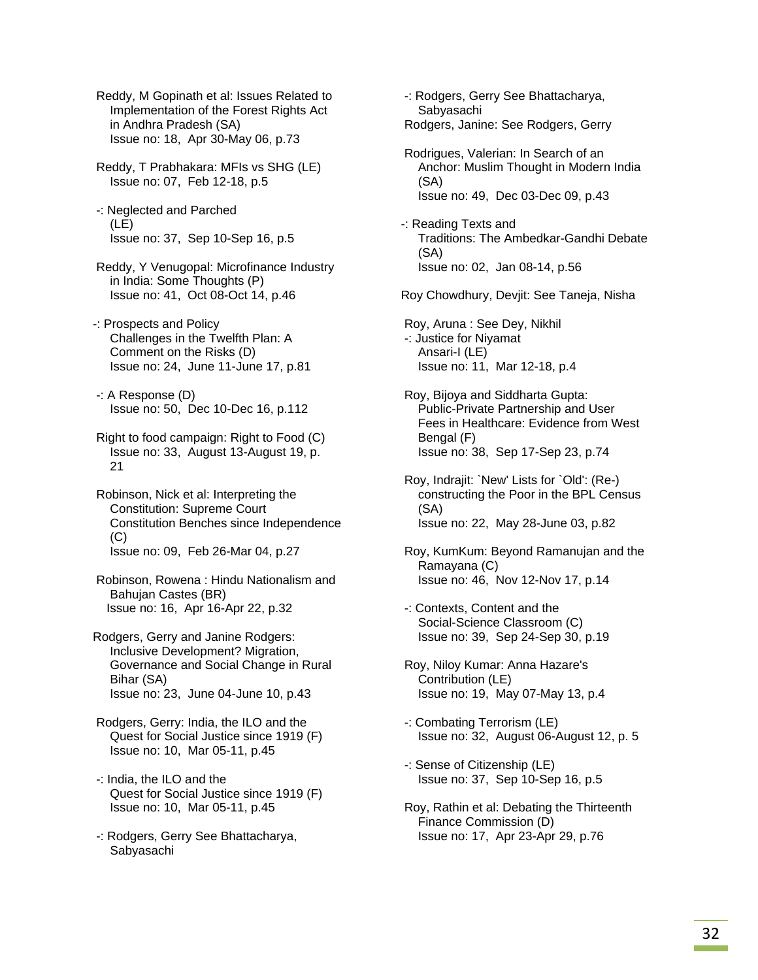Reddy, M Gopinath et al: Issues Related to Implementation of the Forest Rights Act in Andhra Pradesh (SA) Issue no: 18, Apr 30-May 06, p.73

 Reddy, T Prabhakara: MFIs vs SHG (LE) Issue no: 07, Feb 12-18, p.5

 -: Neglected and Parched (LE) Issue no: 37, Sep 10-Sep 16, p.5

- Reddy, Y Venugopal: Microfinance Industry in India: Some Thoughts (P) Issue no: 41, Oct 08-Oct 14, p.46
- -: Prospects and Policy Challenges in the Twelfth Plan: A Comment on the Risks (D) Issue no: 24, June 11-June 17, p.81
- -: A Response (D) Issue no: 50, Dec 10-Dec 16, p.112
- Right to food campaign: Right to Food (C) Issue no: 33, August 13-August 19, p. 21
- Robinson, Nick et al: Interpreting the Constitution: Supreme Court Constitution Benches since Independence (C) Issue no: 09, Feb 26-Mar 04, p.27

 Robinson, Rowena : Hindu Nationalism and Bahujan Castes (BR) Issue no: 16, Apr 16-Apr 22, p.32

Rodgers, Gerry and Janine Rodgers: Inclusive Development? Migration, Governance and Social Change in Rural Bihar (SA) Issue no: 23, June 04-June 10, p.43

- Rodgers, Gerry: India, the ILO and the Quest for Social Justice since 1919 (F) Issue no: 10, Mar 05-11, p.45
- -: India, the ILO and the Quest for Social Justice since 1919 (F) Issue no: 10, Mar 05-11, p.45
- -: Rodgers, Gerry See Bhattacharya, Sabyasachi

 -: Rodgers, Gerry See Bhattacharya, Sabyasachi Rodgers, Janine: See Rodgers, Gerry Rodrigues, Valerian: In Search of an Anchor: Muslim Thought in Modern India (SA) Issue no: 49, Dec 03-Dec 09, p.43 -: Reading Texts and Traditions: The Ambedkar-Gandhi Debate (SA) Issue no: 02, Jan 08-14, p.56 Roy Chowdhury, Devjit: See Taneja, Nisha Roy, Aruna : See Dey, Nikhil -: Justice for Niyamat Ansari-I (LE) Issue no: 11, Mar 12-18, p.4 Roy, Bijoya and Siddharta Gupta: Public-Private Partnership and User Fees in Healthcare: Evidence from West Bengal (F) Issue no: 38, Sep 17-Sep 23, p.74 Roy, Indrajit: `New' Lists for `Old': (Re-) constructing the Poor in the BPL Census (SA) Issue no: 22, May 28-June 03, p.82 Roy, KumKum: Beyond Ramanujan and the Ramayana (C) Issue no: 46, Nov 12-Nov 17, p.14 -: Contexts, Content and the Social-Science Classroom (C) Issue no: 39, Sep 24-Sep 30, p.19 Roy, Niloy Kumar: Anna Hazare's Contribution (LE) Issue no: 19, May 07-May 13, p.4 -: Combating Terrorism (LE) Issue no: 32, August 06-August 12, p. 5 -: Sense of Citizenship (LE)

- Issue no: 37, Sep 10-Sep 16, p.5
- Roy, Rathin et al: Debating the Thirteenth Finance Commission (D) Issue no: 17, Apr 23-Apr 29, p.76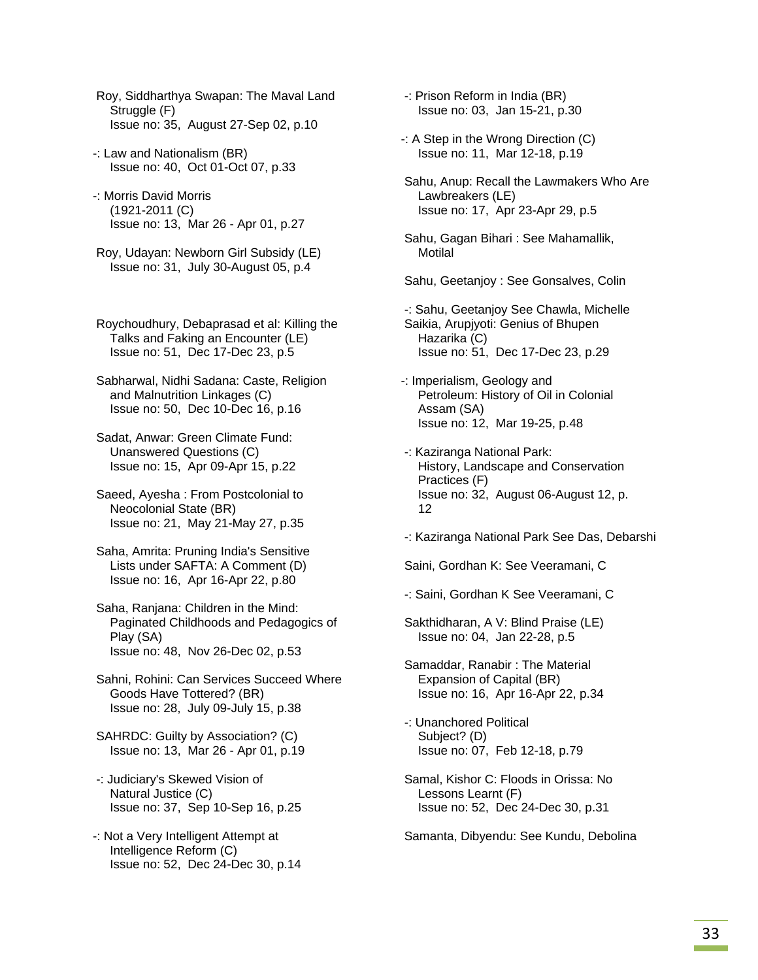- Roy, Siddharthya Swapan: The Maval Land Struggle (F) Issue no: 35, August 27-Sep 02, p.10
- -: Law and Nationalism (BR) Issue no: 40, Oct 01-Oct 07, p.33
- -: Morris David Morris (1921-2011 (C) Issue no: 13, Mar 26 - Apr 01, p.27
- Roy, Udayan: Newborn Girl Subsidy (LE) Issue no: 31, July 30-August 05, p.4
- Roychoudhury, Debaprasad et al: Killing the Talks and Faking an Encounter (LE) Issue no: 51, Dec 17-Dec 23, p.5
- Sabharwal, Nidhi Sadana: Caste, Religion and Malnutrition Linkages (C) Issue no: 50, Dec 10-Dec 16, p.16
- Sadat, Anwar: Green Climate Fund: Unanswered Questions (C) Issue no: 15, Apr 09-Apr 15, p.22
- Saeed, Ayesha : From Postcolonial to Neocolonial State (BR) Issue no: 21, May 21-May 27, p.35
- Saha, Amrita: Pruning India's Sensitive Lists under SAFTA: A Comment (D) Issue no: 16, Apr 16-Apr 22, p.80
- Saha, Ranjana: Children in the Mind: Paginated Childhoods and Pedagogics of Play (SA) Issue no: 48, Nov 26-Dec 02, p.53
- Sahni, Rohini: Can Services Succeed Where Goods Have Tottered? (BR) Issue no: 28, July 09-July 15, p.38
- SAHRDC: Guilty by Association? (C) Issue no: 13, Mar 26 - Apr 01, p.19
- -: Judiciary's Skewed Vision of Natural Justice (C) Issue no: 37, Sep 10-Sep 16, p.25
- -: Not a Very Intelligent Attempt at Intelligence Reform (C) Issue no: 52, Dec 24-Dec 30, p.14
- -: Prison Reform in India (BR) Issue no: 03, Jan 15-21, p.30
- -: A Step in the Wrong Direction (C) Issue no: 11, Mar 12-18, p.19
- Sahu, Anup: Recall the Lawmakers Who Are Lawbreakers (LE) Issue no: 17, Apr 23-Apr 29, p.5
- Sahu, Gagan Bihari : See Mahamallik, **Motilal**
- Sahu, Geetanjoy : See Gonsalves, Colin
- -: Sahu, Geetanjoy See Chawla, Michelle Saikia, Arupjyoti: Genius of Bhupen Hazarika (C) Issue no: 51, Dec 17-Dec 23, p.29
- -: Imperialism, Geology and Petroleum: History of Oil in Colonial Assam (SA) Issue no: 12, Mar 19-25, p.48
- -: Kaziranga National Park: History, Landscape and Conservation Practices (F) Issue no: 32, August 06-August 12, p. 12
- -: Kaziranga National Park See Das, Debarshi

Saini, Gordhan K: See Veeramani, C

- -: Saini, Gordhan K See Veeramani, C
- Sakthidharan, A V: Blind Praise (LE) Issue no: 04, Jan 22-28, p.5
- Samaddar, Ranabir : The Material Expansion of Capital (BR) Issue no: 16, Apr 16-Apr 22, p.34
- -: Unanchored Political Subject? (D) Issue no: 07, Feb 12-18, p.79
- Samal, Kishor C: Floods in Orissa: No Lessons Learnt (F) Issue no: 52, Dec 24-Dec 30, p.31

Samanta, Dibyendu: See Kundu, Debolina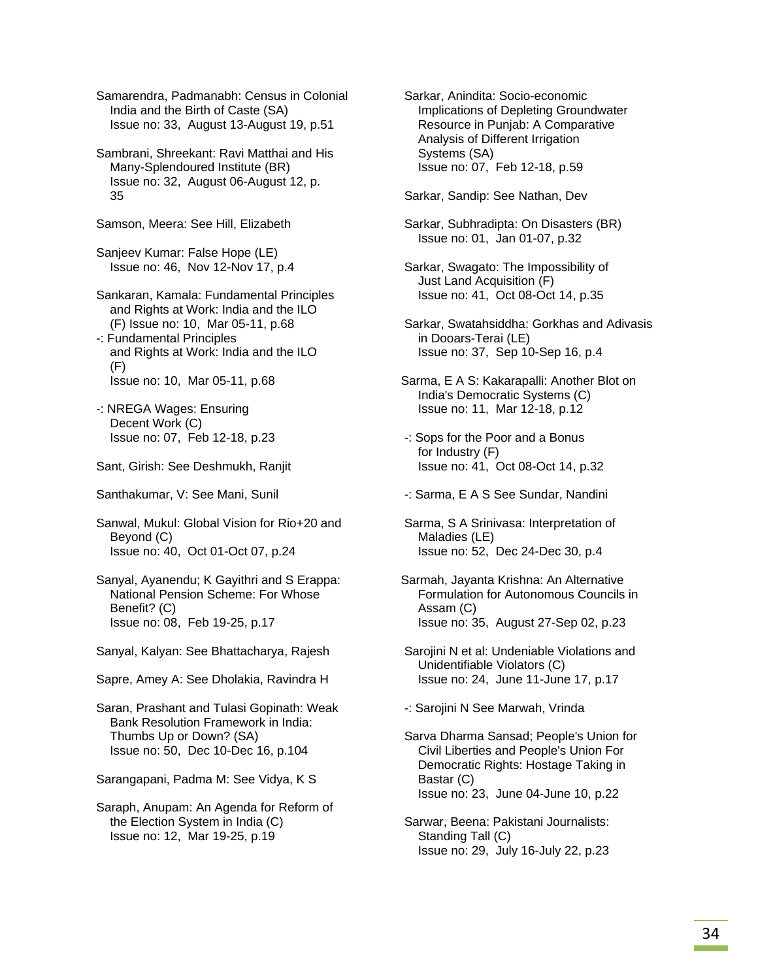Samarendra, Padmanabh: Census in Colonial India and the Birth of Caste (SA) Issue no: 33, August 13-August 19, p.51

 Sambrani, Shreekant: Ravi Matthai and His Many-Splendoured Institute (BR) Issue no: 32, August 06-August 12, p. 35

Samson, Meera: See Hill, Elizabeth

 Sanjeev Kumar: False Hope (LE) Issue no: 46, Nov 12-Nov 17, p.4

 Sankaran, Kamala: Fundamental Principles and Rights at Work: India and the ILO (F) Issue no: 10, Mar 05-11, p.68

- -: Fundamental Principles and Rights at Work: India and the ILO (F) Issue no: 10, Mar 05-11, p.68
- -: NREGA Wages: Ensuring Decent Work (C) Issue no: 07, Feb 12-18, p.23
- Sant, Girish: See Deshmukh, Ranjit
- Santhakumar, V: See Mani, Sunil

 Sanwal, Mukul: Global Vision for Rio+20 and Beyond (C) Issue no: 40, Oct 01-Oct 07, p.24

 Sanyal, Ayanendu; K Gayithri and S Erappa: National Pension Scheme: For Whose Benefit? (C) Issue no: 08, Feb 19-25, p.17

Sanyal, Kalyan: See Bhattacharya, Rajesh

Sapre, Amey A: See Dholakia, Ravindra H

 Saran, Prashant and Tulasi Gopinath: Weak Bank Resolution Framework in India: Thumbs Up or Down? (SA) Issue no: 50, Dec 10-Dec 16, p.104

Sarangapani, Padma M: See Vidya, K S

 Saraph, Anupam: An Agenda for Reform of the Election System in India (C) Issue no: 12, Mar 19-25, p.19

 Sarkar, Anindita: Socio-economic Implications of Depleting Groundwater Resource in Punjab: A Comparative Analysis of Different Irrigation Systems (SA) Issue no: 07, Feb 12-18, p.59

Sarkar, Sandip: See Nathan, Dev

- Sarkar, Subhradipta: On Disasters (BR) Issue no: 01, Jan 01-07, p.32
- Sarkar, Swagato: The Impossibility of Just Land Acquisition (F) Issue no: 41, Oct 08-Oct 14, p.35

 Sarkar, Swatahsiddha: Gorkhas and Adivasis in Dooars-Terai (LE) Issue no: 37, Sep 10-Sep 16, p.4

Sarma, E A S: Kakarapalli: Another Blot on India's Democratic Systems (C) Issue no: 11, Mar 12-18, p.12

- -: Sops for the Poor and a Bonus for Industry (F) Issue no: 41, Oct 08-Oct 14, p.32
- -: Sarma, E A S See Sundar, Nandini
- Sarma, S A Srinivasa: Interpretation of Maladies (LE) Issue no: 52, Dec 24-Dec 30, p.4
- Sarmah, Jayanta Krishna: An Alternative Formulation for Autonomous Councils in Assam (C) Issue no: 35, August 27-Sep 02, p.23
- Sarojini N et al: Undeniable Violations and Unidentifiable Violators (C) Issue no: 24, June 11-June 17, p.17

-: Sarojini N See Marwah, Vrinda

 Sarva Dharma Sansad; People's Union for Civil Liberties and People's Union For Democratic Rights: Hostage Taking in Bastar (C) Issue no: 23, June 04-June 10, p.22

 Sarwar, Beena: Pakistani Journalists: Standing Tall (C) Issue no: 29, July 16-July 22, p.23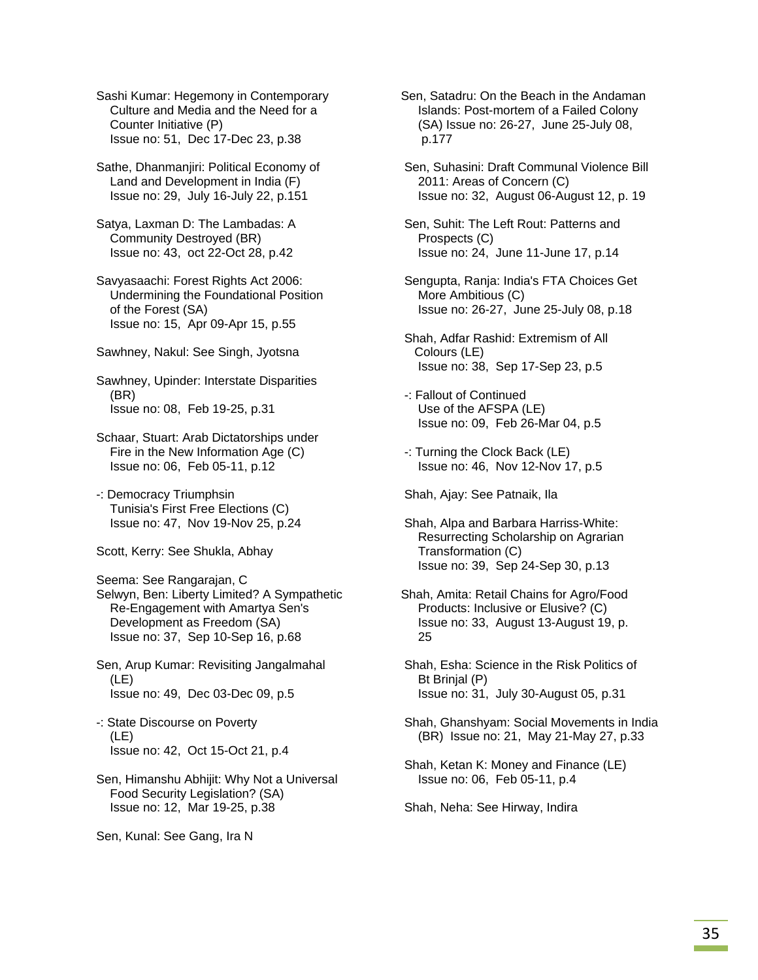Sashi Kumar: Hegemony in Contemporary Culture and Media and the Need for a Counter Initiative (P) Issue no: 51, Dec 17-Dec 23, p.38

 Sathe, Dhanmanjiri: Political Economy of Land and Development in India (F) Issue no: 29, July 16-July 22, p.151

 Satya, Laxman D: The Lambadas: A Community Destroyed (BR) Issue no: 43, oct 22-Oct 28, p.42

 Savyasaachi: Forest Rights Act 2006: Undermining the Foundational Position of the Forest (SA) Issue no: 15, Apr 09-Apr 15, p.55

Sawhney, Nakul: See Singh, Jyotsna

 Sawhney, Upinder: Interstate Disparities (BR) Issue no: 08, Feb 19-25, p.31

 Schaar, Stuart: Arab Dictatorships under Fire in the New Information Age (C) Issue no: 06, Feb 05-11, p.12

 -: Democracy Triumphsin Tunisia's First Free Elections (C) Issue no: 47, Nov 19-Nov 25, p.24

Scott, Kerry: See Shukla, Abhay

Seema: See Rangarajan, C

 Selwyn, Ben: Liberty Limited? A Sympathetic Re-Engagement with Amartya Sen's Development as Freedom (SA) Issue no: 37, Sep 10-Sep 16, p.68

 Sen, Arup Kumar: Revisiting Jangalmahal (LE) Issue no: 49, Dec 03-Dec 09, p.5

 -: State Discourse on Poverty (LE) Issue no: 42, Oct 15-Oct 21, p.4

 Sen, Himanshu Abhijit: Why Not a Universal Food Security Legislation? (SA) Issue no: 12, Mar 19-25, p.38

Sen, Kunal: See Gang, Ira N

Sen, Satadru: On the Beach in the Andaman Islands: Post-mortem of a Failed Colony (SA) Issue no: 26-27, June 25-July 08, p.177

 Sen, Suhasini: Draft Communal Violence Bill 2011: Areas of Concern (C) Issue no: 32, August 06-August 12, p. 19

 Sen, Suhit: The Left Rout: Patterns and Prospects (C) Issue no: 24, June 11-June 17, p.14

 Sengupta, Ranja: India's FTA Choices Get More Ambitious (C) Issue no: 26-27, June 25-July 08, p.18

- Shah, Adfar Rashid: Extremism of All Colours (LE) Issue no: 38, Sep 17-Sep 23, p.5
- -: Fallout of Continued Use of the AFSPA (LE) Issue no: 09, Feb 26-Mar 04, p.5
- -: Turning the Clock Back (LE) Issue no: 46, Nov 12-Nov 17, p.5

Shah, Ajay: See Patnaik, Ila

 Shah, Alpa and Barbara Harriss-White: Resurrecting Scholarship on Agrarian Transformation (C) Issue no: 39, Sep 24-Sep 30, p.13

Shah, Amita: Retail Chains for Agro/Food Products: Inclusive or Elusive? (C) Issue no: 33, August 13-August 19, p. 25

- Shah, Esha: Science in the Risk Politics of Bt Brinjal (P) Issue no: 31, July 30-August 05, p.31
- Shah, Ghanshyam: Social Movements in India (BR) Issue no: 21, May 21-May 27, p.33
- Shah, Ketan K: Money and Finance (LE) Issue no: 06, Feb 05-11, p.4

Shah, Neha: See Hirway, Indira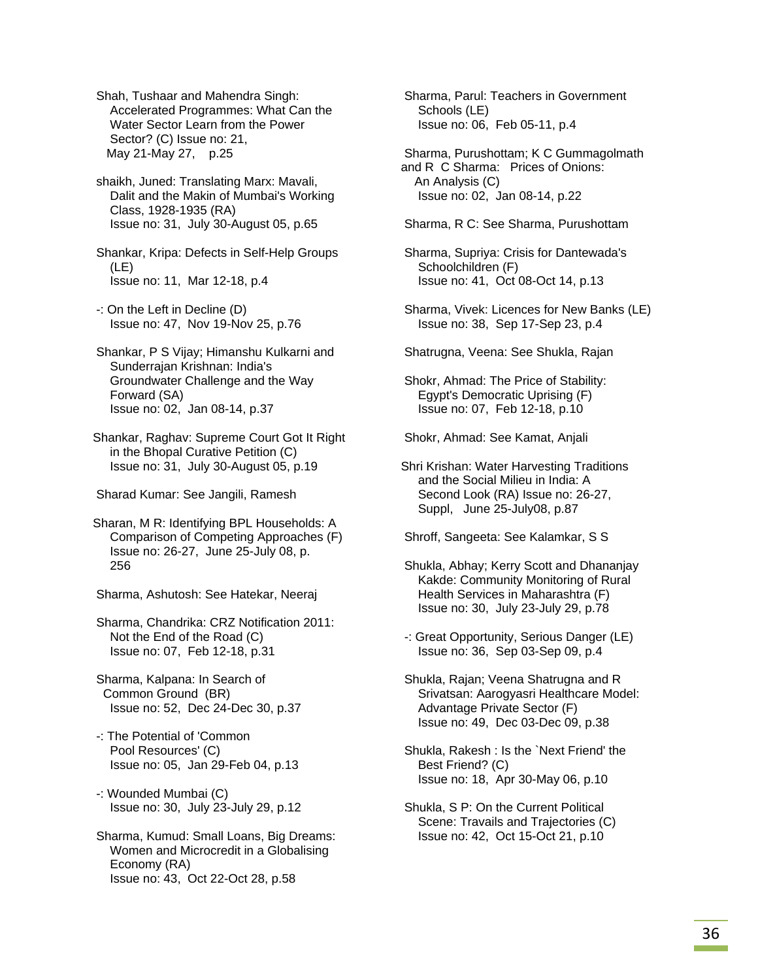Shah, Tushaar and Mahendra Singh: Accelerated Programmes: What Can the Water Sector Learn from the Power Sector? (C) Issue no: 21, May 21-May 27, p.25

 shaikh, Juned: Translating Marx: Mavali, Dalit and the Makin of Mumbai's Working Class, 1928-1935 (RA) Issue no: 31, July 30-August 05, p.65

 Shankar, Kripa: Defects in Self-Help Groups (LE) Issue no: 11, Mar 12-18, p.4

 -: On the Left in Decline (D) Issue no: 47, Nov 19-Nov 25, p.76

 Shankar, P S Vijay; Himanshu Kulkarni and Sunderrajan Krishnan: India's Groundwater Challenge and the Way Forward (SA) Issue no: 02, Jan 08-14, p.37

Shankar, Raghav: Supreme Court Got It Right in the Bhopal Curative Petition (C) Issue no: 31, July 30-August 05, p.19

Sharad Kumar: See Jangili, Ramesh

Sharan, M R: Identifying BPL Households: A Comparison of Competing Approaches (F) Issue no: 26-27, June 25-July 08, p. 256

Sharma, Ashutosh: See Hatekar, Neeraj

 Sharma, Chandrika: CRZ Notification 2011: Not the End of the Road (C) Issue no: 07, Feb 12-18, p.31

 Sharma, Kalpana: In Search of Common Ground (BR) Issue no: 52, Dec 24-Dec 30, p.37

 -: The Potential of 'Common Pool Resources' (C) Issue no: 05, Jan 29-Feb 04, p.13

 -: Wounded Mumbai (C) Issue no: 30, July 23-July 29, p.12

 Sharma, Kumud: Small Loans, Big Dreams: Women and Microcredit in a Globalising Economy (RA) Issue no: 43, Oct 22-Oct 28, p.58

 Sharma, Parul: Teachers in Government Schools (LE) Issue no: 06, Feb 05-11, p.4

 Sharma, Purushottam; K C Gummagolmath and R C Sharma: Prices of Onions: An Analysis (C) Issue no: 02, Jan 08-14, p.22

Sharma, R C: See Sharma, Purushottam

 Sharma, Supriya: Crisis for Dantewada's Schoolchildren (F) Issue no: 41, Oct 08-Oct 14, p.13

 Sharma, Vivek: Licences for New Banks (LE) Issue no: 38, Sep 17-Sep 23, p.4

Shatrugna, Veena: See Shukla, Rajan

 Shokr, Ahmad: The Price of Stability: Egypt's Democratic Uprising (F) Issue no: 07, Feb 12-18, p.10

Shokr, Ahmad: See Kamat, Anjali

Shri Krishan: Water Harvesting Traditions and the Social Milieu in India: A Second Look (RA) Issue no: 26-27, Suppl, June 25-July08, p.87

Shroff, Sangeeta: See Kalamkar, S S

- Shukla, Abhay; Kerry Scott and Dhananjay Kakde: Community Monitoring of Rural Health Services in Maharashtra (F) Issue no: 30, July 23-July 29, p.78
- -: Great Opportunity, Serious Danger (LE) Issue no: 36, Sep 03-Sep 09, p.4

 Shukla, Rajan; Veena Shatrugna and R Srivatsan: Aarogyasri Healthcare Model: Advantage Private Sector (F) Issue no: 49, Dec 03-Dec 09, p.38

 Shukla, Rakesh : Is the `Next Friend' the Best Friend? (C) Issue no: 18, Apr 30-May 06, p.10

 Shukla, S P: On the Current Political Scene: Travails and Trajectories (C) Issue no: 42, Oct 15-Oct 21, p.10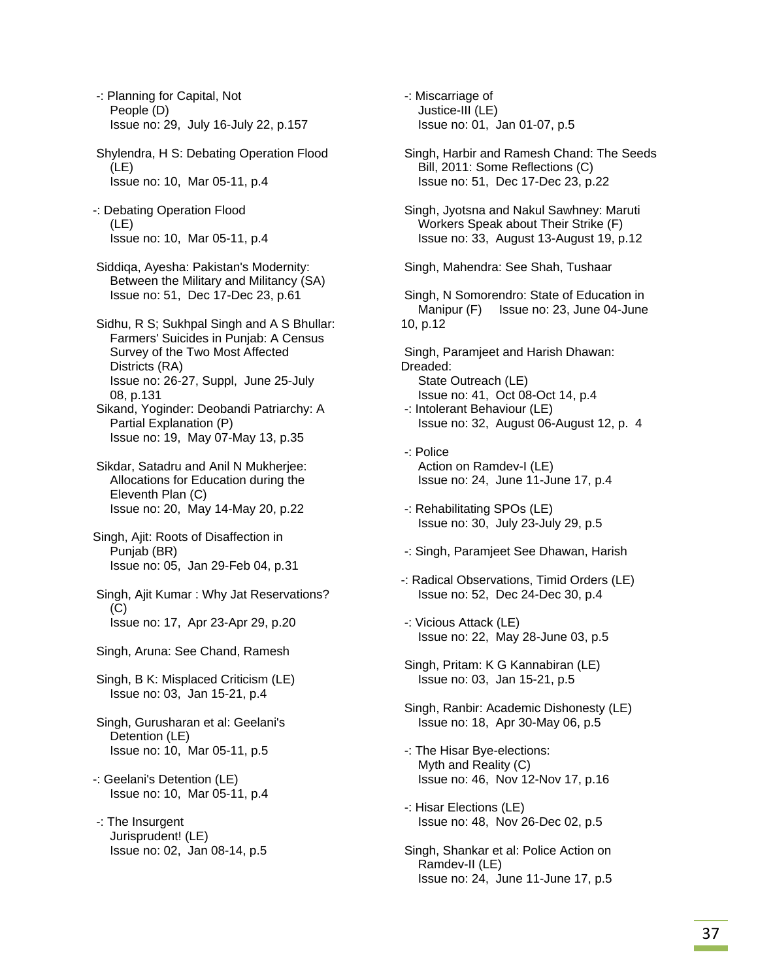-: Planning for Capital, Not People (D) Issue no: 29, July 16-July 22, p.157

 Shylendra, H S: Debating Operation Flood (LE) Issue no: 10, Mar 05-11, p.4

-: Debating Operation Flood (LE) Issue no: 10, Mar 05-11, p.4

 Siddiqa, Ayesha: Pakistan's Modernity: Between the Military and Militancy (SA) Issue no: 51, Dec 17-Dec 23, p.61

 Sidhu, R S; Sukhpal Singh and A S Bhullar: Farmers' Suicides in Punjab: A Census Survey of the Two Most Affected Districts (RA) Issue no: 26-27, Suppl, June 25-July 08, p.131

 Sikand, Yoginder: Deobandi Patriarchy: A Partial Explanation (P) Issue no: 19, May 07-May 13, p.35

 Sikdar, Satadru and Anil N Mukherjee: Allocations for Education during the Eleventh Plan (C) Issue no: 20, May 14-May 20, p.22

Singh, Ajit: Roots of Disaffection in Punjab (BR) Issue no: 05, Jan 29-Feb 04, p.31

 Singh, Ajit Kumar : Why Jat Reservations?  $(C)$ Issue no: 17, Apr 23-Apr 29, p.20

Singh, Aruna: See Chand, Ramesh

 Singh, B K: Misplaced Criticism (LE) Issue no: 03, Jan 15-21, p.4

 Singh, Gurusharan et al: Geelani's Detention (LE) Issue no: 10, Mar 05-11, p.5

-: Geelani's Detention (LE) Issue no: 10, Mar 05-11, p.4

 -: The Insurgent Jurisprudent! (LE) Issue no: 02, Jan 08-14, p.5

 -: Miscarriage of Justice-III (LE) Issue no: 01, Jan 01-07, p.5 Singh, Harbir and Ramesh Chand: The Seeds Bill, 2011: Some Reflections (C) Issue no: 51, Dec 17-Dec 23, p.22 Singh, Jyotsna and Nakul Sawhney: Maruti Workers Speak about Their Strike (F) Issue no: 33, August 13-August 19, p.12 Singh, Mahendra: See Shah, Tushaar Singh, N Somorendro: State of Education in Manipur (F) Issue no: 23, June 04-June 10, p.12 Singh, Paramjeet and Harish Dhawan: Dreaded: State Outreach (LE) Issue no: 41, Oct 08-Oct 14, p.4 -: Intolerant Behaviour (LE) Issue no: 32, August 06-August 12, p. 4 -: Police Action on Ramdev-I (LE) Issue no: 24, June 11-June 17, p.4 -: Rehabilitating SPOs (LE) Issue no: 30, July 23-July 29, p.5 -: Singh, Paramjeet See Dhawan, Harish -: Radical Observations, Timid Orders (LE) Issue no: 52, Dec 24-Dec 30, p.4 -: Vicious Attack (LE) Issue no: 22, May 28-June 03, p.5 Singh, Pritam: K G Kannabiran (LE) Issue no: 03, Jan 15-21, p.5 Singh, Ranbir: Academic Dishonesty (LE) Issue no: 18, Apr 30-May 06, p.5 -: The Hisar Bye-elections: Myth and Reality (C) Issue no: 46, Nov 12-Nov 17, p.16 -: Hisar Elections (LE) Issue no: 48, Nov 26-Dec 02, p.5 Singh, Shankar et al: Police Action on

 Ramdev-II (LE) Issue no: 24, June 11-June 17, p.5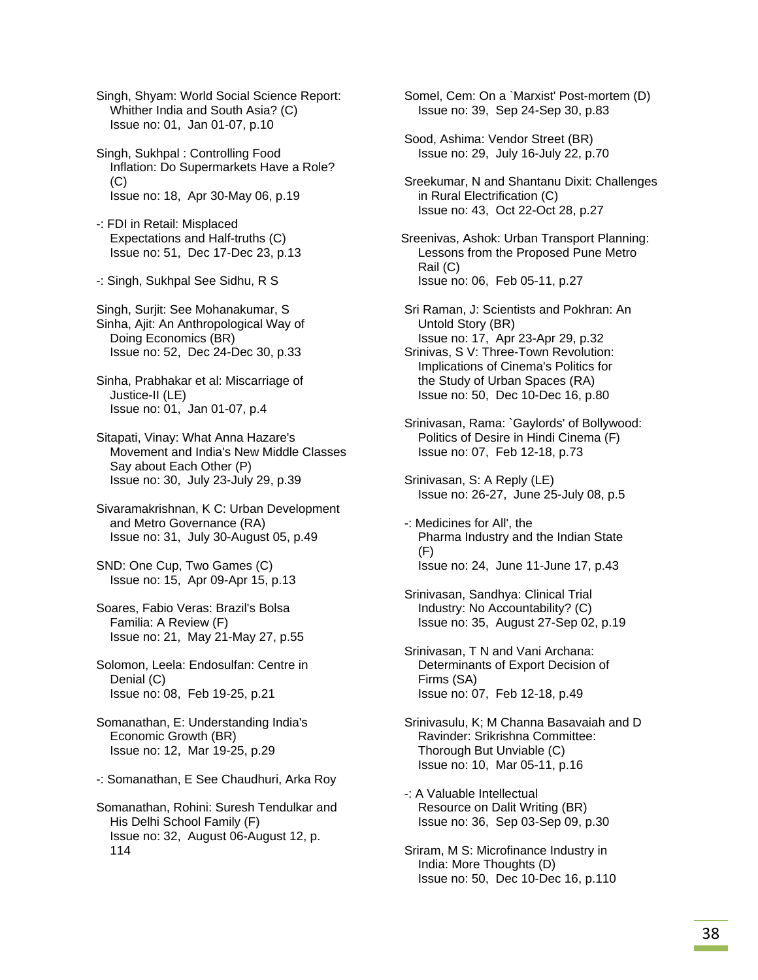Singh, Shyam: World Social Science Report: Whither India and South Asia? (C) Issue no: 01, Jan 01-07, p.10

 Singh, Sukhpal : Controlling Food Inflation: Do Supermarkets Have a Role?  $(C)$ Issue no: 18, Apr 30-May 06, p.19

 -: FDI in Retail: Misplaced Expectations and Half-truths (C) Issue no: 51, Dec 17-Dec 23, p.13

-: Singh, Sukhpal See Sidhu, R S

 Singh, Surjit: See Mohanakumar, S Sinha, Ajit: An Anthropological Way of Doing Economics (BR) Issue no: 52, Dec 24-Dec 30, p.33

 Sinha, Prabhakar et al: Miscarriage of Justice-II (LE) Issue no: 01, Jan 01-07, p.4

 Sitapati, Vinay: What Anna Hazare's Movement and India's New Middle Classes Say about Each Other (P) Issue no: 30, July 23-July 29, p.39

 Sivaramakrishnan, K C: Urban Development and Metro Governance (RA) Issue no: 31, July 30-August 05, p.49

 SND: One Cup, Two Games (C) Issue no: 15, Apr 09-Apr 15, p.13

 Soares, Fabio Veras: Brazil's Bolsa Familia: A Review (F) Issue no: 21, May 21-May 27, p.55

 Solomon, Leela: Endosulfan: Centre in Denial (C) Issue no: 08, Feb 19-25, p.21

 Somanathan, E: Understanding India's Economic Growth (BR) Issue no: 12, Mar 19-25, p.29

-: Somanathan, E See Chaudhuri, Arka Roy

 Somanathan, Rohini: Suresh Tendulkar and His Delhi School Family (F) Issue no: 32, August 06-August 12, p. 114

 Somel, Cem: On a `Marxist' Post-mortem (D) Issue no: 39, Sep 24-Sep 30, p.83

 Sood, Ashima: Vendor Street (BR) Issue no: 29, July 16-July 22, p.70

 Sreekumar, N and Shantanu Dixit: Challenges in Rural Electrification (C) Issue no: 43, Oct 22-Oct 28, p.27

Sreenivas, Ashok: Urban Transport Planning: Lessons from the Proposed Pune Metro Rail (C) Issue no: 06, Feb 05-11, p.27

 Sri Raman, J: Scientists and Pokhran: An Untold Story (BR) Issue no: 17, Apr 23-Apr 29, p.32 Srinivas, S V: Three-Town Revolution: Implications of Cinema's Politics for

 the Study of Urban Spaces (RA) Issue no: 50, Dec 10-Dec 16, p.80

 Srinivasan, Rama: `Gaylords' of Bollywood: Politics of Desire in Hindi Cinema (F) Issue no: 07, Feb 12-18, p.73

 Srinivasan, S: A Reply (LE) Issue no: 26-27, June 25-July 08, p.5

 -: Medicines for All', the Pharma Industry and the Indian State (F) Issue no: 24, June 11-June 17, p.43

 Srinivasan, Sandhya: Clinical Trial Industry: No Accountability? (C) Issue no: 35, August 27-Sep 02, p.19

 Srinivasan, T N and Vani Archana: Determinants of Export Decision of Firms (SA) Issue no: 07, Feb 12-18, p.49

 Srinivasulu, K; M Channa Basavaiah and D Ravinder: Srikrishna Committee: Thorough But Unviable (C) Issue no: 10, Mar 05-11, p.16

 -: A Valuable Intellectual Resource on Dalit Writing (BR) Issue no: 36, Sep 03-Sep 09, p.30

 Sriram, M S: Microfinance Industry in India: More Thoughts (D) Issue no: 50, Dec 10-Dec 16, p.110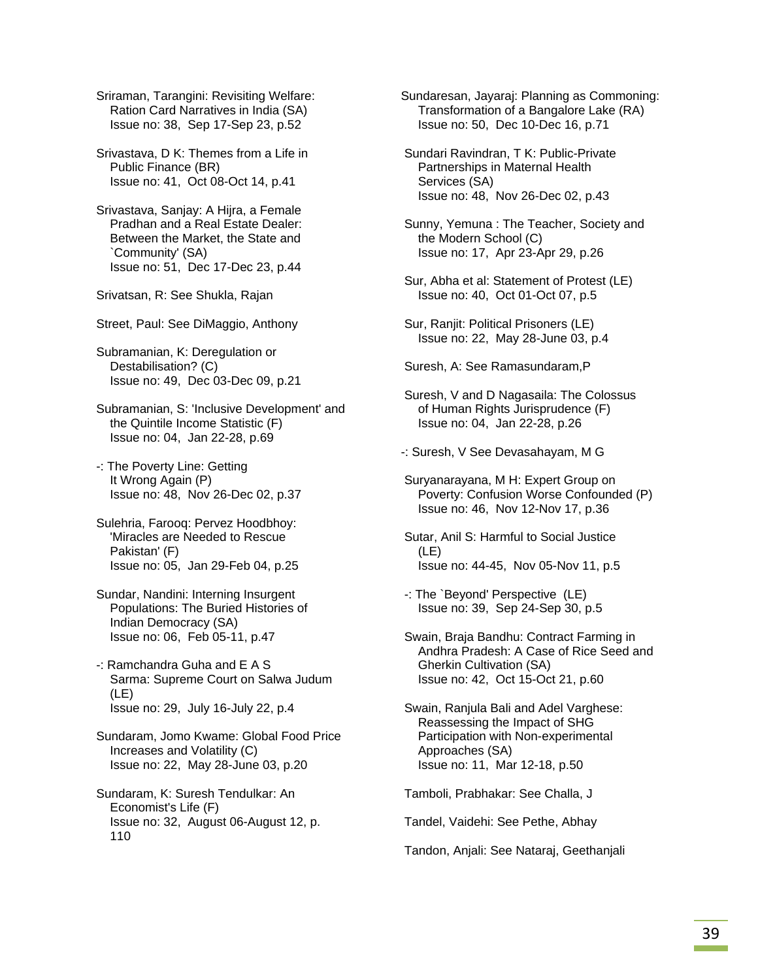Sriraman, Tarangini: Revisiting Welfare: Ration Card Narratives in India (SA) Issue no: 38, Sep 17-Sep 23, p.52

 Srivastava, D K: Themes from a Life in Public Finance (BR) Issue no: 41, Oct 08-Oct 14, p.41

 Srivastava, Sanjay: A Hijra, a Female Pradhan and a Real Estate Dealer: Between the Market, the State and `Community' (SA) Issue no: 51, Dec 17-Dec 23, p.44

Srivatsan, R: See Shukla, Rajan

Street, Paul: See DiMaggio, Anthony

 Subramanian, K: Deregulation or Destabilisation? (C) Issue no: 49, Dec 03-Dec 09, p.21

 Subramanian, S: 'Inclusive Development' and the Quintile Income Statistic (F) Issue no: 04, Jan 22-28, p.69

- -: The Poverty Line: Getting It Wrong Again (P) Issue no: 48, Nov 26-Dec 02, p.37
- Sulehria, Farooq: Pervez Hoodbhoy: 'Miracles are Needed to Rescue Pakistan' (F) Issue no: 05, Jan 29-Feb 04, p.25
- Sundar, Nandini: Interning Insurgent Populations: The Buried Histories of Indian Democracy (SA) Issue no: 06, Feb 05-11, p.47
- -: Ramchandra Guha and E A S Sarma: Supreme Court on Salwa Judum (LE) Issue no: 29, July 16-July 22, p.4
- Sundaram, Jomo Kwame: Global Food Price Increases and Volatility (C) Issue no: 22, May 28-June 03, p.20
- Sundaram, K: Suresh Tendulkar: An Economist's Life (F) Issue no: 32, August 06-August 12, p. 110

Sundaresan, Jayaraj: Planning as Commoning: Transformation of a Bangalore Lake (RA) Issue no: 50, Dec 10-Dec 16, p.71

 Sundari Ravindran, T K: Public-Private Partnerships in Maternal Health Services (SA) Issue no: 48, Nov 26-Dec 02, p.43

 Sunny, Yemuna : The Teacher, Society and the Modern School (C) Issue no: 17, Apr 23-Apr 29, p.26

- Sur, Abha et al: Statement of Protest (LE) Issue no: 40, Oct 01-Oct 07, p.5
- Sur, Ranjit: Political Prisoners (LE) Issue no: 22, May 28-June 03, p.4

Suresh, A: See Ramasundaram,P

 Suresh, V and D Nagasaila: The Colossus of Human Rights Jurisprudence (F) Issue no: 04, Jan 22-28, p.26

-: Suresh, V See Devasahayam, M G

- Suryanarayana, M H: Expert Group on Poverty: Confusion Worse Confounded (P) Issue no: 46, Nov 12-Nov 17, p.36
- Sutar, Anil S: Harmful to Social Justice (LE) Issue no: 44-45, Nov 05-Nov 11, p.5
- -: The `Beyond' Perspective (LE) Issue no: 39, Sep 24-Sep 30, p.5
- Swain, Braja Bandhu: Contract Farming in Andhra Pradesh: A Case of Rice Seed and Gherkin Cultivation (SA) Issue no: 42, Oct 15-Oct 21, p.60
- Swain, Ranjula Bali and Adel Varghese: Reassessing the Impact of SHG Participation with Non-experimental Approaches (SA) Issue no: 11, Mar 12-18, p.50

Tamboli, Prabhakar: See Challa, J

Tandel, Vaidehi: See Pethe, Abhay

Tandon, Anjali: See Nataraj, Geethanjali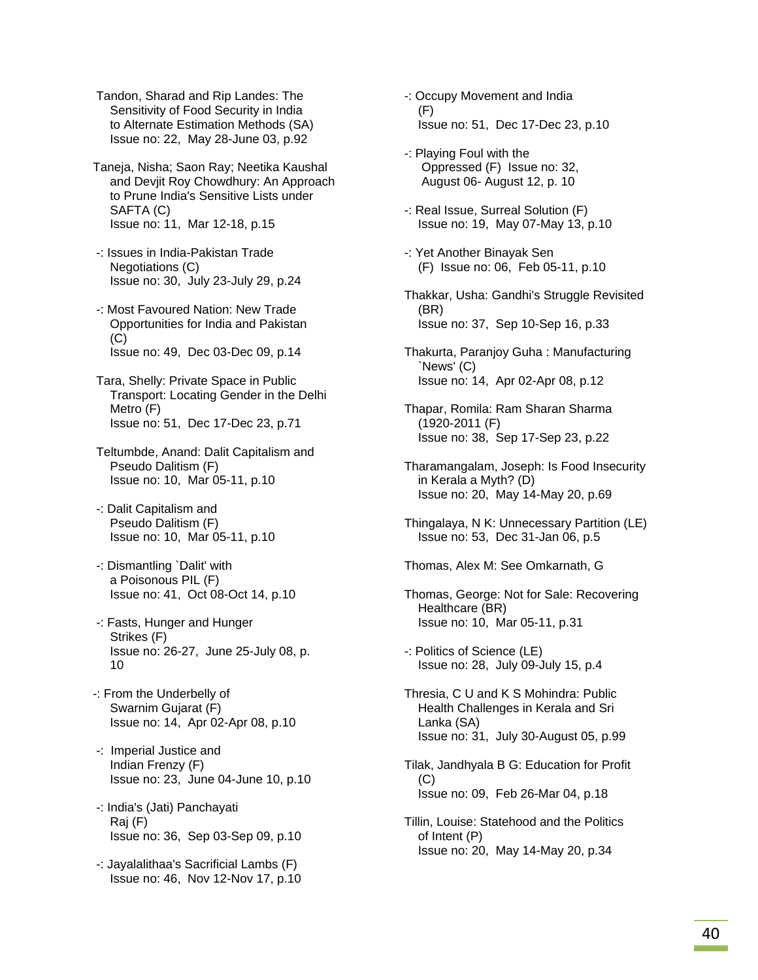Tandon, Sharad and Rip Landes: The Sensitivity of Food Security in India to Alternate Estimation Methods (SA) Issue no: 22, May 28-June 03, p.92

Taneja, Nisha; Saon Ray; Neetika Kaushal and Devjit Roy Chowdhury: An Approach to Prune India's Sensitive Lists under SAFTA (C) Issue no: 11, Mar 12-18, p.15

- -: Issues in India-Pakistan Trade Negotiations (C) Issue no: 30, July 23-July 29, p.24
- -: Most Favoured Nation: New Trade Opportunities for India and Pakistan (C) Issue no: 49, Dec 03-Dec 09, p.14
- Tara, Shelly: Private Space in Public Transport: Locating Gender in the Delhi Metro (F) Issue no: 51, Dec 17-Dec 23, p.71
- Teltumbde, Anand: Dalit Capitalism and Pseudo Dalitism (F) Issue no: 10, Mar 05-11, p.10
- -: Dalit Capitalism and Pseudo Dalitism (F) Issue no: 10, Mar 05-11, p.10
- -: Dismantling `Dalit' with a Poisonous PIL (F) Issue no: 41, Oct 08-Oct 14, p.10
- -: Fasts, Hunger and Hunger Strikes (F) Issue no: 26-27, June 25-July 08, p. 10
- -: From the Underbelly of Swarnim Gujarat (F) Issue no: 14, Apr 02-Apr 08, p.10
- -: Imperial Justice and Indian Frenzy (F) Issue no: 23, June 04-June 10, p.10
- -: India's (Jati) Panchayati Raj (F) Issue no: 36, Sep 03-Sep 09, p.10
- -: Jayalalithaa's Sacrificial Lambs (F) Issue no: 46, Nov 12-Nov 17, p.10
- -: Occupy Movement and India (F) Issue no: 51, Dec 17-Dec 23, p.10
- -: Playing Foul with the Oppressed (F) Issue no: 32, August 06- August 12, p. 10
- -: Real Issue, Surreal Solution (F) Issue no: 19, May 07-May 13, p.10
- -: Yet Another Binayak Sen (F) Issue no: 06, Feb 05-11, p.10
- Thakkar, Usha: Gandhi's Struggle Revisited (BR) Issue no: 37, Sep 10-Sep 16, p.33
- Thakurta, Paranjoy Guha : Manufacturing `News' (C) Issue no: 14, Apr 02-Apr 08, p.12
- Thapar, Romila: Ram Sharan Sharma (1920-2011 (F) Issue no: 38, Sep 17-Sep 23, p.22
- Tharamangalam, Joseph: Is Food Insecurity in Kerala a Myth? (D) Issue no: 20, May 14-May 20, p.69
- Thingalaya, N K: Unnecessary Partition (LE) Issue no: 53, Dec 31-Jan 06, p.5
- Thomas, Alex M: See Omkarnath, G
- Thomas, George: Not for Sale: Recovering Healthcare (BR) Issue no: 10, Mar 05-11, p.31
- -: Politics of Science (LE) Issue no: 28, July 09-July 15, p.4
- Thresia, C U and K S Mohindra: Public Health Challenges in Kerala and Sri Lanka (SA) Issue no: 31, July 30-August 05, p.99
- Tilak, Jandhyala B G: Education for Profit  $(C)$ Issue no: 09, Feb 26-Mar 04, p.18
- Tillin, Louise: Statehood and the Politics of Intent (P) Issue no: 20, May 14-May 20, p.34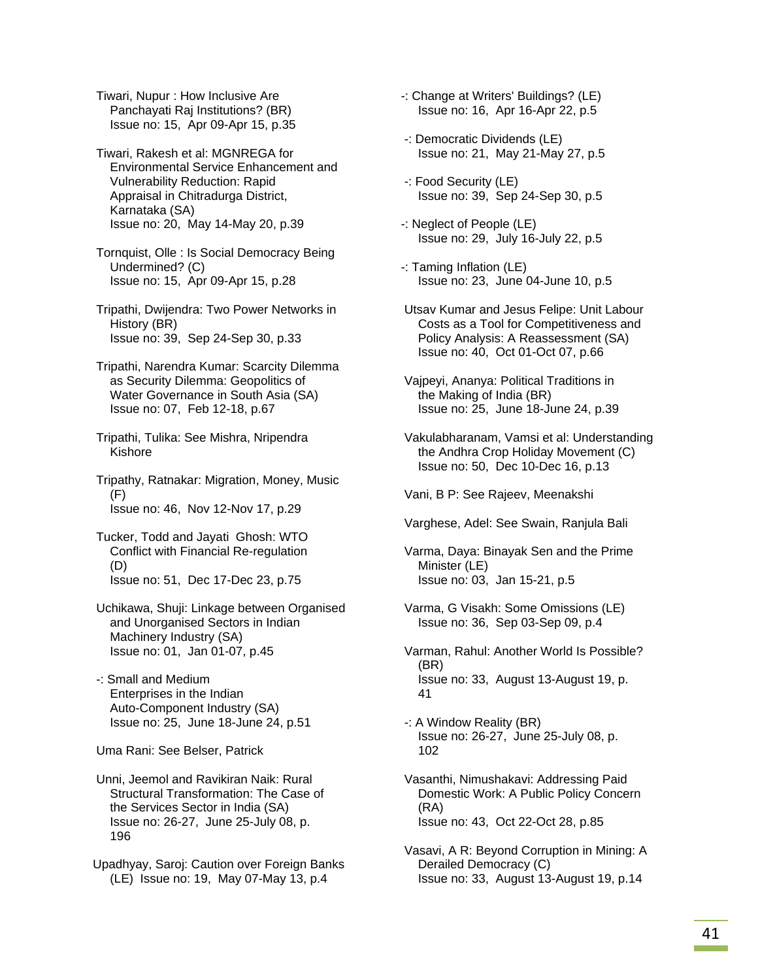Tiwari, Nupur : How Inclusive Are Panchayati Raj Institutions? (BR) Issue no: 15, Apr 09-Apr 15, p.35

 Tiwari, Rakesh et al: MGNREGA for Environmental Service Enhancement and Vulnerability Reduction: Rapid Appraisal in Chitradurga District, Karnataka (SA) Issue no: 20, May 14-May 20, p.39

 Tornquist, Olle : Is Social Democracy Being Undermined? (C) Issue no: 15, Apr 09-Apr 15, p.28

 Tripathi, Dwijendra: Two Power Networks in History (BR) Issue no: 39, Sep 24-Sep 30, p.33

- Tripathi, Narendra Kumar: Scarcity Dilemma as Security Dilemma: Geopolitics of Water Governance in South Asia (SA) Issue no: 07, Feb 12-18, p.67
- Tripathi, Tulika: See Mishra, Nripendra Kishore

 Tripathy, Ratnakar: Migration, Money, Music (F) Issue no: 46, Nov 12-Nov 17, p.29

- Tucker, Todd and Jayati Ghosh: WTO Conflict with Financial Re-regulation (D) Issue no: 51, Dec 17-Dec 23, p.75
- Uchikawa, Shuji: Linkage between Organised and Unorganised Sectors in Indian Machinery Industry (SA) Issue no: 01, Jan 01-07, p.45
- -: Small and Medium Enterprises in the Indian Auto-Component Industry (SA) Issue no: 25, June 18-June 24, p.51

Uma Rani: See Belser, Patrick

 Unni, Jeemol and Ravikiran Naik: Rural Structural Transformation: The Case of the Services Sector in India (SA) Issue no: 26-27, June 25-July 08, p. 196

Upadhyay, Saroj: Caution over Foreign Banks (LE) Issue no: 19, May 07-May 13, p.4

-: Change at Writers' Buildings? (LE) Issue no: 16, Apr 16-Apr 22, p.5

- -: Democratic Dividends (LE) Issue no: 21, May 21-May 27, p.5
- -: Food Security (LE) Issue no: 39, Sep 24-Sep 30, p.5
- -: Neglect of People (LE) Issue no: 29, July 16-July 22, p.5
- -: Taming Inflation (LE) Issue no: 23, June 04-June 10, p.5
- Utsav Kumar and Jesus Felipe: Unit Labour Costs as a Tool for Competitiveness and Policy Analysis: A Reassessment (SA) Issue no: 40, Oct 01-Oct 07, p.66
- Vajpeyi, Ananya: Political Traditions in the Making of India (BR) Issue no: 25, June 18-June 24, p.39
- Vakulabharanam, Vamsi et al: Understanding the Andhra Crop Holiday Movement (C) Issue no: 50, Dec 10-Dec 16, p.13

Vani, B P: See Rajeev, Meenakshi

Varghese, Adel: See Swain, Ranjula Bali

 Varma, Daya: Binayak Sen and the Prime Minister (LE) Issue no: 03, Jan 15-21, p.5

- Varma, G Visakh: Some Omissions (LE) Issue no: 36, Sep 03-Sep 09, p.4
- Varman, Rahul: Another World Is Possible? (BR) Issue no: 33, August 13-August 19, p. 41

 -: A Window Reality (BR) Issue no: 26-27, June 25-July 08, p. 102

- Vasanthi, Nimushakavi: Addressing Paid Domestic Work: A Public Policy Concern (RA) Issue no: 43, Oct 22-Oct 28, p.85
- Vasavi, A R: Beyond Corruption in Mining: A Derailed Democracy (C) Issue no: 33, August 13-August 19, p.14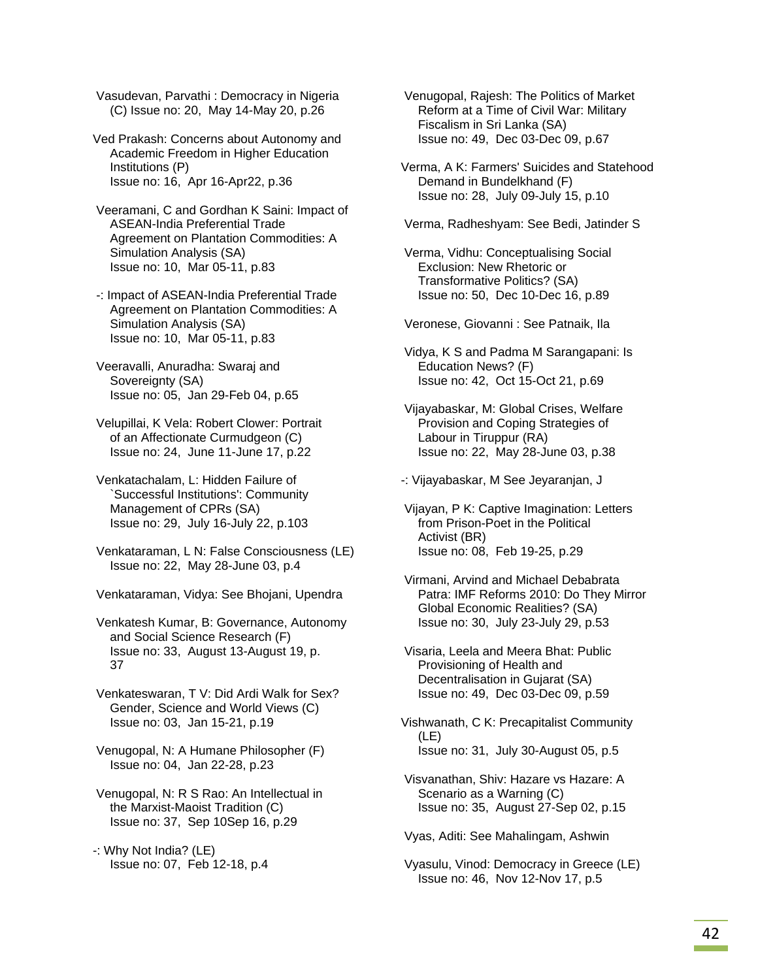Vasudevan, Parvathi : Democracy in Nigeria (C) Issue no: 20, May 14-May 20, p.26

Ved Prakash: Concerns about Autonomy and Academic Freedom in Higher Education Institutions (P) Issue no: 16, Apr 16-Apr22, p.36

 Veeramani, C and Gordhan K Saini: Impact of ASEAN-India Preferential Trade Agreement on Plantation Commodities: A Simulation Analysis (SA) Issue no: 10, Mar 05-11, p.83

 -: Impact of ASEAN-India Preferential Trade Agreement on Plantation Commodities: A Simulation Analysis (SA) Issue no: 10, Mar 05-11, p.83

 Veeravalli, Anuradha: Swaraj and Sovereignty (SA) Issue no: 05, Jan 29-Feb 04, p.65

 Velupillai, K Vela: Robert Clower: Portrait of an Affectionate Curmudgeon (C) Issue no: 24, June 11-June 17, p.22

 Venkatachalam, L: Hidden Failure of Successful Institutions': Community Management of CPRs (SA) Issue no: 29, July 16-July 22, p.103

 Venkataraman, L N: False Consciousness (LE) Issue no: 22, May 28-June 03, p.4

Venkataraman, Vidya: See Bhojani, Upendra

 Venkatesh Kumar, B: Governance, Autonomy and Social Science Research (F) Issue no: 33, August 13-August 19, p. 37

 Venkateswaran, T V: Did Ardi Walk for Sex? Gender, Science and World Views (C) Issue no: 03, Jan 15-21, p.19

 Venugopal, N: A Humane Philosopher (F) Issue no: 04, Jan 22-28, p.23

 Venugopal, N: R S Rao: An Intellectual in the Marxist-Maoist Tradition (C) Issue no: 37, Sep 10Sep 16, p.29

-: Why Not India? (LE) Issue no: 07, Feb 12-18, p.4  Venugopal, Rajesh: The Politics of Market Reform at a Time of Civil War: Military Fiscalism in Sri Lanka (SA) Issue no: 49, Dec 03-Dec 09, p.67

Verma, A K: Farmers' Suicides and Statehood Demand in Bundelkhand (F) Issue no: 28, July 09-July 15, p.10

Verma, Radheshyam: See Bedi, Jatinder S

 Verma, Vidhu: Conceptualising Social Exclusion: New Rhetoric or Transformative Politics? (SA) Issue no: 50, Dec 10-Dec 16, p.89

Veronese, Giovanni : See Patnaik, Ila

 Vidya, K S and Padma M Sarangapani: Is Education News? (F) Issue no: 42, Oct 15-Oct 21, p.69

 Vijayabaskar, M: Global Crises, Welfare Provision and Coping Strategies of Labour in Tiruppur (RA) Issue no: 22, May 28-June 03, p.38

-: Vijayabaskar, M See Jeyaranjan, J

 Vijayan, P K: Captive Imagination: Letters from Prison-Poet in the Political Activist (BR) Issue no: 08, Feb 19-25, p.29

 Virmani, Arvind and Michael Debabrata Patra: IMF Reforms 2010: Do They Mirror Global Economic Realities? (SA) Issue no: 30, July 23-July 29, p.53

 Visaria, Leela and Meera Bhat: Public Provisioning of Health and Decentralisation in Gujarat (SA) Issue no: 49, Dec 03-Dec 09, p.59

Vishwanath, C K: Precapitalist Community (LE) Issue no: 31, July 30-August 05, p.5

 Visvanathan, Shiv: Hazare vs Hazare: A Scenario as a Warning (C) Issue no: 35, August 27-Sep 02, p.15

Vyas, Aditi: See Mahalingam, Ashwin

 Vyasulu, Vinod: Democracy in Greece (LE) Issue no: 46, Nov 12-Nov 17, p.5